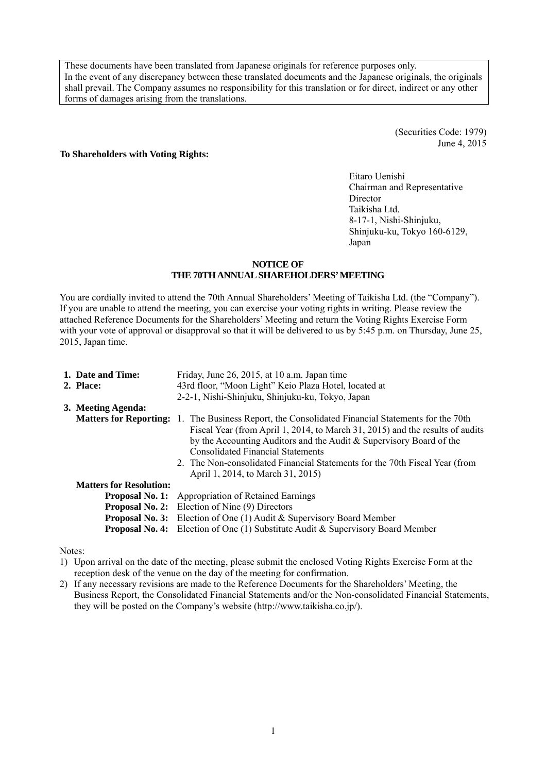These documents have been translated from Japanese originals for reference purposes only. In the event of any discrepancy between these translated documents and the Japanese originals, the originals shall prevail. The Company assumes no responsibility for this translation or for direct, indirect or any other forms of damages arising from the translations.

> (Securities Code: 1979) June 4, 2015

#### **To Shareholders with Voting Rights:**

Eitaro Uenishi Chairman and Representative Director Taikisha Ltd. 8-17-1, Nishi-Shinjuku, Shinjuku-ku, Tokyo 160-6129, Japan

#### **NOTICE OF THE 70TH ANNUAL SHAREHOLDERS' MEETING**

You are cordially invited to attend the 70th Annual Shareholders' Meeting of Taikisha Ltd. (the "Company"). If you are unable to attend the meeting, you can exercise your voting rights in writing. Please review the attached Reference Documents for the Shareholders' Meeting and return the Voting Rights Exercise Form with your vote of approval or disapproval so that it will be delivered to us by 5:45 p.m. on Thursday, June 25, 2015, Japan time.

| 1. Date and Time:<br>2. Place: | Friday, June 26, 2015, at 10 a.m. Japan time<br>43rd floor, "Moon Light" Keio Plaza Hotel, located at                                                                                                                                                                                                                                                                                                                              |
|--------------------------------|------------------------------------------------------------------------------------------------------------------------------------------------------------------------------------------------------------------------------------------------------------------------------------------------------------------------------------------------------------------------------------------------------------------------------------|
|                                | 2-2-1, Nishi-Shinjuku, Shinjuku-ku, Tokyo, Japan                                                                                                                                                                                                                                                                                                                                                                                   |
| 3. Meeting Agenda:             |                                                                                                                                                                                                                                                                                                                                                                                                                                    |
|                                | <b>Matters for Reporting:</b> 1. The Business Report, the Consolidated Financial Statements for the 70th<br>Fiscal Year (from April 1, 2014, to March 31, 2015) and the results of audits<br>by the Accounting Auditors and the Audit $&$ Supervisory Board of the<br><b>Consolidated Financial Statements</b><br>2. The Non-consolidated Financial Statements for the 70th Fiscal Year (from<br>April 1, 2014, to March 31, 2015) |
| <b>Matters for Resolution:</b> |                                                                                                                                                                                                                                                                                                                                                                                                                                    |
| <b>Proposal No. 1:</b>         | <b>Appropriation of Retained Earnings</b>                                                                                                                                                                                                                                                                                                                                                                                          |
|                                | <b>Proposal No. 2:</b> Election of Nine (9) Directors                                                                                                                                                                                                                                                                                                                                                                              |
| <b>Proposal No. 3:</b>         | Election of One (1) Audit & Supervisory Board Member                                                                                                                                                                                                                                                                                                                                                                               |
| <b>Proposal No. 4:</b>         | Election of One $(1)$ Substitute Audit & Supervisory Board Member                                                                                                                                                                                                                                                                                                                                                                  |

Notes:

1) Upon arrival on the date of the meeting, please submit the enclosed Voting Rights Exercise Form at the reception desk of the venue on the day of the meeting for confirmation.

2) If any necessary revisions are made to the Reference Documents for the Shareholders' Meeting, the Business Report, the Consolidated Financial Statements and/or the Non-consolidated Financial Statements, they will be posted on the Company's website (http://www.taikisha.co.jp/).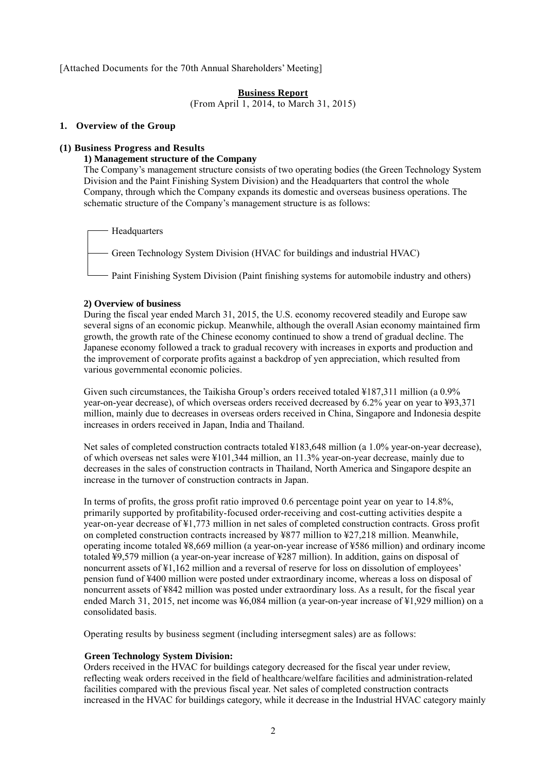[Attached Documents for the 70th Annual Shareholders' Meeting]

## **Business Report**

(From April 1, 2014, to March 31, 2015)

#### **1. Overview of the Group**

# **(1) Business Progress and Results**

#### **1) Management structure of the Company**

The Company's management structure consists of two operating bodies (the Green Technology System Division and the Paint Finishing System Division) and the Headquarters that control the whole Company, through which the Company expands its domestic and overseas business operations. The schematic structure of the Company's management structure is as follows:

Headquarters

Green Technology System Division (HVAC for buildings and industrial HVAC)

- Paint Finishing System Division (Paint finishing systems for automobile industry and others)

#### **2) Overview of business**

During the fiscal year ended March 31, 2015, the U.S. economy recovered steadily and Europe saw several signs of an economic pickup. Meanwhile, although the overall Asian economy maintained firm growth, the growth rate of the Chinese economy continued to show a trend of gradual decline. The Japanese economy followed a track to gradual recovery with increases in exports and production and the improvement of corporate profits against a backdrop of yen appreciation, which resulted from various governmental economic policies.

Given such circumstances, the Taikisha Group's orders received totaled ¥187,311 million (a 0.9% year-on-year decrease), of which overseas orders received decreased by 6.2% year on year to ¥93,371 million, mainly due to decreases in overseas orders received in China, Singapore and Indonesia despite increases in orders received in Japan, India and Thailand.

Net sales of completed construction contracts totaled ¥183,648 million (a 1.0% year-on-year decrease), of which overseas net sales were ¥101,344 million, an 11.3% year-on-year decrease, mainly due to decreases in the sales of construction contracts in Thailand, North America and Singapore despite an increase in the turnover of construction contracts in Japan.

In terms of profits, the gross profit ratio improved 0.6 percentage point year on year to 14.8%, primarily supported by profitability-focused order-receiving and cost-cutting activities despite a year-on-year decrease of ¥1,773 million in net sales of completed construction contracts. Gross profit on completed construction contracts increased by ¥877 million to ¥27,218 million. Meanwhile, operating income totaled ¥8,669 million (a year-on-year increase of ¥586 million) and ordinary income totaled ¥9,579 million (a year-on-year increase of ¥287 million). In addition, gains on disposal of noncurrent assets of ¥1,162 million and a reversal of reserve for loss on dissolution of employees' pension fund of ¥400 million were posted under extraordinary income, whereas a loss on disposal of noncurrent assets of ¥842 million was posted under extraordinary loss. As a result, for the fiscal year ended March 31, 2015, net income was ¥6,084 million (a year-on-year increase of ¥1,929 million) on a consolidated basis.

Operating results by business segment (including intersegment sales) are as follows:

# **Green Technology System Division:**

Orders received in the HVAC for buildings category decreased for the fiscal year under review, reflecting weak orders received in the field of healthcare/welfare facilities and administration-related facilities compared with the previous fiscal year. Net sales of completed construction contracts increased in the HVAC for buildings category, while it decrease in the Industrial HVAC category mainly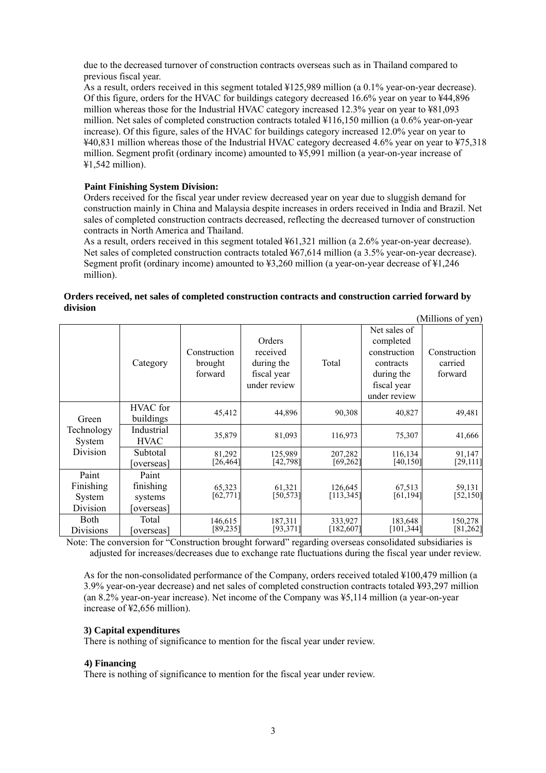due to the decreased turnover of construction contracts overseas such as in Thailand compared to previous fiscal year.

As a result, orders received in this segment totaled ¥125,989 million (a 0.1% year-on-year decrease). Of this figure, orders for the HVAC for buildings category decreased 16.6% year on year to ¥44,896 million whereas those for the Industrial HVAC category increased 12.3% year on year to ¥81,093 million. Net sales of completed construction contracts totaled ¥116,150 million (a 0.6% year-on-year increase). Of this figure, sales of the HVAC for buildings category increased 12.0% year on year to ¥40,831 million whereas those of the Industrial HVAC category decreased 4.6% year on year to ¥75,318 million. Segment profit (ordinary income) amounted to ¥5,991 million (a year-on-year increase of ¥1,542 million).

## **Paint Finishing System Division:**

Orders received for the fiscal year under review decreased year on year due to sluggish demand for construction mainly in China and Malaysia despite increases in orders received in India and Brazil. Net sales of completed construction contracts decreased, reflecting the decreased turnover of construction contracts in North America and Thailand.

As a result, orders received in this segment totaled ¥61,321 million (a 2.6% year-on-year decrease). Net sales of completed construction contracts totaled ¥67,614 million (a 3.5% year-on-year decrease). Segment profit (ordinary income) amounted to ¥3,260 million (a year-on-year decrease of ¥1,246 million).

|                                          |                                            |                                    |                                                                 |                       |                                                                                                     | (Millions of yen)                  |
|------------------------------------------|--------------------------------------------|------------------------------------|-----------------------------------------------------------------|-----------------------|-----------------------------------------------------------------------------------------------------|------------------------------------|
|                                          | Category                                   | Construction<br>brought<br>forward | Orders<br>received<br>during the<br>fiscal year<br>under review | Total                 | Net sales of<br>completed<br>construction<br>contracts<br>during the<br>fiscal year<br>under review | Construction<br>carried<br>forward |
| Green                                    | HVAC for<br>buildings                      | 45,412                             | 44,896                                                          | 90,308                | 40,827                                                                                              | 49,481                             |
| Technology<br>System                     | Industrial<br><b>HVAC</b>                  | 35,879                             | 81,093                                                          | 116,973               | 75,307                                                                                              | 41,666                             |
| Division                                 | Subtotal<br>overseas]                      | 81,292<br>[26, 464]                | 125,989<br>[42,798]                                             | 207,282<br>[69, 262]  | 116,134<br>[40, 150]                                                                                | 91,147<br>[29, 111]                |
| Paint<br>Finishing<br>System<br>Division | Paint<br>finishing<br>systems<br>overseas] | 65,323<br>[62, 771]                | 61,321<br>[50,573]                                              | 126,645<br>[113, 345] | 67,513<br>[61, 194]                                                                                 | 59,131<br>[52, 150]                |
| Both<br><b>Divisions</b>                 | Total<br>[overseas]                        | 146,615<br>[89, 235]               | 187,311<br>[93,371]                                             | 333,927<br>[182, 607] | 183,648<br>[101,344]                                                                                | 150,278<br>[81,262]                |

## **Orders received, net sales of completed construction contracts and construction carried forward by division**

Note: The conversion for "Construction brought forward" regarding overseas consolidated subsidiaries is adjusted for increases/decreases due to exchange rate fluctuations during the fiscal year under review.

As for the non-consolidated performance of the Company, orders received totaled ¥100,479 million (a 3.9% year-on-year decrease) and net sales of completed construction contracts totaled ¥93,297 million (an 8.2% year-on-year increase). Net income of the Company was ¥5,114 million (a year-on-year increase of ¥2,656 million).

# **3) Capital expenditures**

There is nothing of significance to mention for the fiscal year under review.

#### **4) Financing**

There is nothing of significance to mention for the fiscal year under review.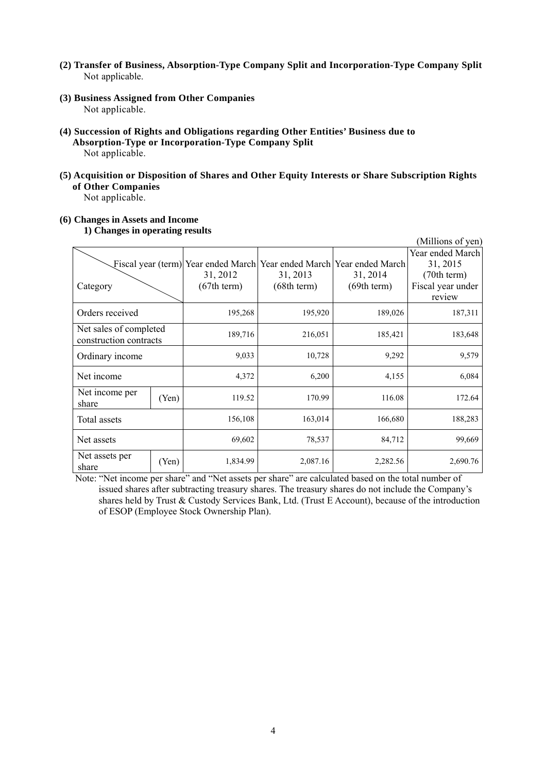- **(2) Transfer of Business, Absorption-Type Company Split and Incorporation-Type Company Split**  Not applicable.
- **(3) Business Assigned from Other Companies**  Not applicable.
- **(4) Succession of Rights and Obligations regarding Other Entities' Business due to Absorption-Type or Incorporation-Type Company Split**  Not applicable.
- **(5) Acquisition or Disposition of Shares and Other Equity Interests or Share Subscription Rights of Other Companies**

Not applicable.

# **(6) Changes in Assets and Income**

**1) Changes in operating results** 

|                                                  |       |             |             |                                                                       | (Millions of yen) |
|--------------------------------------------------|-------|-------------|-------------|-----------------------------------------------------------------------|-------------------|
|                                                  |       |             |             |                                                                       | Year ended March  |
|                                                  |       |             |             | Fiscal year (term) Year ended March Year ended March Year ended March | 31, 2015          |
|                                                  |       | 31, 2012    | 31, 2013    | 31, 2014                                                              | (70th term)       |
| Category                                         |       | (67th term) | (68th term) | (69th term)                                                           | Fiscal year under |
|                                                  |       |             |             |                                                                       | review            |
| Orders received                                  |       | 195,268     | 195,920     | 189,026                                                               | 187,311           |
| Net sales of completed<br>construction contracts |       | 189,716     | 216,051     | 185,421                                                               | 183,648           |
| Ordinary income                                  |       | 9,033       | 10,728      | 9,292                                                                 | 9,579             |
| Net income                                       |       | 4,372       | 6,200       | 4,155                                                                 | 6,084             |
| Net income per<br>share                          | (Yen) | 119.52      | 170.99      | 116.08                                                                | 172.64            |
| Total assets                                     |       | 156,108     | 163,014     | 166,680                                                               | 188,283           |
| Net assets                                       |       | 69,602      | 78,537      | 84,712                                                                | 99,669            |
| Net assets per<br>share                          | (Yen) | 1,834.99    | 2,087.16    | 2,282.56                                                              | 2,690.76          |

Note: "Net income per share" and "Net assets per share" are calculated based on the total number of issued shares after subtracting treasury shares. The treasury shares do not include the Company's shares held by Trust & Custody Services Bank, Ltd. (Trust E Account), because of the introduction of ESOP (Employee Stock Ownership Plan).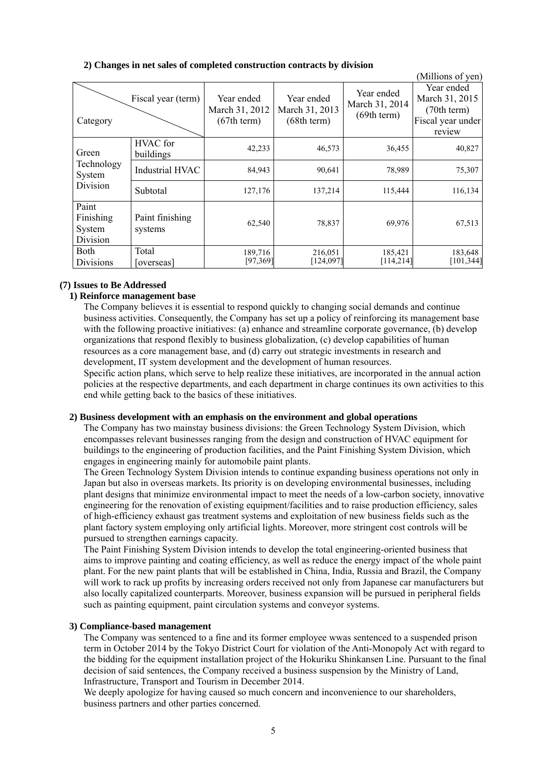|                                          |                              |                                             |                                             |                                             | (Millions of yen)                                                          |
|------------------------------------------|------------------------------|---------------------------------------------|---------------------------------------------|---------------------------------------------|----------------------------------------------------------------------------|
| Category                                 | Fiscal year (term)           | Year ended<br>March 31, 2012<br>(67th term) | Year ended<br>March 31, 2013<br>(68th term) | Year ended<br>March 31, 2014<br>(69th term) | Year ended<br>March 31, 2015<br>(70th term)<br>Fiscal year under<br>review |
| Green                                    | <b>HVAC</b> for<br>buildings | 42,233                                      | 46,573                                      | 36,455                                      | 40,827                                                                     |
| Technology<br>System                     | <b>Industrial HVAC</b>       | 84,943                                      | 90,641                                      | 78,989                                      | 75,307                                                                     |
| Division                                 | Subtotal                     | 127,176                                     | 137,214                                     | 115,444                                     | 116,134                                                                    |
| Paint<br>Finishing<br>System<br>Division | Paint finishing<br>systems   | 62,540                                      | 78,837                                      | 69,976                                      | 67,513                                                                     |
| <b>Both</b><br>Divisions                 | Total<br>[overseas]          | 189,716<br>[97,369]                         | 216,051<br>[124,097]                        | 185,421<br>[114, 214]                       | 183,648<br>[101, 344]                                                      |

# **2) Changes in net sales of completed construction contracts by division**

#### **(7) Issues to Be Addressed**

# **1) Reinforce management base**

The Company believes it is essential to respond quickly to changing social demands and continue business activities. Consequently, the Company has set up a policy of reinforcing its management base with the following proactive initiatives: (a) enhance and streamline corporate governance, (b) develop organizations that respond flexibly to business globalization, (c) develop capabilities of human resources as a core management base, and (d) carry out strategic investments in research and development, IT system development and the development of human resources.

Specific action plans, which serve to help realize these initiatives, are incorporated in the annual action policies at the respective departments, and each department in charge continues its own activities to this end while getting back to the basics of these initiatives.

#### **2) Business development with an emphasis on the environment and global operations**

The Company has two mainstay business divisions: the Green Technology System Division, which encompasses relevant businesses ranging from the design and construction of HVAC equipment for buildings to the engineering of production facilities, and the Paint Finishing System Division, which engages in engineering mainly for automobile paint plants.

The Green Technology System Division intends to continue expanding business operations not only in Japan but also in overseas markets. Its priority is on developing environmental businesses, including plant designs that minimize environmental impact to meet the needs of a low-carbon society, innovative engineering for the renovation of existing equipment/facilities and to raise production efficiency, sales of high-efficiency exhaust gas treatment systems and exploitation of new business fields such as the plant factory system employing only artificial lights. Moreover, more stringent cost controls will be pursued to strengthen earnings capacity.

The Paint Finishing System Division intends to develop the total engineering-oriented business that aims to improve painting and coating efficiency, as well as reduce the energy impact of the whole paint plant. For the new paint plants that will be established in China, India, Russia and Brazil, the Company will work to rack up profits by increasing orders received not only from Japanese car manufacturers but also locally capitalized counterparts. Moreover, business expansion will be pursued in peripheral fields such as painting equipment, paint circulation systems and conveyor systems.

# **3) Compliance-based management**

The Company was sentenced to a fine and its former employee wwas sentenced to a suspended prison term in October 2014 by the Tokyo District Court for violation of the Anti-Monopoly Act with regard to the bidding for the equipment installation project of the Hokuriku Shinkansen Line. Pursuant to the final decision of said sentences, the Company received a business suspension by the Ministry of Land, Infrastructure, Transport and Tourism in December 2014.

We deeply apologize for having caused so much concern and inconvenience to our shareholders, business partners and other parties concerned.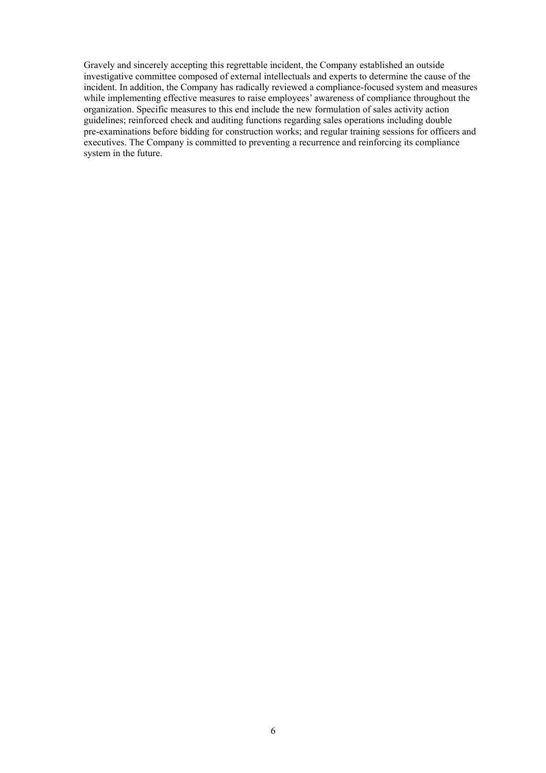Gravely and sincerely accepting this regrettable incident, the Company established an outside investigative committee composed of external intellectuals and experts to determine the cause of the incident. In addition, the Company has radically reviewed a compliance-focused system and measures while implementing effective measures to raise employees' awareness of compliance throughout the organization. Specific measures to this end include the new formulation of sales activity action guidelines; reinforced check and auditing functions regarding sales operations including double pre-examinations before bidding for construction works; and regular training sessions for officers and executives. The Company is committed to preventing a recurrence and reinforcing its compliance system in the future.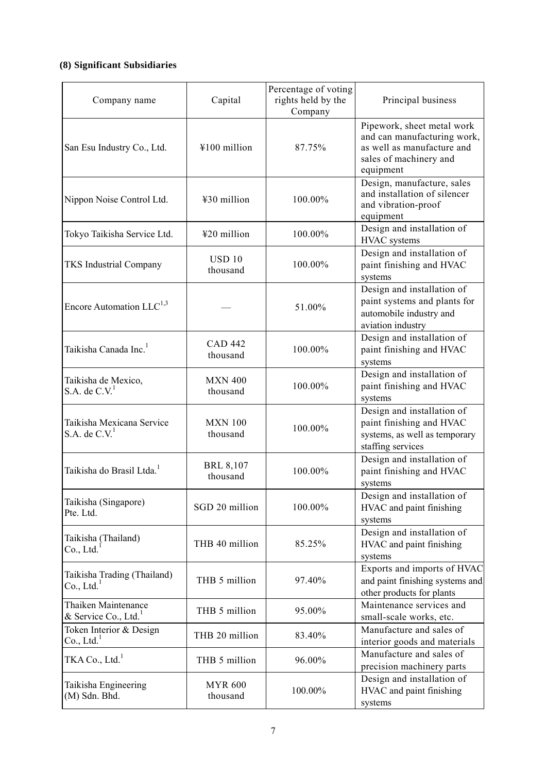# **(8) Significant Subsidiaries**

| Company name                                      | Capital                      | Percentage of voting<br>rights held by the<br>Company | Principal business                                                                                                             |
|---------------------------------------------------|------------------------------|-------------------------------------------------------|--------------------------------------------------------------------------------------------------------------------------------|
| San Esu Industry Co., Ltd.                        | ¥100 million                 | 87.75%                                                | Pipework, sheet metal work<br>and can manufacturing work,<br>as well as manufacture and<br>sales of machinery and<br>equipment |
| Nippon Noise Control Ltd.                         | ¥30 million                  | 100.00%                                               | Design, manufacture, sales<br>and installation of silencer<br>and vibration-proof<br>equipment                                 |
| Tokyo Taikisha Service Ltd.                       | ¥20 million                  | 100.00%                                               | Design and installation of<br>HVAC systems                                                                                     |
| <b>TKS Industrial Company</b>                     | <b>USD 10</b><br>thousand    | 100.00%                                               | Design and installation of<br>paint finishing and HVAC<br>systems                                                              |
| Encore Automation $LLC^{1,3}$                     |                              | 51.00%                                                | Design and installation of<br>paint systems and plants for<br>automobile industry and<br>aviation industry                     |
| Taikisha Canada Inc. <sup>1</sup>                 | <b>CAD 442</b><br>thousand   | 100.00%                                               | Design and installation of<br>paint finishing and HVAC<br>systems                                                              |
| Taikisha de Mexico,<br>S.A. de $C.V.1$            | <b>MXN 400</b><br>thousand   | 100.00%                                               | Design and installation of<br>paint finishing and HVAC<br>systems                                                              |
| Taikisha Mexicana Service<br>S.A. de $C.V.1$      | <b>MXN 100</b><br>thousand   | 100.00%                                               | Design and installation of<br>paint finishing and HVAC<br>systems, as well as temporary<br>staffing services                   |
| Taikisha do Brasil Ltda. <sup>1</sup>             | <b>BRL 8,107</b><br>thousand | 100.00%                                               | Design and installation of<br>paint finishing and HVAC<br>systems                                                              |
| Taikisha (Singapore)<br>Pte. Ltd.                 | SGD 20 million               | 100.00%                                               | Design and installation of<br>HVAC and paint finishing<br>systems                                                              |
| Taikisha (Thailand)<br>Co., Ltd.                  | THB 40 million               | 85.25%                                                | Design and installation of<br>HVAC and paint finishing<br>systems                                                              |
| Taikisha Trading (Thailand)<br>Co., Ltd.          | THB 5 million                | 97.40%                                                | Exports and imports of HVAC<br>and paint finishing systems and<br>other products for plants                                    |
| Thaiken Maintenance<br>& Service Co., Ltd. $1$    | THB 5 million                | 95.00%                                                | Maintenance services and<br>small-scale works, etc.                                                                            |
| Token Interior & Design<br>Co., Ltd. <sup>1</sup> | THB 20 million               | 83.40%                                                | Manufacture and sales of<br>interior goods and materials                                                                       |
| TKA Co., Ltd. <sup>1</sup>                        | THB 5 million                | 96.00%                                                | Manufacture and sales of<br>precision machinery parts                                                                          |
| Taikisha Engineering<br>(M) Sdn. Bhd.             | <b>MYR 600</b><br>thousand   | 100.00%                                               | Design and installation of<br>HVAC and paint finishing<br>systems                                                              |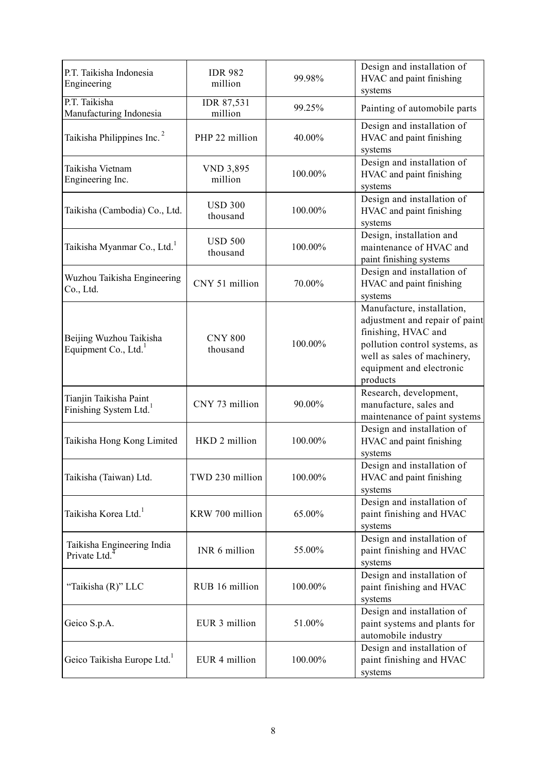| P.T. Taikisha Indonesia<br>Engineering                       | <b>IDR 982</b><br>million   | 99.98%  | Design and installation of<br>HVAC and paint finishing<br>systems                                                                                                                           |
|--------------------------------------------------------------|-----------------------------|---------|---------------------------------------------------------------------------------------------------------------------------------------------------------------------------------------------|
| P.T. Taikisha<br>Manufacturing Indonesia                     | IDR 87,531<br>million       | 99.25%  | Painting of automobile parts                                                                                                                                                                |
| Taikisha Philippines Inc. <sup>2</sup>                       | PHP 22 million              | 40.00%  | Design and installation of<br>HVAC and paint finishing<br>systems                                                                                                                           |
| Taikisha Vietnam<br>Engineering Inc.                         | <b>VND 3,895</b><br>million | 100.00% | Design and installation of<br>HVAC and paint finishing<br>systems                                                                                                                           |
| Taikisha (Cambodia) Co., Ltd.                                | <b>USD 300</b><br>thousand  | 100.00% | Design and installation of<br>HVAC and paint finishing<br>systems                                                                                                                           |
| Taikisha Myanmar Co., Ltd. <sup>1</sup>                      | <b>USD 500</b><br>thousand  | 100.00% | Design, installation and<br>maintenance of HVAC and<br>paint finishing systems                                                                                                              |
| Wuzhou Taikisha Engineering<br>Co., Ltd.                     | CNY 51 million              | 70.00%  | Design and installation of<br>HVAC and paint finishing<br>systems                                                                                                                           |
| Beijing Wuzhou Taikisha<br>Equipment Co., Ltd.               | <b>CNY 800</b><br>thousand  | 100.00% | Manufacture, installation,<br>adjustment and repair of paint<br>finishing, HVAC and<br>pollution control systems, as<br>well as sales of machinery,<br>equipment and electronic<br>products |
| Tianjin Taikisha Paint<br>Finishing System Ltd. <sup>1</sup> | CNY 73 million              | 90.00%  | Research, development,<br>manufacture, sales and<br>maintenance of paint systems                                                                                                            |
| Taikisha Hong Kong Limited                                   | HKD 2 million               | 100.00% | Design and installation of<br>HVAC and paint finishing<br>systems                                                                                                                           |
| Taikisha (Taiwan) Ltd.                                       | TWD 230 million             | 100.00% | Design and installation of<br>HVAC and paint finishing<br>systems                                                                                                                           |
| Taikisha Korea Ltd. <sup>1</sup>                             | KRW 700 million             | 65.00%  | Design and installation of<br>paint finishing and HVAC<br>systems                                                                                                                           |
| Taikisha Engineering India<br>Private Ltd.                   | INR 6 million               | 55.00%  | Design and installation of<br>paint finishing and HVAC<br>systems                                                                                                                           |
| "Taikisha (R)" LLC                                           | RUB 16 million              | 100.00% | Design and installation of<br>paint finishing and HVAC<br>systems                                                                                                                           |
| Geico S.p.A.                                                 | EUR 3 million               | 51.00%  | Design and installation of<br>paint systems and plants for<br>automobile industry                                                                                                           |
| Geico Taikisha Europe Ltd. <sup>1</sup>                      | EUR 4 million               | 100.00% | Design and installation of<br>paint finishing and HVAC<br>systems                                                                                                                           |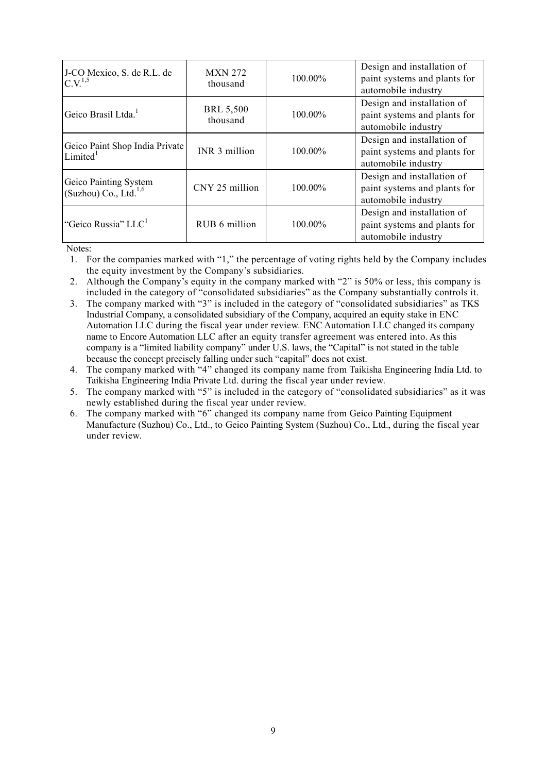| J-CO Mexico, S. de R.L. de<br>$C.V.^{1,5}$                 | <b>MXN 272</b><br>thousand   | 100.00% | Design and installation of<br>paint systems and plants for<br>automobile industry |
|------------------------------------------------------------|------------------------------|---------|-----------------------------------------------------------------------------------|
| Geico Brasil Ltda. <sup>1</sup>                            | <b>BRL 5,500</b><br>thousand | 100.00% | Design and installation of<br>paint systems and plants for<br>automobile industry |
| Geico Paint Shop India Private<br>Limited <sup>1</sup>     | INR 3 million                | 100.00% | Design and installation of<br>paint systems and plants for<br>automobile industry |
| Geico Painting System<br>(Suzhou) Co., Ltd. <sup>1,6</sup> | CNY 25 million               | 100.00% | Design and installation of<br>paint systems and plants for<br>automobile industry |
| "Geico Russia" LLC <sup>1</sup>                            | RUB 6 million                | 100.00% | Design and installation of<br>paint systems and plants for<br>automobile industry |

Notes:

1. For the companies marked with "1," the percentage of voting rights held by the Company includes the equity investment by the Company's subsidiaries.

- 2. Although the Company's equity in the company marked with "2" is 50% or less, this company is included in the category of "consolidated subsidiaries" as the Company substantially controls it.
- 3. The company marked with "3" is included in the category of "consolidated subsidiaries" as TKS Industrial Company, a consolidated subsidiary of the Company, acquired an equity stake in ENC Automation LLC during the fiscal year under review. ENC Automation LLC changed its company name to Encore Automation LLC after an equity transfer agreement was entered into. As this company is a "limited liability company" under U.S. laws, the "Capital" is not stated in the table because the concept precisely falling under such "capital" does not exist.
- 4. The company marked with "4" changed its company name from Taikisha Engineering India Ltd. to Taikisha Engineering India Private Ltd. during the fiscal year under review.
- 5. The company marked with "5" is included in the category of "consolidated subsidiaries" as it was newly established during the fiscal year under review.
- 6. The company marked with "6" changed its company name from Geico Painting Equipment Manufacture (Suzhou) Co., Ltd., to Geico Painting System (Suzhou) Co., Ltd., during the fiscal year under review.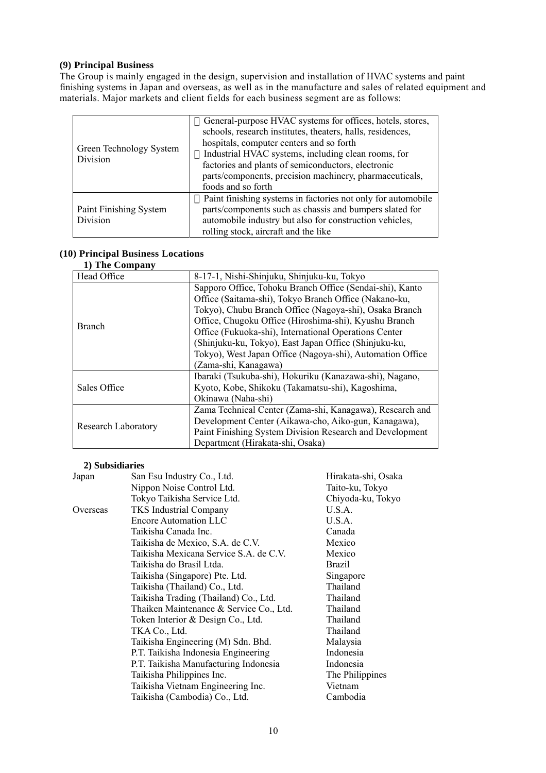# **(9) Principal Business**

The Group is mainly engaged in the design, supervision and installation of HVAC systems and paint finishing systems in Japan and overseas, as well as in the manufacture and sales of related equipment and materials. Major markets and client fields for each business segment are as follows:

| Green Technology System<br>Division | General-purpose HVAC systems for offices, hotels, stores,<br>schools, research institutes, theaters, halls, residences,<br>hospitals, computer centers and so forth<br>Industrial HVAC systems, including clean rooms, for<br>factories and plants of semiconductors, electronic<br>parts/components, precision machinery, pharmaceuticals,<br>foods and so forth |
|-------------------------------------|-------------------------------------------------------------------------------------------------------------------------------------------------------------------------------------------------------------------------------------------------------------------------------------------------------------------------------------------------------------------|
| Paint Finishing System<br>Division  | Paint finishing systems in factories not only for automobile<br>parts/components such as chassis and bumpers slated for<br>automobile industry but also for construction vehicles,<br>rolling stock, aircraft and the like                                                                                                                                        |

# **(10) Principal Business Locations**

**1) The Company** 

| Head Office         | 8-17-1, Nishi-Shinjuku, Shinjuku-ku, Tokyo                |
|---------------------|-----------------------------------------------------------|
|                     | Sapporo Office, Tohoku Branch Office (Sendai-shi), Kanto  |
|                     | Office (Saitama-shi), Tokyo Branch Office (Nakano-ku,     |
|                     | Tokyo), Chubu Branch Office (Nagoya-shi), Osaka Branch    |
| <b>Branch</b>       | Office, Chugoku Office (Hiroshima-shi), Kyushu Branch     |
|                     | Office (Fukuoka-shi), International Operations Center     |
|                     | (Shinjuku-ku, Tokyo), East Japan Office (Shinjuku-ku,     |
|                     | Tokyo), West Japan Office (Nagoya-shi), Automation Office |
|                     | (Zama-shi, Kanagawa)                                      |
|                     | Ibaraki (Tsukuba-shi), Hokuriku (Kanazawa-shi), Nagano,   |
| Sales Office        | Kyoto, Kobe, Shikoku (Takamatsu-shi), Kagoshima,          |
|                     | Okinawa (Naha-shi)                                        |
|                     | Zama Technical Center (Zama-shi, Kanagawa), Research and  |
|                     | Development Center (Aikawa-cho, Aiko-gun, Kanagawa),      |
| Research Laboratory | Paint Finishing System Division Research and Development  |
|                     | Department (Hirakata-shi, Osaka)                          |

# **2) Subsidiaries**

| Japan    | San Esu Industry Co., Ltd.              | Hirakata-shi, Osaka |
|----------|-----------------------------------------|---------------------|
|          | Nippon Noise Control Ltd.               | Taito-ku, Tokyo     |
|          | Tokyo Taikisha Service Ltd.             | Chiyoda-ku, Tokyo   |
| Overseas | <b>TKS</b> Industrial Company           | U.S.A.              |
|          | <b>Encore Automation LLC</b>            | U.S.A.              |
|          | Taikisha Canada Inc.                    | Canada              |
|          | Taikisha de Mexico, S.A. de C.V.        | Mexico              |
|          | Taikisha Mexicana Service S.A. de C.V.  | Mexico              |
|          | Taikisha do Brasil Ltda.                | Brazil              |
|          | Taikisha (Singapore) Pte. Ltd.          | Singapore           |
|          | Taikisha (Thailand) Co., Ltd.           | Thailand            |
|          | Taikisha Trading (Thailand) Co., Ltd.   | Thailand            |
|          | Thaiken Maintenance & Service Co., Ltd. | Thailand            |
|          | Token Interior & Design Co., Ltd.       | Thailand            |
|          | TKA Co., Ltd.                           | Thailand            |
|          | Taikisha Engineering (M) Sdn. Bhd.      | Malaysia            |
|          | P.T. Taikisha Indonesia Engineering     | Indonesia           |
|          | P.T. Taikisha Manufacturing Indonesia   | Indonesia           |
|          | Taikisha Philippines Inc.               | The Philippines     |
|          | Taikisha Vietnam Engineering Inc.       | Vietnam             |
|          | Taikisha (Cambodia) Co., Ltd.           | Cambodia            |
|          |                                         |                     |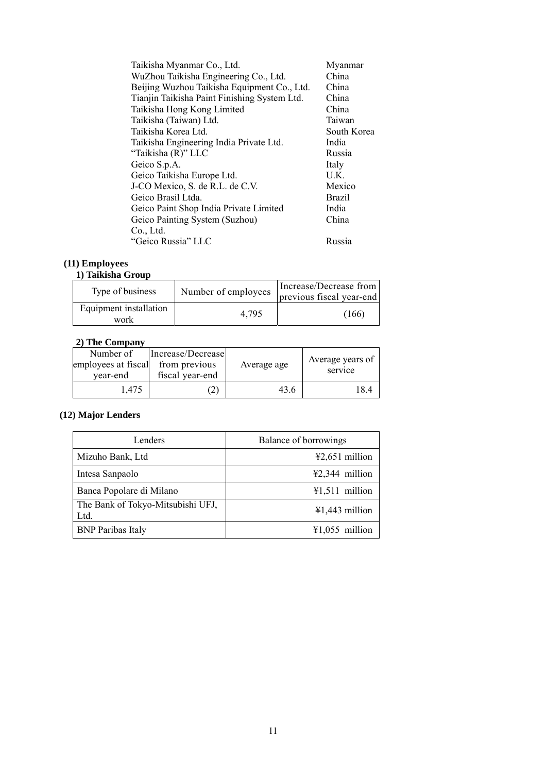| Taikisha Myanmar Co., Ltd.                   | Myanmar       |
|----------------------------------------------|---------------|
| WuZhou Taikisha Engineering Co., Ltd.        | China         |
| Beijing Wuzhou Taikisha Equipment Co., Ltd.  | China         |
| Tianjin Taikisha Paint Finishing System Ltd. | China         |
| Taikisha Hong Kong Limited                   | China         |
| Taikisha (Taiwan) Ltd.                       | Taiwan        |
| Taikisha Korea Ltd.                          | South Korea   |
| Taikisha Engineering India Private Ltd.      | India         |
| "Taikisha (R)" LLC                           | Russia        |
| Geico S.p.A.                                 | Italy         |
| Geico Taikisha Europe Ltd.                   | U.K.          |
| J-CO Mexico, S. de R.L. de C.V.              | Mexico        |
| Geico Brasil Ltda.                           | <b>Brazil</b> |
| Geico Paint Shop India Private Limited       | India         |
| Geico Painting System (Suzhou)               | China         |
| Co., Ltd.                                    |               |
| "Geico Russia" LLC                           | Russia        |

# **(11) Employees**

#### **1) Taikisha Group**

| Type of business               | Number of employees | Increase/Decrease from<br>previous fiscal year-end |
|--------------------------------|---------------------|----------------------------------------------------|
| Equipment installation<br>work | 4.795               | (166)                                              |

# **2) The Company**

| Number of<br>employees at fiscal<br>year-end | Increase/Decrease<br>from previous<br>fiscal year-end | Average age | Average years of<br>service |
|----------------------------------------------|-------------------------------------------------------|-------------|-----------------------------|
| 1.475                                        | $\mathbf{2}$                                          | 43.6        | 184                         |

# **(12) Major Lenders**

| Lenders                                   | Balance of borrowings    |
|-------------------------------------------|--------------------------|
| Mizuho Bank, Ltd                          | $42,651$ million         |
| Intesa Sanpaolo                           | $\text{\#2,344}$ million |
| Banca Popolare di Milano                  | $41,511$ million         |
| The Bank of Tokyo-Mitsubishi UFJ,<br>Ltd. | $41,443$ million         |
| <b>BNP</b> Paribas Italy                  | $41,055$ million         |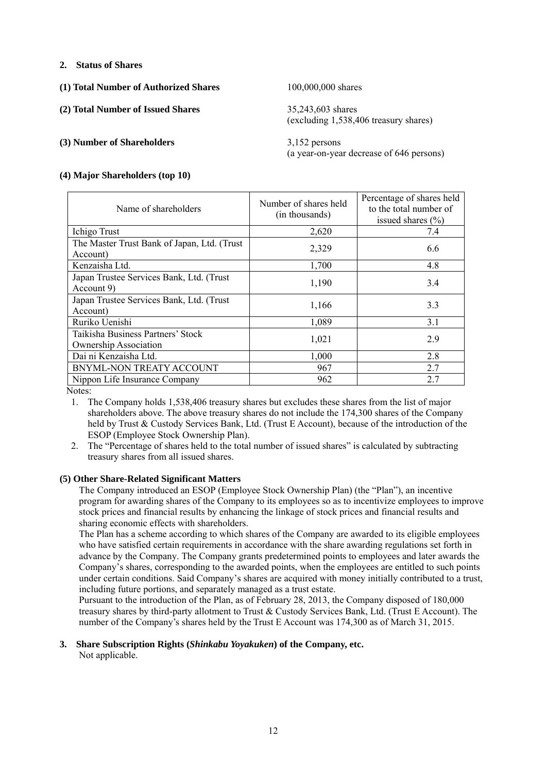# **2. Status of Shares**

**(1) Total Number of Authorized Shares** 100,000,000 shares

**(2) Total Number of Issued Shares** 35,243,603 shares

#### **(3) Number of Shareholders** 3,152 persons

**(4) Major Shareholders (top 10)** 

(excluding 1,538,406 treasury shares)

(a year-on-year decrease of 646 persons)

| Name of shareholders                                              | Number of shares held<br>(in thousands) | Percentage of shares held<br>to the total number of<br>issued shares $(\% )$ |
|-------------------------------------------------------------------|-----------------------------------------|------------------------------------------------------------------------------|
| Ichigo Trust                                                      | 2,620                                   | 7.4                                                                          |
| The Master Trust Bank of Japan, Ltd. (Trust<br>Account)           | 2,329                                   | 6.6                                                                          |
| Kenzaisha Ltd.                                                    | 1,700                                   | 4.8                                                                          |
| Japan Trustee Services Bank, Ltd. (Trust<br>Account 9)            | 1,190                                   | 3.4                                                                          |
| Japan Trustee Services Bank, Ltd. (Trust<br>Account)              | 1,166                                   | 3.3                                                                          |
| Ruriko Uenishi                                                    | 1,089                                   | 3.1                                                                          |
| Taikisha Business Partners' Stock<br><b>Ownership Association</b> | 1,021                                   | 2.9                                                                          |
| Dai ni Kenzaisha Ltd.                                             | 1,000                                   | 2.8                                                                          |
| BNYML-NON TREATY ACCOUNT                                          | 967                                     | 2.7                                                                          |
| Nippon Life Insurance Company                                     | 962                                     | 2.7                                                                          |

Notes:

1. The Company holds 1,538,406 treasury shares but excludes these shares from the list of major shareholders above. The above treasury shares do not include the 174,300 shares of the Company held by Trust & Custody Services Bank, Ltd. (Trust E Account), because of the introduction of the ESOP (Employee Stock Ownership Plan).

2. The "Percentage of shares held to the total number of issued shares" is calculated by subtracting treasury shares from all issued shares.

#### **(5) Other Share-Related Significant Matters**

The Company introduced an ESOP (Employee Stock Ownership Plan) (the "Plan"), an incentive program for awarding shares of the Company to its employees so as to incentivize employees to improve stock prices and financial results by enhancing the linkage of stock prices and financial results and sharing economic effects with shareholders.

The Plan has a scheme according to which shares of the Company are awarded to its eligible employees who have satisfied certain requirements in accordance with the share awarding regulations set forth in advance by the Company. The Company grants predetermined points to employees and later awards the Company's shares, corresponding to the awarded points, when the employees are entitled to such points under certain conditions. Said Company's shares are acquired with money initially contributed to a trust, including future portions, and separately managed as a trust estate.

Pursuant to the introduction of the Plan, as of February 28, 2013, the Company disposed of 180,000 treasury shares by third-party allotment to Trust & Custody Services Bank, Ltd. (Trust E Account). The number of the Company's shares held by the Trust E Account was 174,300 as of March 31, 2015.

# **3. Share Subscription Rights (***Shinkabu Yoyakuken***) of the Company, etc.**

Not applicable.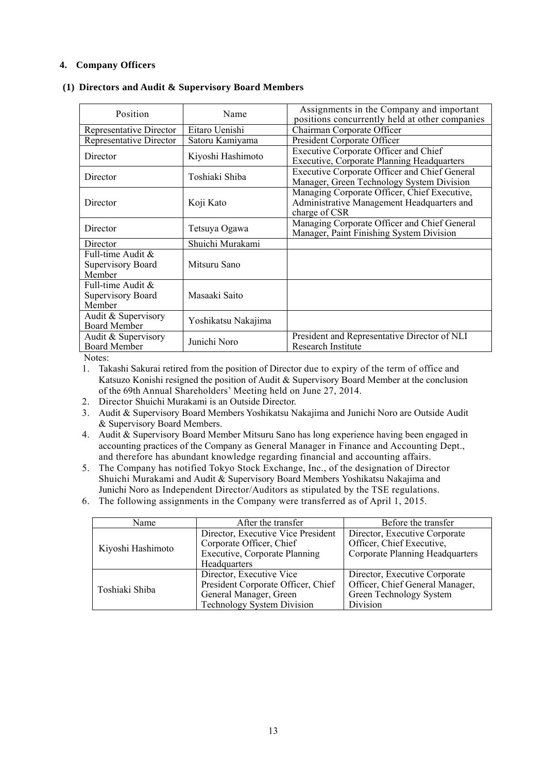# **4. Company Officers**

| Position                                         | Name                | Assignments in the Company and important                                                                    |  |
|--------------------------------------------------|---------------------|-------------------------------------------------------------------------------------------------------------|--|
|                                                  |                     | positions concurrently held at other companies                                                              |  |
| Representative Director                          | Eitaro Uenishi      | Chairman Corporate Officer                                                                                  |  |
| <b>Representative Director</b>                   | Satoru Kamiyama     | President Corporate Officer                                                                                 |  |
| Director                                         | Kiyoshi Hashimoto   | Executive Corporate Officer and Chief<br><b>Executive, Corporate Planning Headquarters</b>                  |  |
| Director                                         | Toshiaki Shiba      | <b>Executive Corporate Officer and Chief General</b><br>Manager, Green Technology System Division           |  |
| Director                                         | Koji Kato           | Managing Corporate Officer, Chief Executive,<br>Administrative Management Headquarters and<br>charge of CSR |  |
| Director                                         | Tetsuya Ogawa       | Managing Corporate Officer and Chief General<br>Manager, Paint Finishing System Division                    |  |
| Director                                         | Shuichi Murakami    |                                                                                                             |  |
| Full-time Audit &<br>Supervisory Board<br>Member | Mitsuru Sano        |                                                                                                             |  |
| Full-time Audit &<br>Supervisory Board<br>Member | Masaaki Saito       |                                                                                                             |  |
| Audit & Supervisory<br><b>Board Member</b>       | Yoshikatsu Nakajima |                                                                                                             |  |
| Audit & Supervisory<br><b>Board Member</b>       | Junichi Noro        | President and Representative Director of NLI<br>Research Institute                                          |  |

Notes:

1. Takashi Sakurai retired from the position of Director due to expiry of the term of office and Katsuzo Konishi resigned the position of Audit & Supervisory Board Member at the conclusion of the 69th Annual Shareholders' Meeting held on June 27, 2014.

- 2. Director Shuichi Murakami is an Outside Director.
- 3. Audit & Supervisory Board Members Yoshikatsu Nakajima and Junichi Noro are Outside Audit & Supervisory Board Members.
- 4. Audit & Supervisory Board Member Mitsuru Sano has long experience having been engaged in accounting practices of the Company as General Manager in Finance and Accounting Dept., and therefore has abundant knowledge regarding financial and accounting affairs.
- 5. The Company has notified Tokyo Stock Exchange, Inc., of the designation of Director Shuichi Murakami and Audit & Supervisory Board Members Yoshikatsu Nakajima and Junichi Noro as Independent Director/Auditors as stipulated by the TSE regulations.
- 6. The following assignments in the Company were transferred as of April 1, 2015.

| Name              | After the transfer                   | Before the transfer             |  |
|-------------------|--------------------------------------|---------------------------------|--|
|                   | Director, Executive Vice President   | Director, Executive Corporate   |  |
| Kiyoshi Hashimoto | Corporate Officer, Chief             | Officer, Chief Executive,       |  |
|                   | <b>Executive, Corporate Planning</b> | Corporate Planning Headquarters |  |
|                   | Headquarters                         |                                 |  |
|                   | Director, Executive Vice             | Director, Executive Corporate   |  |
| Toshiaki Shiba    | President Corporate Officer, Chief   | Officer, Chief General Manager, |  |
|                   | General Manager, Green               | Green Technology System         |  |
|                   | Technology System Division           | Division                        |  |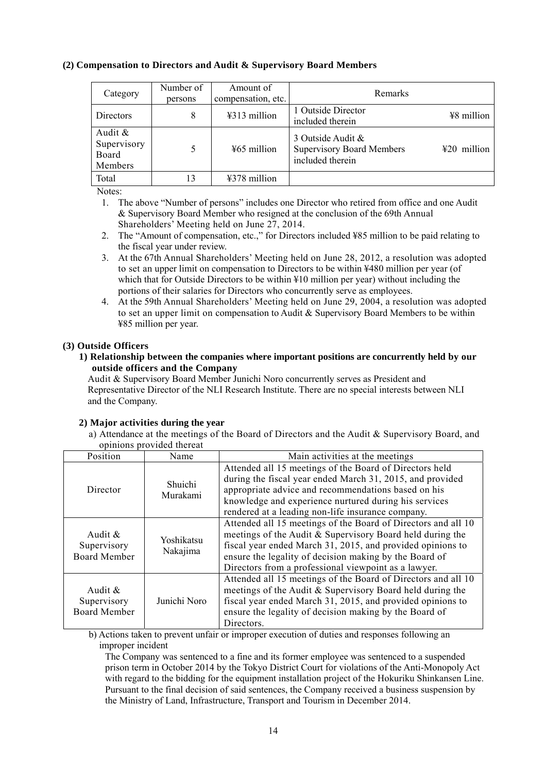# **(2) Compensation to Directors and Audit & Supervisory Board Members**

| Category                                      | Number of<br>persons | Amount of<br>compensation, etc. | Remarks                                                                                     |
|-----------------------------------------------|----------------------|---------------------------------|---------------------------------------------------------------------------------------------|
| Directors                                     | 8                    | ¥313 million                    | 1 Outside Director<br>¥8 million<br>included therein                                        |
| Audit $\&$<br>Supervisory<br>Board<br>Members |                      | ¥65 million                     | 3 Outside Audit $\&$<br><b>Supervisory Board Members</b><br>¥20 million<br>included therein |
| Total                                         | 13                   | ¥378 million                    |                                                                                             |

Notes:

1. The above "Number of persons" includes one Director who retired from office and one Audit & Supervisory Board Member who resigned at the conclusion of the 69th Annual Shareholders' Meeting held on June 27, 2014.

- 2. The "Amount of compensation, etc.," for Directors included ¥85 million to be paid relating to the fiscal year under review.
- 3. At the 67th Annual Shareholders' Meeting held on June 28, 2012, a resolution was adopted to set an upper limit on compensation to Directors to be within ¥480 million per year (of which that for Outside Directors to be within ¥10 million per year) without including the portions of their salaries for Directors who concurrently serve as employees.
- 4. At the 59th Annual Shareholders' Meeting held on June 29, 2004, a resolution was adopted to set an upper limit on compensation to Audit & Supervisory Board Members to be within ¥85 million per year.

# **(3) Outside Officers**

#### **1) Relationship between the companies where important positions are concurrently held by our outside officers and the Company**

Audit & Supervisory Board Member Junichi Noro concurrently serves as President and Representative Director of the NLI Research Institute. There are no special interests between NLI and the Company.

# **2) Major activities during the year**

a) Attendance at the meetings of the Board of Directors and the Audit & Supervisory Board, and opinions provided thereat

|                                                  | opinions provided increat |                                                                                                                                                                                                                                                                                                            |
|--------------------------------------------------|---------------------------|------------------------------------------------------------------------------------------------------------------------------------------------------------------------------------------------------------------------------------------------------------------------------------------------------------|
| Position                                         | Name                      | Main activities at the meetings                                                                                                                                                                                                                                                                            |
| Director                                         | Shuichi<br>Murakami       | Attended all 15 meetings of the Board of Directors held<br>during the fiscal year ended March 31, 2015, and provided<br>appropriate advice and recommendations based on his<br>knowledge and experience nurtured during his services<br>rendered at a leading non-life insurance company.                  |
| Audit $\&$<br>Supervisory<br><b>Board Member</b> | Yoshikatsu<br>Nakajima    | Attended all 15 meetings of the Board of Directors and all 10<br>meetings of the Audit & Supervisory Board held during the<br>fiscal year ended March 31, 2015, and provided opinions to<br>ensure the legality of decision making by the Board of<br>Directors from a professional viewpoint as a lawyer. |
| Audit $\&$<br>Supervisory<br><b>Board Member</b> | Junichi Noro              | Attended all 15 meetings of the Board of Directors and all 10<br>meetings of the Audit & Supervisory Board held during the<br>fiscal year ended March 31, 2015, and provided opinions to<br>ensure the legality of decision making by the Board of<br>Directors.                                           |

b) Actions taken to prevent unfair or improper execution of duties and responses following an improper incident

The Company was sentenced to a fine and its former employee was sentenced to a suspended prison term in October 2014 by the Tokyo District Court for violations of the Anti-Monopoly Act with regard to the bidding for the equipment installation project of the Hokuriku Shinkansen Line. Pursuant to the final decision of said sentences, the Company received a business suspension by the Ministry of Land, Infrastructure, Transport and Tourism in December 2014.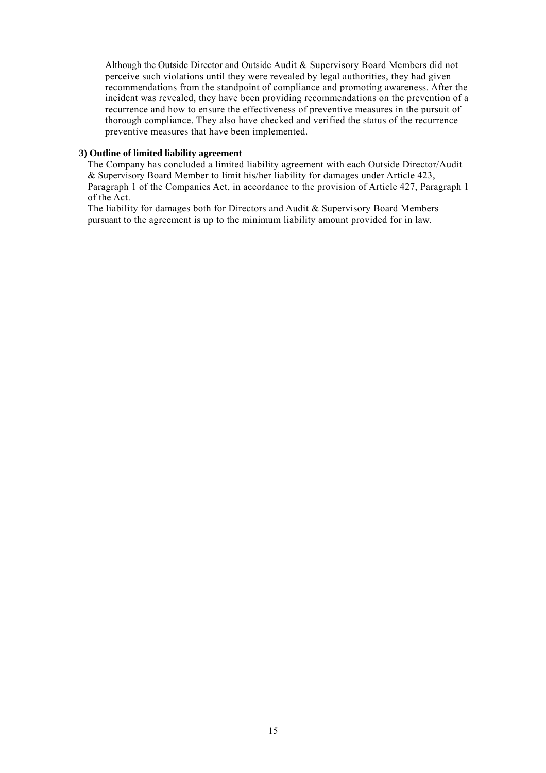Although the Outside Director and Outside Audit & Supervisory Board Members did not perceive such violations until they were revealed by legal authorities, they had given recommendations from the standpoint of compliance and promoting awareness. After the incident was revealed, they have been providing recommendations on the prevention of a recurrence and how to ensure the effectiveness of preventive measures in the pursuit of thorough compliance. They also have checked and verified the status of the recurrence preventive measures that have been implemented.

#### **3) Outline of limited liability agreement**

The Company has concluded a limited liability agreement with each Outside Director/Audit & Supervisory Board Member to limit his/her liability for damages under Article 423, Paragraph 1 of the Companies Act, in accordance to the provision of Article 427, Paragraph 1 of the Act.

The liability for damages both for Directors and Audit & Supervisory Board Members pursuant to the agreement is up to the minimum liability amount provided for in law.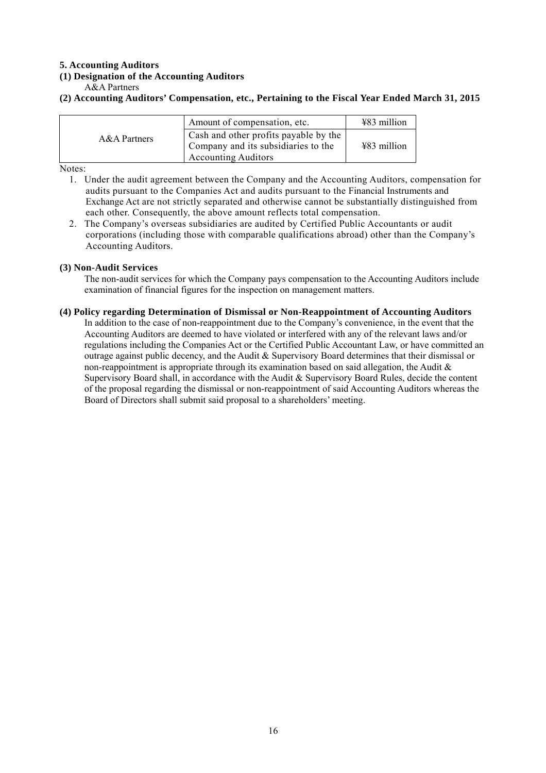# **5. Accounting Auditors**

# **(1) Designation of the Accounting Auditors**

A&A Partners

#### **(2) Accounting Auditors' Compensation, etc., Pertaining to the Fiscal Year Ended March 31, 2015**

|              | Amount of compensation, etc.                                                                               | $\text{\#83}$ million |
|--------------|------------------------------------------------------------------------------------------------------------|-----------------------|
| A&A Partners | Cash and other profits payable by the<br>Company and its subsidiaries to the<br><b>Accounting Auditors</b> | ¥83 million           |

Notes:

- 1. Under the audit agreement between the Company and the Accounting Auditors, compensation for audits pursuant to the Companies Act and audits pursuant to the Financial Instruments and Exchange Act are not strictly separated and otherwise cannot be substantially distinguished from each other. Consequently, the above amount reflects total compensation.
- 2. The Company's overseas subsidiaries are audited by Certified Public Accountants or audit corporations (including those with comparable qualifications abroad) other than the Company's Accounting Auditors.

#### **(3) Non-Audit Services**

The non-audit services for which the Company pays compensation to the Accounting Auditors include examination of financial figures for the inspection on management matters.

#### **(4) Policy regarding Determination of Dismissal or Non-Reappointment of Accounting Auditors**

In addition to the case of non-reappointment due to the Company's convenience, in the event that the Accounting Auditors are deemed to have violated or interfered with any of the relevant laws and/or regulations including the Companies Act or the Certified Public Accountant Law, or have committed an outrage against public decency, and the Audit & Supervisory Board determines that their dismissal or non-reappointment is appropriate through its examination based on said allegation, the Audit  $\&$ Supervisory Board shall, in accordance with the Audit & Supervisory Board Rules, decide the content of the proposal regarding the dismissal or non-reappointment of said Accounting Auditors whereas the Board of Directors shall submit said proposal to a shareholders' meeting.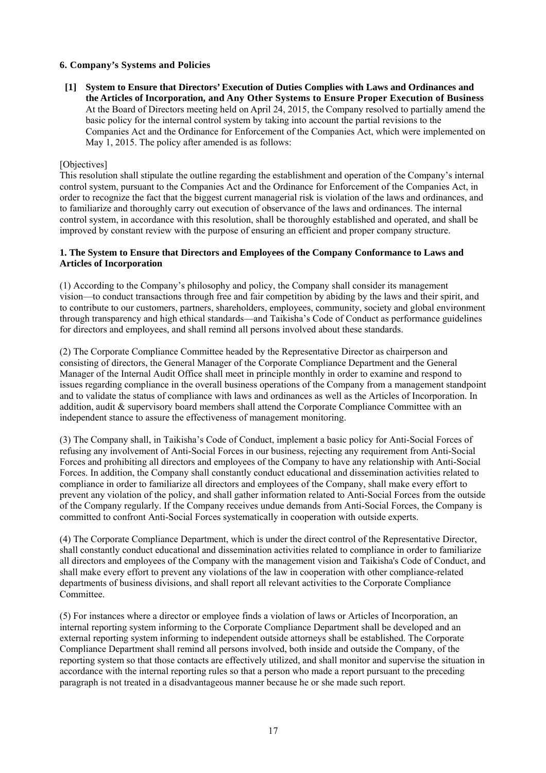# **6. Company's Systems and Policies**

 **[1] System to Ensure that Directors' Execution of Duties Complies with Laws and Ordinances and the Articles of Incorporation, and Any Other Systems to Ensure Proper Execution of Business**  At the Board of Directors meeting held on April 24, 2015, the Company resolved to partially amend the basic policy for the internal control system by taking into account the partial revisions to the Companies Act and the Ordinance for Enforcement of the Companies Act, which were implemented on May 1, 2015. The policy after amended is as follows:

## [Objectives]

This resolution shall stipulate the outline regarding the establishment and operation of the Company's internal control system, pursuant to the Companies Act and the Ordinance for Enforcement of the Companies Act, in order to recognize the fact that the biggest current managerial risk is violation of the laws and ordinances, and to familiarize and thoroughly carry out execution of observance of the laws and ordinances. The internal control system, in accordance with this resolution, shall be thoroughly established and operated, and shall be improved by constant review with the purpose of ensuring an efficient and proper company structure.

## **1. The System to Ensure that Directors and Employees of the Company Conformance to Laws and Articles of Incorporation**

(1) According to the Company's philosophy and policy, the Company shall consider its management vision—to conduct transactions through free and fair competition by abiding by the laws and their spirit, and to contribute to our customers, partners, shareholders, employees, community, society and global environment through transparency and high ethical standards—and Taikisha's Code of Conduct as performance guidelines for directors and employees, and shall remind all persons involved about these standards.

(2) The Corporate Compliance Committee headed by the Representative Director as chairperson and consisting of directors, the General Manager of the Corporate Compliance Department and the General Manager of the Internal Audit Office shall meet in principle monthly in order to examine and respond to issues regarding compliance in the overall business operations of the Company from a management standpoint and to validate the status of compliance with laws and ordinances as well as the Articles of Incorporation. In addition, audit & supervisory board members shall attend the Corporate Compliance Committee with an independent stance to assure the effectiveness of management monitoring.

(3) The Company shall, in Taikisha's Code of Conduct, implement a basic policy for Anti-Social Forces of refusing any involvement of Anti-Social Forces in our business, rejecting any requirement from Anti-Social Forces and prohibiting all directors and employees of the Company to have any relationship with Anti-Social Forces. In addition, the Company shall constantly conduct educational and dissemination activities related to compliance in order to familiarize all directors and employees of the Company, shall make every effort to prevent any violation of the policy, and shall gather information related to Anti-Social Forces from the outside of the Company regularly. If the Company receives undue demands from Anti-Social Forces, the Company is committed to confront Anti-Social Forces systematically in cooperation with outside experts.

(4) The Corporate Compliance Department, which is under the direct control of the Representative Director, shall constantly conduct educational and dissemination activities related to compliance in order to familiarize all directors and employees of the Company with the management vision and Taikisha's Code of Conduct, and shall make every effort to prevent any violations of the law in cooperation with other compliance-related departments of business divisions, and shall report all relevant activities to the Corporate Compliance Committee.

(5) For instances where a director or employee finds a violation of laws or Articles of Incorporation, an internal reporting system informing to the Corporate Compliance Department shall be developed and an external reporting system informing to independent outside attorneys shall be established. The Corporate Compliance Department shall remind all persons involved, both inside and outside the Company, of the reporting system so that those contacts are effectively utilized, and shall monitor and supervise the situation in accordance with the internal reporting rules so that a person who made a report pursuant to the preceding paragraph is not treated in a disadvantageous manner because he or she made such report.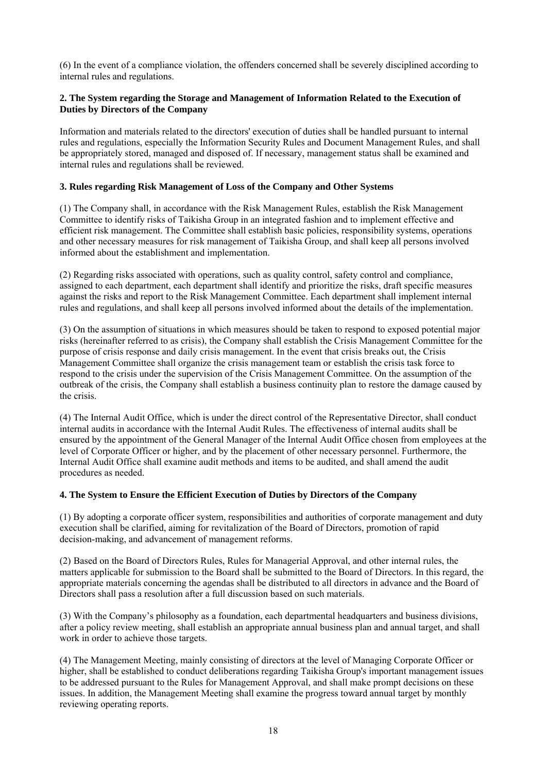(6) In the event of a compliance violation, the offenders concerned shall be severely disciplined according to internal rules and regulations.

# **2. The System regarding the Storage and Management of Information Related to the Execution of Duties by Directors of the Company**

Information and materials related to the directors' execution of duties shall be handled pursuant to internal rules and regulations, especially the Information Security Rules and Document Management Rules, and shall be appropriately stored, managed and disposed of. If necessary, management status shall be examined and internal rules and regulations shall be reviewed.

## **3. Rules regarding Risk Management of Loss of the Company and Other Systems**

(1) The Company shall, in accordance with the Risk Management Rules, establish the Risk Management Committee to identify risks of Taikisha Group in an integrated fashion and to implement effective and efficient risk management. The Committee shall establish basic policies, responsibility systems, operations and other necessary measures for risk management of Taikisha Group, and shall keep all persons involved informed about the establishment and implementation.

(2) Regarding risks associated with operations, such as quality control, safety control and compliance, assigned to each department, each department shall identify and prioritize the risks, draft specific measures against the risks and report to the Risk Management Committee. Each department shall implement internal rules and regulations, and shall keep all persons involved informed about the details of the implementation.

(3) On the assumption of situations in which measures should be taken to respond to exposed potential major risks (hereinafter referred to as crisis), the Company shall establish the Crisis Management Committee for the purpose of crisis response and daily crisis management. In the event that crisis breaks out, the Crisis Management Committee shall organize the crisis management team or establish the crisis task force to respond to the crisis under the supervision of the Crisis Management Committee. On the assumption of the outbreak of the crisis, the Company shall establish a business continuity plan to restore the damage caused by the crisis.

(4) The Internal Audit Office, which is under the direct control of the Representative Director, shall conduct internal audits in accordance with the Internal Audit Rules. The effectiveness of internal audits shall be ensured by the appointment of the General Manager of the Internal Audit Office chosen from employees at the level of Corporate Officer or higher, and by the placement of other necessary personnel. Furthermore, the Internal Audit Office shall examine audit methods and items to be audited, and shall amend the audit procedures as needed.

#### **4. The System to Ensure the Efficient Execution of Duties by Directors of the Company**

(1) By adopting a corporate officer system, responsibilities and authorities of corporate management and duty execution shall be clarified, aiming for revitalization of the Board of Directors, promotion of rapid decision-making, and advancement of management reforms.

(2) Based on the Board of Directors Rules, Rules for Managerial Approval, and other internal rules, the matters applicable for submission to the Board shall be submitted to the Board of Directors. In this regard, the appropriate materials concerning the agendas shall be distributed to all directors in advance and the Board of Directors shall pass a resolution after a full discussion based on such materials.

(3) With the Company's philosophy as a foundation, each departmental headquarters and business divisions, after a policy review meeting, shall establish an appropriate annual business plan and annual target, and shall work in order to achieve those targets.

(4) The Management Meeting, mainly consisting of directors at the level of Managing Corporate Officer or higher, shall be established to conduct deliberations regarding Taikisha Group's important management issues to be addressed pursuant to the Rules for Management Approval, and shall make prompt decisions on these issues. In addition, the Management Meeting shall examine the progress toward annual target by monthly reviewing operating reports.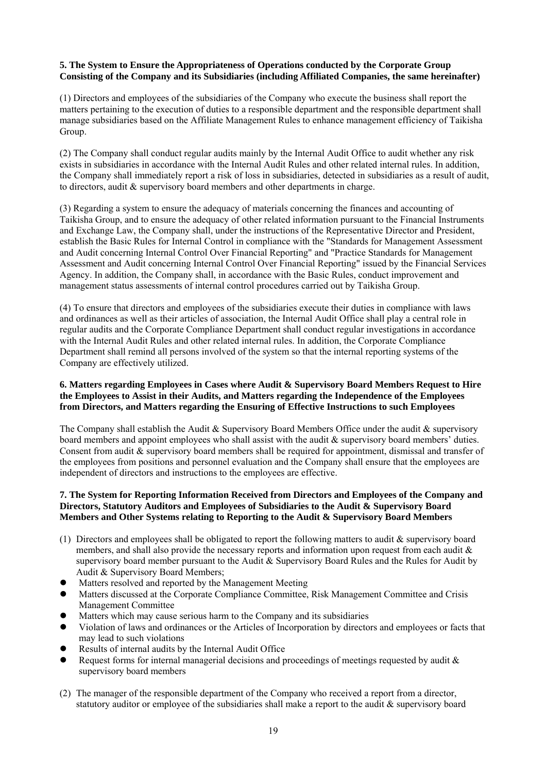# **5. The System to Ensure the Appropriateness of Operations conducted by the Corporate Group Consisting of the Company and its Subsidiaries (including Affiliated Companies, the same hereinafter)**

(1) Directors and employees of the subsidiaries of the Company who execute the business shall report the matters pertaining to the execution of duties to a responsible department and the responsible department shall manage subsidiaries based on the Affiliate Management Rules to enhance management efficiency of Taikisha Group.

(2) The Company shall conduct regular audits mainly by the Internal Audit Office to audit whether any risk exists in subsidiaries in accordance with the Internal Audit Rules and other related internal rules. In addition, the Company shall immediately report a risk of loss in subsidiaries, detected in subsidiaries as a result of audit, to directors, audit & supervisory board members and other departments in charge.

(3) Regarding a system to ensure the adequacy of materials concerning the finances and accounting of Taikisha Group, and to ensure the adequacy of other related information pursuant to the Financial Instruments and Exchange Law, the Company shall, under the instructions of the Representative Director and President, establish the Basic Rules for Internal Control in compliance with the "Standards for Management Assessment and Audit concerning Internal Control Over Financial Reporting" and "Practice Standards for Management Assessment and Audit concerning Internal Control Over Financial Reporting" issued by the Financial Services Agency. In addition, the Company shall, in accordance with the Basic Rules, conduct improvement and management status assessments of internal control procedures carried out by Taikisha Group.

(4) To ensure that directors and employees of the subsidiaries execute their duties in compliance with laws and ordinances as well as their articles of association, the Internal Audit Office shall play a central role in regular audits and the Corporate Compliance Department shall conduct regular investigations in accordance with the Internal Audit Rules and other related internal rules. In addition, the Corporate Compliance Department shall remind all persons involved of the system so that the internal reporting systems of the Company are effectively utilized.

## **6. Matters regarding Employees in Cases where Audit & Supervisory Board Members Request to Hire the Employees to Assist in their Audits, and Matters regarding the Independence of the Employees from Directors, and Matters regarding the Ensuring of Effective Instructions to such Employees**

The Company shall establish the Audit & Supervisory Board Members Office under the audit & supervisory board members and appoint employees who shall assist with the audit & supervisory board members' duties. Consent from audit & supervisory board members shall be required for appointment, dismissal and transfer of the employees from positions and personnel evaluation and the Company shall ensure that the employees are independent of directors and instructions to the employees are effective.

# **7. The System for Reporting Information Received from Directors and Employees of the Company and Directors, Statutory Auditors and Employees of Subsidiaries to the Audit & Supervisory Board Members and Other Systems relating to Reporting to the Audit & Supervisory Board Members**

- (1) Directors and employees shall be obligated to report the following matters to audit & supervisory board members, and shall also provide the necessary reports and information upon request from each audit & supervisory board member pursuant to the Audit & Supervisory Board Rules and the Rules for Audit by Audit & Supervisory Board Members;
- Matters resolved and reported by the Management Meeting
- Matters discussed at the Corporate Compliance Committee, Risk Management Committee and Crisis Management Committee
- Matters which may cause serious harm to the Company and its subsidiaries
- Violation of laws and ordinances or the Articles of Incorporation by directors and employees or facts that may lead to such violations
- Results of internal audits by the Internal Audit Office
- Request forms for internal managerial decisions and proceedings of meetings requested by audit & supervisory board members
- (2) The manager of the responsible department of the Company who received a report from a director, statutory auditor or employee of the subsidiaries shall make a report to the audit & supervisory board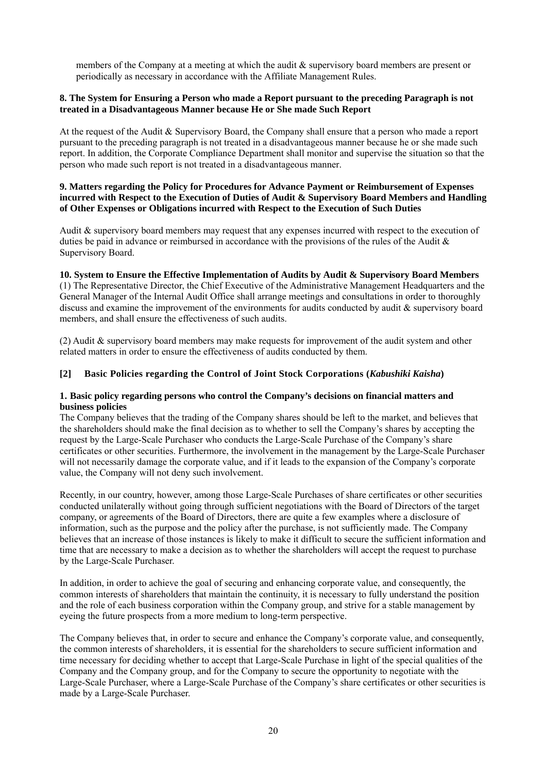members of the Company at a meeting at which the audit & supervisory board members are present or periodically as necessary in accordance with the Affiliate Management Rules.

# **8. The System for Ensuring a Person who made a Report pursuant to the preceding Paragraph is not treated in a Disadvantageous Manner because He or She made Such Report**

At the request of the Audit & Supervisory Board, the Company shall ensure that a person who made a report pursuant to the preceding paragraph is not treated in a disadvantageous manner because he or she made such report. In addition, the Corporate Compliance Department shall monitor and supervise the situation so that the person who made such report is not treated in a disadvantageous manner.

## **9. Matters regarding the Policy for Procedures for Advance Payment or Reimbursement of Expenses incurred with Respect to the Execution of Duties of Audit & Supervisory Board Members and Handling of Other Expenses or Obligations incurred with Respect to the Execution of Such Duties**

Audit & supervisory board members may request that any expenses incurred with respect to the execution of duties be paid in advance or reimbursed in accordance with the provisions of the rules of the Audit  $\&$ Supervisory Board.

#### **10. System to Ensure the Effective Implementation of Audits by Audit & Supervisory Board Members**

(1) The Representative Director, the Chief Executive of the Administrative Management Headquarters and the General Manager of the Internal Audit Office shall arrange meetings and consultations in order to thoroughly discuss and examine the improvement of the environments for audits conducted by audit & supervisory board members, and shall ensure the effectiveness of such audits.

(2) Audit & supervisory board members may make requests for improvement of the audit system and other related matters in order to ensure the effectiveness of audits conducted by them.

#### **[2] Basic Policies regarding the Control of Joint Stock Corporations (***Kabushiki Kaisha***)**

#### **1. Basic policy regarding persons who control the Company's decisions on financial matters and business policies**

The Company believes that the trading of the Company shares should be left to the market, and believes that the shareholders should make the final decision as to whether to sell the Company's shares by accepting the request by the Large-Scale Purchaser who conducts the Large-Scale Purchase of the Company's share certificates or other securities. Furthermore, the involvement in the management by the Large-Scale Purchaser will not necessarily damage the corporate value, and if it leads to the expansion of the Company's corporate value, the Company will not deny such involvement.

Recently, in our country, however, among those Large-Scale Purchases of share certificates or other securities conducted unilaterally without going through sufficient negotiations with the Board of Directors of the target company, or agreements of the Board of Directors, there are quite a few examples where a disclosure of information, such as the purpose and the policy after the purchase, is not sufficiently made. The Company believes that an increase of those instances is likely to make it difficult to secure the sufficient information and time that are necessary to make a decision as to whether the shareholders will accept the request to purchase by the Large-Scale Purchaser.

In addition, in order to achieve the goal of securing and enhancing corporate value, and consequently, the common interests of shareholders that maintain the continuity, it is necessary to fully understand the position and the role of each business corporation within the Company group, and strive for a stable management by eyeing the future prospects from a more medium to long-term perspective.

The Company believes that, in order to secure and enhance the Company's corporate value, and consequently, the common interests of shareholders, it is essential for the shareholders to secure sufficient information and time necessary for deciding whether to accept that Large-Scale Purchase in light of the special qualities of the Company and the Company group, and for the Company to secure the opportunity to negotiate with the Large-Scale Purchaser, where a Large-Scale Purchase of the Company's share certificates or other securities is made by a Large-Scale Purchaser.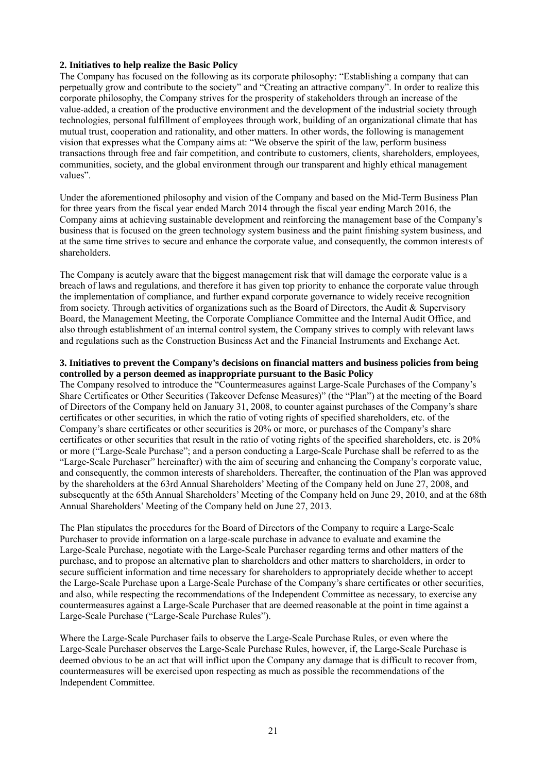## **2. Initiatives to help realize the Basic Policy**

The Company has focused on the following as its corporate philosophy: "Establishing a company that can perpetually grow and contribute to the society" and "Creating an attractive company". In order to realize this corporate philosophy, the Company strives for the prosperity of stakeholders through an increase of the value-added, a creation of the productive environment and the development of the industrial society through technologies, personal fulfillment of employees through work, building of an organizational climate that has mutual trust, cooperation and rationality, and other matters. In other words, the following is management vision that expresses what the Company aims at: "We observe the spirit of the law, perform business transactions through free and fair competition, and contribute to customers, clients, shareholders, employees, communities, society, and the global environment through our transparent and highly ethical management values".

Under the aforementioned philosophy and vision of the Company and based on the Mid-Term Business Plan for three years from the fiscal year ended March 2014 through the fiscal year ending March 2016, the Company aims at achieving sustainable development and reinforcing the management base of the Company's business that is focused on the green technology system business and the paint finishing system business, and at the same time strives to secure and enhance the corporate value, and consequently, the common interests of shareholders.

The Company is acutely aware that the biggest management risk that will damage the corporate value is a breach of laws and regulations, and therefore it has given top priority to enhance the corporate value through the implementation of compliance, and further expand corporate governance to widely receive recognition from society. Through activities of organizations such as the Board of Directors, the Audit & Supervisory Board, the Management Meeting, the Corporate Compliance Committee and the Internal Audit Office, and also through establishment of an internal control system, the Company strives to comply with relevant laws and regulations such as the Construction Business Act and the Financial Instruments and Exchange Act.

#### **3. Initiatives to prevent the Company's decisions on financial matters and business policies from being controlled by a person deemed as inappropriate pursuant to the Basic Policy**

The Company resolved to introduce the "Countermeasures against Large-Scale Purchases of the Company's Share Certificates or Other Securities (Takeover Defense Measures)" (the "Plan") at the meeting of the Board of Directors of the Company held on January 31, 2008, to counter against purchases of the Company's share certificates or other securities, in which the ratio of voting rights of specified shareholders, etc. of the Company's share certificates or other securities is 20% or more, or purchases of the Company's share certificates or other securities that result in the ratio of voting rights of the specified shareholders, etc. is 20% or more ("Large-Scale Purchase"; and a person conducting a Large-Scale Purchase shall be referred to as the "Large-Scale Purchaser" hereinafter) with the aim of securing and enhancing the Company's corporate value, and consequently, the common interests of shareholders. Thereafter, the continuation of the Plan was approved by the shareholders at the 63rd Annual Shareholders' Meeting of the Company held on June 27, 2008, and subsequently at the 65th Annual Shareholders' Meeting of the Company held on June 29, 2010, and at the 68th Annual Shareholders' Meeting of the Company held on June 27, 2013.

The Plan stipulates the procedures for the Board of Directors of the Company to require a Large-Scale Purchaser to provide information on a large-scale purchase in advance to evaluate and examine the Large-Scale Purchase, negotiate with the Large-Scale Purchaser regarding terms and other matters of the purchase, and to propose an alternative plan to shareholders and other matters to shareholders, in order to secure sufficient information and time necessary for shareholders to appropriately decide whether to accept the Large-Scale Purchase upon a Large-Scale Purchase of the Company's share certificates or other securities, and also, while respecting the recommendations of the Independent Committee as necessary, to exercise any countermeasures against a Large-Scale Purchaser that are deemed reasonable at the point in time against a Large-Scale Purchase ("Large-Scale Purchase Rules").

Where the Large-Scale Purchaser fails to observe the Large-Scale Purchase Rules, or even where the Large-Scale Purchaser observes the Large-Scale Purchase Rules, however, if, the Large-Scale Purchase is deemed obvious to be an act that will inflict upon the Company any damage that is difficult to recover from, countermeasures will be exercised upon respecting as much as possible the recommendations of the Independent Committee.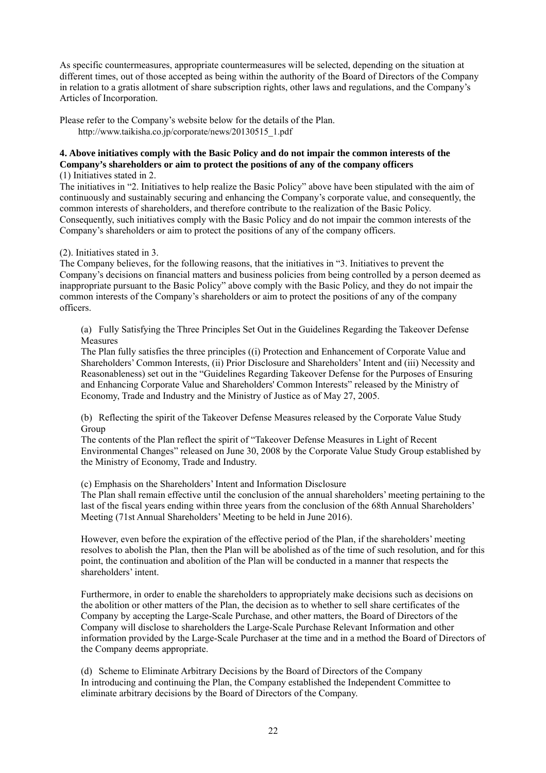As specific countermeasures, appropriate countermeasures will be selected, depending on the situation at different times, out of those accepted as being within the authority of the Board of Directors of the Company in relation to a gratis allotment of share subscription rights, other laws and regulations, and the Company's Articles of Incorporation.

Please refer to the Company's website below for the details of the Plan. http://www.taikisha.co.jp/corporate/news/20130515\_1.pdf

# **4. Above initiatives comply with the Basic Policy and do not impair the common interests of the Company's shareholders or aim to protect the positions of any of the company officers**

(1) Initiatives stated in 2.

The initiatives in "2. Initiatives to help realize the Basic Policy" above have been stipulated with the aim of continuously and sustainably securing and enhancing the Company's corporate value, and consequently, the common interests of shareholders, and therefore contribute to the realization of the Basic Policy. Consequently, such initiatives comply with the Basic Policy and do not impair the common interests of the Company's shareholders or aim to protect the positions of any of the company officers.

# (2). Initiatives stated in 3.

The Company believes, for the following reasons, that the initiatives in "3. Initiatives to prevent the Company's decisions on financial matters and business policies from being controlled by a person deemed as inappropriate pursuant to the Basic Policy" above comply with the Basic Policy, and they do not impair the common interests of the Company's shareholders or aim to protect the positions of any of the company officers.

 (a) Fully Satisfying the Three Principles Set Out in the Guidelines Regarding the Takeover Defense Measures

The Plan fully satisfies the three principles ((i) Protection and Enhancement of Corporate Value and Shareholders' Common Interests, (ii) Prior Disclosure and Shareholders' Intent and (iii) Necessity and Reasonableness) set out in the "Guidelines Regarding Takeover Defense for the Purposes of Ensuring and Enhancing Corporate Value and Shareholders' Common Interests" released by the Ministry of Economy, Trade and Industry and the Ministry of Justice as of May 27, 2005.

 (b) Reflecting the spirit of the Takeover Defense Measures released by the Corporate Value Study Group

The contents of the Plan reflect the spirit of "Takeover Defense Measures in Light of Recent Environmental Changes" released on June 30, 2008 by the Corporate Value Study Group established by the Ministry of Economy, Trade and Industry.

(c) Emphasis on the Shareholders' Intent and Information Disclosure

The Plan shall remain effective until the conclusion of the annual shareholders' meeting pertaining to the last of the fiscal years ending within three years from the conclusion of the 68th Annual Shareholders' Meeting (71st Annual Shareholders' Meeting to be held in June 2016).

However, even before the expiration of the effective period of the Plan, if the shareholders' meeting resolves to abolish the Plan, then the Plan will be abolished as of the time of such resolution, and for this point, the continuation and abolition of the Plan will be conducted in a manner that respects the shareholders' intent.

Furthermore, in order to enable the shareholders to appropriately make decisions such as decisions on the abolition or other matters of the Plan, the decision as to whether to sell share certificates of the Company by accepting the Large-Scale Purchase, and other matters, the Board of Directors of the Company will disclose to shareholders the Large-Scale Purchase Relevant Information and other information provided by the Large-Scale Purchaser at the time and in a method the Board of Directors of the Company deems appropriate.

 (d) Scheme to Eliminate Arbitrary Decisions by the Board of Directors of the Company In introducing and continuing the Plan, the Company established the Independent Committee to eliminate arbitrary decisions by the Board of Directors of the Company.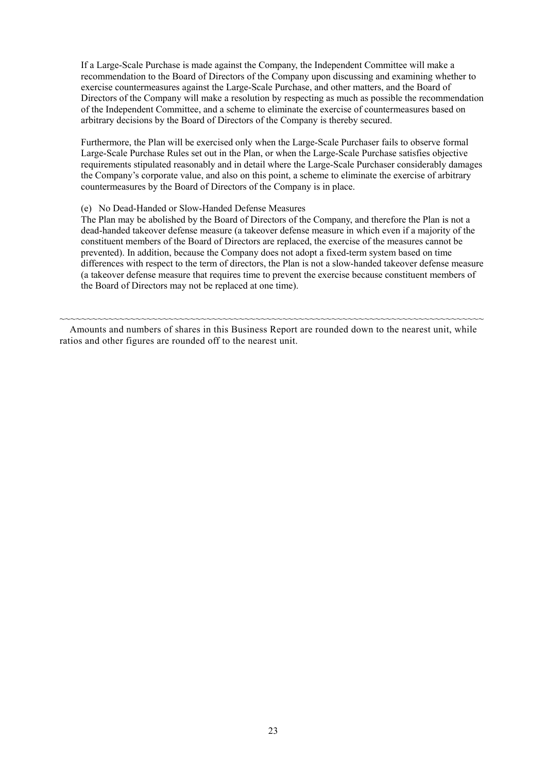If a Large-Scale Purchase is made against the Company, the Independent Committee will make a recommendation to the Board of Directors of the Company upon discussing and examining whether to exercise countermeasures against the Large-Scale Purchase, and other matters, and the Board of Directors of the Company will make a resolution by respecting as much as possible the recommendation of the Independent Committee, and a scheme to eliminate the exercise of countermeasures based on arbitrary decisions by the Board of Directors of the Company is thereby secured.

Furthermore, the Plan will be exercised only when the Large-Scale Purchaser fails to observe formal Large-Scale Purchase Rules set out in the Plan, or when the Large-Scale Purchase satisfies objective requirements stipulated reasonably and in detail where the Large-Scale Purchaser considerably damages the Company's corporate value, and also on this point, a scheme to eliminate the exercise of arbitrary countermeasures by the Board of Directors of the Company is in place.

#### (e) No Dead-Handed or Slow-Handed Defense Measures

 The Plan may be abolished by the Board of Directors of the Company, and therefore the Plan is not a dead-handed takeover defense measure (a takeover defense measure in which even if a majority of the constituent members of the Board of Directors are replaced, the exercise of the measures cannot be prevented). In addition, because the Company does not adopt a fixed-term system based on time differences with respect to the term of directors, the Plan is not a slow-handed takeover defense measure (a takeover defense measure that requires time to prevent the exercise because constituent members of the Board of Directors may not be replaced at one time).

Amounts and numbers of shares in this Business Report are rounded down to the nearest unit, while ratios and other figures are rounded off to the nearest unit.

~~~~~~~~~~~~~~~~~~~~~~~~~~~~~~~~~~~~~~~~~~~~~~~~~~~~~~~~~~~~~~~~~~~~~~~~~~~~~~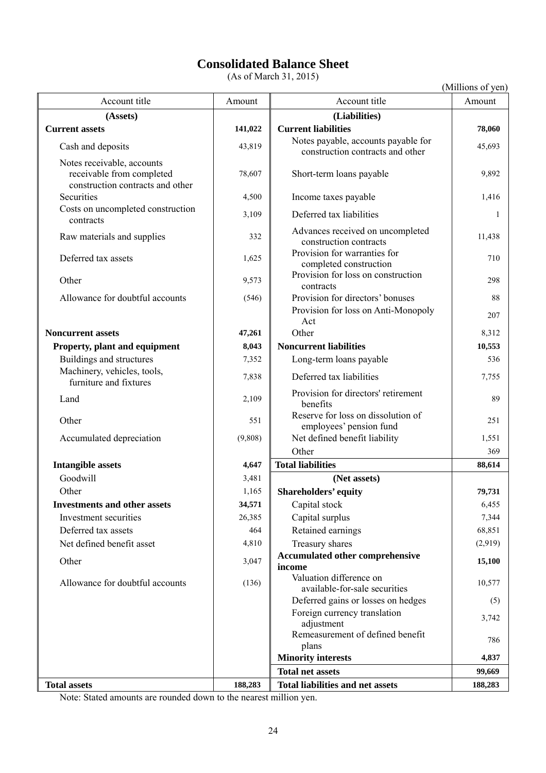# **Consolidated Balance Sheet**

(As of March 31, 2015)

(Millions of yen)

| Account title                                                                               | Amount  | Account title<br>Amount                                                        |           |
|---------------------------------------------------------------------------------------------|---------|--------------------------------------------------------------------------------|-----------|
| (Assets)                                                                                    |         | (Liabilities)                                                                  |           |
| 141,022<br><b>Current assets</b>                                                            |         | <b>Current liabilities</b>                                                     | 78,060    |
| Cash and deposits                                                                           | 43,819  | Notes payable, accounts payable for<br>construction contracts and other        | 45,693    |
| Notes receivable, accounts<br>receivable from completed<br>construction contracts and other | 78,607  | Short-term loans payable                                                       | 9,892     |
| Securities                                                                                  | 4,500   | Income taxes payable                                                           | 1,416     |
| Costs on uncompleted construction<br>contracts                                              | 3,109   | Deferred tax liabilities                                                       | 1         |
| Raw materials and supplies                                                                  | 332     | Advances received on uncompleted<br>construction contracts                     | 11,438    |
| Deferred tax assets                                                                         | 1,625   | Provision for warranties for<br>completed construction                         | 710       |
| Other                                                                                       | 9,573   | Provision for loss on construction<br>contracts                                | 298       |
| Allowance for doubtful accounts                                                             | (546)   | Provision for directors' bonuses<br>Provision for loss on Anti-Monopoly<br>Act | 88<br>207 |
| <b>Noncurrent assets</b>                                                                    | 47,261  | Other                                                                          | 8,312     |
| Property, plant and equipment                                                               | 8,043   | <b>Noncurrent liabilities</b>                                                  | 10,553    |
| Buildings and structures                                                                    | 7,352   | Long-term loans payable                                                        | 536       |
| Machinery, vehicles, tools,<br>furniture and fixtures                                       | 7,838   | Deferred tax liabilities                                                       | 7,755     |
| Land                                                                                        | 2,109   | Provision for directors' retirement<br>benefits                                |           |
| Other                                                                                       | 551     | Reserve for loss on dissolution of<br>employees' pension fund                  | 251       |
| Accumulated depreciation                                                                    | (9,808) | Net defined benefit liability                                                  |           |
|                                                                                             |         | Other                                                                          | 369       |
| <b>Intangible assets</b>                                                                    | 4,647   | <b>Total liabilities</b>                                                       | 88,614    |
| Goodwill                                                                                    | 3,481   | (Net assets)                                                                   |           |
| Other                                                                                       | 1,165   | <b>Shareholders' equity</b>                                                    | 79,731    |
| <b>Investments and other assets</b>                                                         | 34,571  | Capital stock                                                                  | 6,455     |
| Investment securities                                                                       | 26,385  | Capital surplus                                                                | 7,344     |
| Deferred tax assets                                                                         | 464     | Retained earnings                                                              | 68,851    |
| Net defined benefit asset                                                                   | 4,810   | Treasury shares<br>(2,919)                                                     |           |
| Other                                                                                       | 3,047   | <b>Accumulated other comprehensive</b><br>15,100<br>income                     |           |
| Allowance for doubtful accounts                                                             | (136)   | Valuation difference on<br>available-for-sale securities                       | 10,577    |
|                                                                                             |         | Deferred gains or losses on hedges                                             | (5)       |
|                                                                                             |         | Foreign currency translation<br>adjustment                                     | 3,742     |
|                                                                                             |         | Remeasurement of defined benefit<br>plans                                      | 786       |
|                                                                                             |         | <b>Minority interests</b>                                                      | 4,837     |
|                                                                                             |         | <b>Total net assets</b>                                                        | 99,669    |
| <b>Total assets</b>                                                                         | 188,283 | <b>Total liabilities and net assets</b>                                        | 188,283   |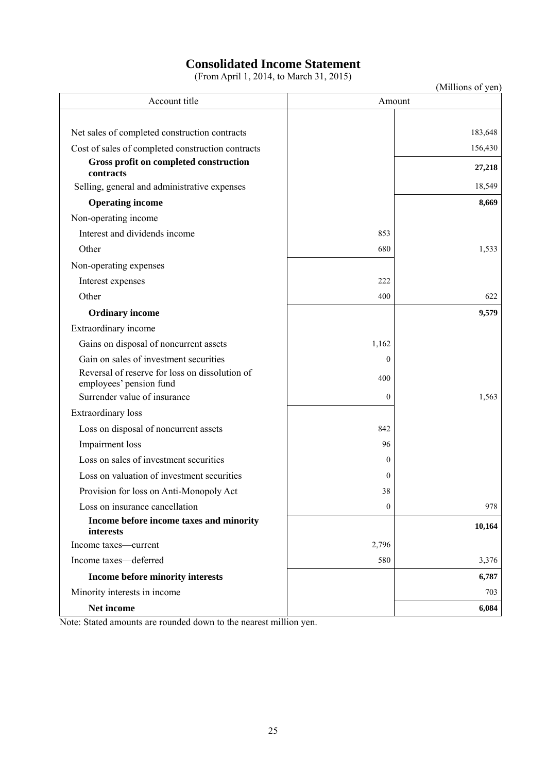# **Consolidated Income Statement**

(From April 1, 2014, to March 31, 2015)

| (Millions of yen) |  |
|-------------------|--|
|-------------------|--|

| Account title                                                             | Amount       |         |
|---------------------------------------------------------------------------|--------------|---------|
|                                                                           |              |         |
| Net sales of completed construction contracts                             |              | 183,648 |
| Cost of sales of completed construction contracts                         |              | 156,430 |
| Gross profit on completed construction<br>contracts                       |              | 27,218  |
| Selling, general and administrative expenses                              |              | 18,549  |
| <b>Operating income</b>                                                   |              | 8,669   |
| Non-operating income                                                      |              |         |
| Interest and dividends income                                             | 853          |         |
| Other                                                                     | 680          | 1,533   |
| Non-operating expenses                                                    |              |         |
| Interest expenses                                                         | 222          |         |
| Other                                                                     | 400          | 622     |
| <b>Ordinary income</b>                                                    |              | 9,579   |
| Extraordinary income                                                      |              |         |
| Gains on disposal of noncurrent assets                                    | 1,162        |         |
| Gain on sales of investment securities                                    | $\theta$     |         |
| Reversal of reserve for loss on dissolution of<br>employees' pension fund | 400          |         |
| Surrender value of insurance                                              | $\theta$     | 1,563   |
| Extraordinary loss                                                        |              |         |
| Loss on disposal of noncurrent assets                                     | 842          |         |
| Impairment loss                                                           | 96           |         |
| Loss on sales of investment securities                                    | $\Omega$     |         |
| Loss on valuation of investment securities                                | $\mathbf{0}$ |         |
| Provision for loss on Anti-Monopoly Act                                   | 38           |         |
| Loss on insurance cancellation                                            | 0            | 978     |
| Income before income taxes and minority<br>interests                      |              | 10,164  |
| Income taxes-current                                                      | 2,796        |         |
| Income taxes-deferred                                                     | 580          | 3,376   |
| Income before minority interests                                          |              | 6,787   |
| Minority interests in income                                              |              | 703     |
| Net income                                                                |              | 6,084   |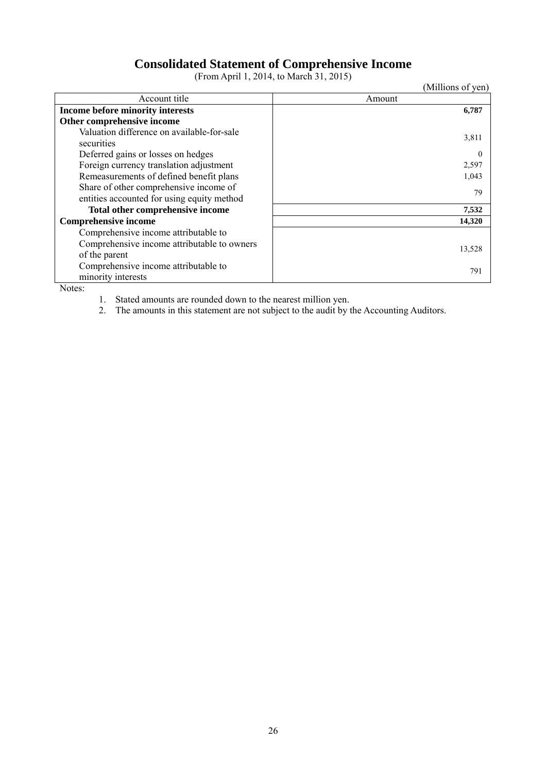# **Consolidated Statement of Comprehensive Income**

(From April 1, 2014, to March 31, 2015)

(Millions of yen)

| Account title                               | Amount   |
|---------------------------------------------|----------|
| Income before minority interests            | 6,787    |
| Other comprehensive income                  |          |
| Valuation difference on available-for-sale  | 3,811    |
| securities                                  |          |
| Deferred gains or losses on hedges          | $\Omega$ |
| Foreign currency translation adjustment     | 2,597    |
| Remeasurements of defined benefit plans     | 1,043    |
| Share of other comprehensive income of      | 79       |
| entities accounted for using equity method  |          |
| Total other comprehensive income            | 7,532    |
| <b>Comprehensive income</b>                 | 14,320   |
| Comprehensive income attributable to        |          |
| Comprehensive income attributable to owners |          |
| of the parent                               | 13,528   |
| Comprehensive income attributable to        | 791      |
| minority interests                          |          |

Notes:

1. Stated amounts are rounded down to the nearest million yen.

2. The amounts in this statement are not subject to the audit by the Accounting Auditors.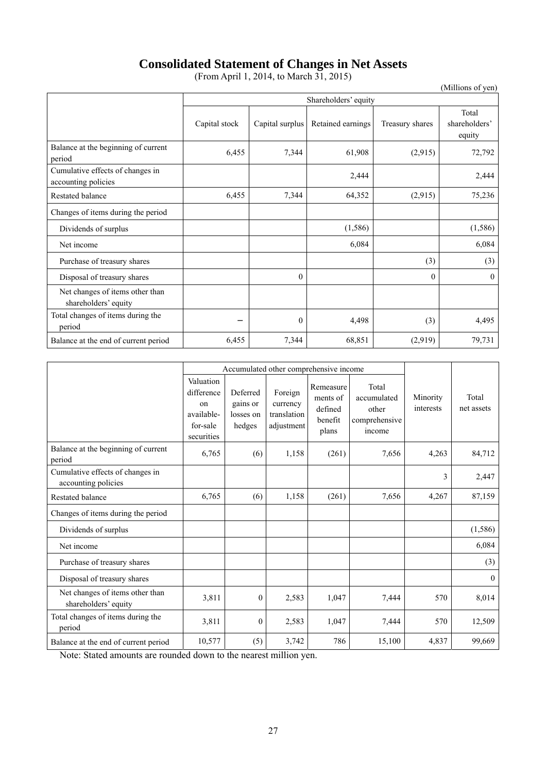# **Consolidated Statement of Changes in Net Assets**

(From April 1, 2014, to March 31, 2015)

(Millions of yen)

|                                                         | Shareholders' equity |                 |                   |                 |                                  |  |
|---------------------------------------------------------|----------------------|-----------------|-------------------|-----------------|----------------------------------|--|
|                                                         | Capital stock        | Capital surplus | Retained earnings | Treasury shares | Total<br>shareholders'<br>equity |  |
| Balance at the beginning of current<br>period           | 6,455                | 7,344           | 61,908            | (2,915)         | 72,792                           |  |
| Cumulative effects of changes in<br>accounting policies |                      |                 | 2,444             |                 | 2,444                            |  |
| <b>Restated balance</b>                                 | 6,455                | 7,344           | 64,352            | (2,915)         | 75,236                           |  |
| Changes of items during the period                      |                      |                 |                   |                 |                                  |  |
| Dividends of surplus                                    |                      |                 | (1, 586)          |                 | (1, 586)                         |  |
| Net income                                              |                      |                 | 6,084             |                 | 6,084                            |  |
| Purchase of treasury shares                             |                      |                 |                   | (3)             | (3)                              |  |
| Disposal of treasury shares                             |                      | $\theta$        |                   | $\theta$        | $\theta$                         |  |
| Net changes of items other than<br>shareholders' equity |                      |                 |                   |                 |                                  |  |
| Total changes of items during the<br>period             |                      | $\overline{0}$  | 4,498             | (3)             | 4,495                            |  |
| Balance at the end of current period                    | 6,455                | 7,344           | 68,851            | (2,919)         | 79,731                           |  |

|                                                         | Accumulated other comprehensive income                                           |                                             |                                                  |                                                      |                                                          |                       |                     |
|---------------------------------------------------------|----------------------------------------------------------------------------------|---------------------------------------------|--------------------------------------------------|------------------------------------------------------|----------------------------------------------------------|-----------------------|---------------------|
|                                                         | Valuation<br>difference<br><sub>on</sub><br>available-<br>for-sale<br>securities | Deferred<br>gains or<br>losses on<br>hedges | Foreign<br>currency<br>translation<br>adjustment | Remeasure<br>ments of<br>defined<br>benefit<br>plans | Total<br>accumulated<br>other<br>comprehensive<br>income | Minority<br>interests | Total<br>net assets |
| Balance at the beginning of current<br>period           | 6,765                                                                            | (6)                                         | 1,158                                            | (261)                                                | 7,656                                                    | 4,263                 | 84,712              |
| Cumulative effects of changes in<br>accounting policies |                                                                                  |                                             |                                                  |                                                      |                                                          | 3                     | 2,447               |
| <b>Restated balance</b>                                 | 6,765                                                                            | (6)                                         | 1,158                                            | (261)                                                | 7,656                                                    | 4,267                 | 87,159              |
| Changes of items during the period                      |                                                                                  |                                             |                                                  |                                                      |                                                          |                       |                     |
| Dividends of surplus                                    |                                                                                  |                                             |                                                  |                                                      |                                                          |                       | (1, 586)            |
| Net income                                              |                                                                                  |                                             |                                                  |                                                      |                                                          |                       | 6,084               |
| Purchase of treasury shares                             |                                                                                  |                                             |                                                  |                                                      |                                                          |                       | (3)                 |
| Disposal of treasury shares                             |                                                                                  |                                             |                                                  |                                                      |                                                          |                       | $\overline{0}$      |
| Net changes of items other than<br>shareholders' equity | 3,811                                                                            | $\boldsymbol{0}$                            | 2,583                                            | 1,047                                                | 7,444                                                    | 570                   | 8,014               |
| Total changes of items during the<br>period             | 3,811                                                                            | $\boldsymbol{0}$                            | 2,583                                            | 1,047                                                | 7,444                                                    | 570                   | 12,509              |
| Balance at the end of current period                    | 10,577                                                                           | (5)                                         | 3,742                                            | 786                                                  | 15,100                                                   | 4,837                 | 99,669              |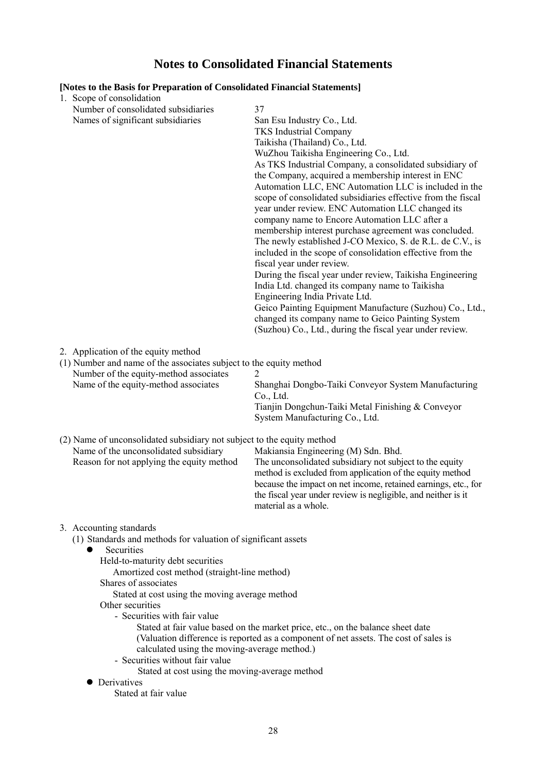# **Notes to Consolidated Financial Statements**

| [Notes to the Basis for Preparation of Consolidated Financial Statements]<br>1. Scope of consolidation                                                                                                                                                                                                                                                                                                                                                                                               |                                                                                                                                                                                                                                                                                                                                                                                                                                                                                                                                                                                                                                                                                                                                                                                                                                                                                                                                                                                                                                            |
|------------------------------------------------------------------------------------------------------------------------------------------------------------------------------------------------------------------------------------------------------------------------------------------------------------------------------------------------------------------------------------------------------------------------------------------------------------------------------------------------------|--------------------------------------------------------------------------------------------------------------------------------------------------------------------------------------------------------------------------------------------------------------------------------------------------------------------------------------------------------------------------------------------------------------------------------------------------------------------------------------------------------------------------------------------------------------------------------------------------------------------------------------------------------------------------------------------------------------------------------------------------------------------------------------------------------------------------------------------------------------------------------------------------------------------------------------------------------------------------------------------------------------------------------------------|
| Number of consolidated subsidiaries<br>Names of significant subsidiaries                                                                                                                                                                                                                                                                                                                                                                                                                             | 37<br>San Esu Industry Co., Ltd.<br><b>TKS</b> Industrial Company<br>Taikisha (Thailand) Co., Ltd.<br>WuZhou Taikisha Engineering Co., Ltd.<br>As TKS Industrial Company, a consolidated subsidiary of<br>the Company, acquired a membership interest in ENC<br>Automation LLC, ENC Automation LLC is included in the<br>scope of consolidated subsidiaries effective from the fiscal<br>year under review. ENC Automation LLC changed its<br>company name to Encore Automation LLC after a<br>membership interest purchase agreement was concluded.<br>The newly established J-CO Mexico, S. de R.L. de C.V., is<br>included in the scope of consolidation effective from the<br>fiscal year under review.<br>During the fiscal year under review, Taikisha Engineering<br>India Ltd. changed its company name to Taikisha<br>Engineering India Private Ltd.<br>Geico Painting Equipment Manufacture (Suzhou) Co., Ltd.,<br>changed its company name to Geico Painting System<br>(Suzhou) Co., Ltd., during the fiscal year under review. |
| 2. Application of the equity method<br>(1) Number and name of the associates subject to the equity method<br>Number of the equity-method associates<br>Name of the equity-method associates                                                                                                                                                                                                                                                                                                          | 2<br>Shanghai Dongbo-Taiki Conveyor System Manufacturing<br>Co., Ltd.<br>Tianjin Dongchun-Taiki Metal Finishing & Conveyor<br>System Manufacturing Co., Ltd.                                                                                                                                                                                                                                                                                                                                                                                                                                                                                                                                                                                                                                                                                                                                                                                                                                                                               |
| (2) Name of unconsolidated subsidiary not subject to the equity method<br>Name of the unconsolidated subsidiary<br>Reason for not applying the equity method                                                                                                                                                                                                                                                                                                                                         | Makiansia Engineering (M) Sdn. Bhd.<br>The unconsolidated subsidiary not subject to the equity<br>method is excluded from application of the equity method<br>because the impact on net income, retained earnings, etc., for<br>the fiscal year under review is negligible, and neither is it<br>material as a whole.                                                                                                                                                                                                                                                                                                                                                                                                                                                                                                                                                                                                                                                                                                                      |
| 3. Accounting standards<br>(1) Standards and methods for valuation of significant assets<br>Securities<br>Held-to-maturity debt securities<br>Amortized cost method (straight-line method)<br>Shares of associates<br>Stated at cost using the moving average method<br>Other securities<br>- Securities with fair value<br>calculated using the moving-average method.)<br>- Securities without fair value<br>Stated at cost using the moving-average method<br>Derivatives<br>Stated at fair value | Stated at fair value based on the market price, etc., on the balance sheet date<br>(Valuation difference is reported as a component of net assets. The cost of sales is                                                                                                                                                                                                                                                                                                                                                                                                                                                                                                                                                                                                                                                                                                                                                                                                                                                                    |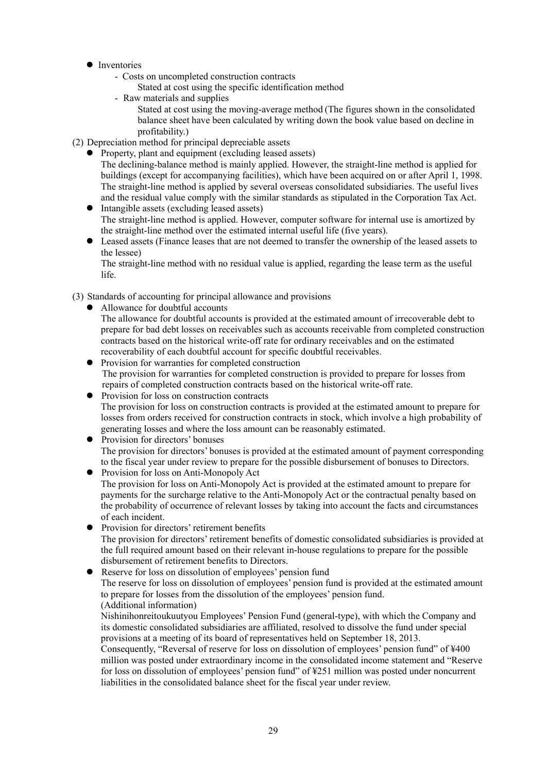- **•** Inventories
	- Costs on uncompleted construction contracts
		- Stated at cost using the specific identification method
	- Raw materials and supplies

Stated at cost using the moving-average method (The figures shown in the consolidated balance sheet have been calculated by writing down the book value based on decline in profitability.)

(2) Depreciation method for principal depreciable assets

- Property, plant and equipment (excluding leased assets) The declining-balance method is mainly applied. However, the straight-line method is applied for buildings (except for accompanying facilities), which have been acquired on or after April 1, 1998. The straight-line method is applied by several overseas consolidated subsidiaries. The useful lives and the residual value comply with the similar standards as stipulated in the Corporation Tax Act.
- Intangible assets (excluding leased assets) The straight-line method is applied. However, computer software for internal use is amortized by the straight-line method over the estimated internal useful life (five years).
- Leased assets (Finance leases that are not deemed to transfer the ownership of the leased assets to the lessee)

The straight-line method with no residual value is applied, regarding the lease term as the useful life.

(3) Standards of accounting for principal allowance and provisions

• Allowance for doubtful accounts

The allowance for doubtful accounts is provided at the estimated amount of irrecoverable debt to prepare for bad debt losses on receivables such as accounts receivable from completed construction contracts based on the historical write-off rate for ordinary receivables and on the estimated recoverability of each doubtful account for specific doubtful receivables.

• Provision for warranties for completed construction The provision for warranties for completed construction is provided to prepare for losses from repairs of completed construction contracts based on the historical write-off rate.

• Provision for loss on construction contracts The provision for loss on construction contracts is provided at the estimated amount to prepare for losses from orders received for construction contracts in stock, which involve a high probability of generating losses and where the loss amount can be reasonably estimated.

- Provision for directors' bonuses The provision for directors' bonuses is provided at the estimated amount of payment corresponding to the fiscal year under review to prepare for the possible disbursement of bonuses to Directors.
- Provision for loss on Anti-Monopoly Act The provision for loss on Anti-Monopoly Act is provided at the estimated amount to prepare for payments for the surcharge relative to the Anti-Monopoly Act or the contractual penalty based on the probability of occurrence of relevant losses by taking into account the facts and circumstances of each incident.
- Provision for directors' retirement benefits The provision for directors' retirement benefits of domestic consolidated subsidiaries is provided at the full required amount based on their relevant in-house regulations to prepare for the possible disbursement of retirement benefits to Directors.

 Reserve for loss on dissolution of employees' pension fund The reserve for loss on dissolution of employees' pension fund is provided at the estimated amount to prepare for losses from the dissolution of the employees' pension fund. (Additional information)

Nishinihonreitoukuutyou Employees' Pension Fund (general-type), with which the Company and its domestic consolidated subsidiaries are affiliated, resolved to dissolve the fund under special provisions at a meeting of its board of representatives held on September 18, 2013.

Consequently, "Reversal of reserve for loss on dissolution of employees' pension fund" of ¥400 million was posted under extraordinary income in the consolidated income statement and "Reserve for loss on dissolution of employees' pension fund" of ¥251 million was posted under noncurrent liabilities in the consolidated balance sheet for the fiscal year under review.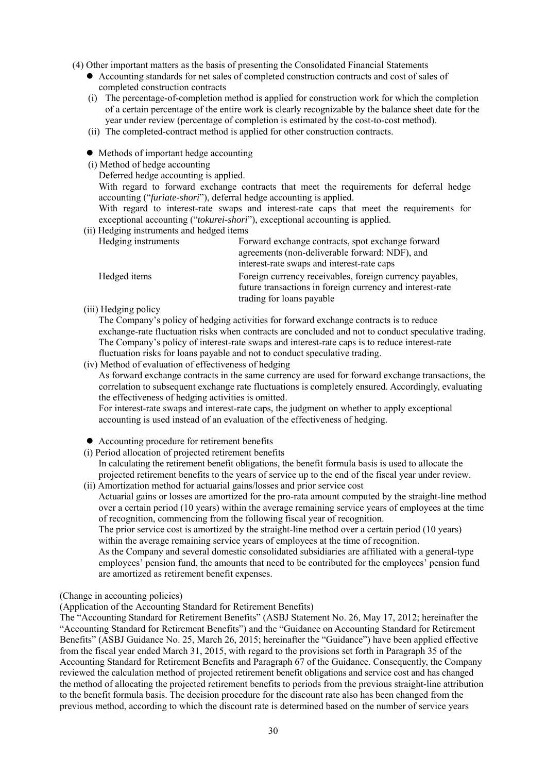(4) Other important matters as the basis of presenting the Consolidated Financial Statements

- Accounting standards for net sales of completed construction contracts and cost of sales of completed construction contracts
- (i) The percentage-of-completion method is applied for construction work for which the completion of a certain percentage of the entire work is clearly recognizable by the balance sheet date for the year under review (percentage of completion is estimated by the cost-to-cost method).
- (ii) The completed-contract method is applied for other construction contracts.
- Methods of important hedge accounting
- (i) Method of hedge accounting
	- Deferred hedge accounting is applied.

With regard to forward exchange contracts that meet the requirements for deferral hedge accounting ("*furiate-shori*"), deferral hedge accounting is applied.

With regard to interest-rate swaps and interest-rate caps that meet the requirements for exceptional accounting ("*tokurei-shori*"), exceptional accounting is applied.

(ii) Hedging instruments and hedged items

| Hedging instruments | Forward exchange contracts, spot exchange forward         |
|---------------------|-----------------------------------------------------------|
|                     | agreements (non-deliverable forward: NDF), and            |
|                     | interest-rate swaps and interest-rate caps                |
| Hedged items        | Foreign currency receivables, foreign currency payables,  |
|                     | future transactions in foreign currency and interest-rate |
|                     | trading for loans payable                                 |

(iii) Hedging policy

The Company's policy of hedging activities for forward exchange contracts is to reduce exchange-rate fluctuation risks when contracts are concluded and not to conduct speculative trading. The Company's policy of interest-rate swaps and interest-rate caps is to reduce interest-rate fluctuation risks for loans payable and not to conduct speculative trading.

(iv) Method of evaluation of effectiveness of hedging

As forward exchange contracts in the same currency are used for forward exchange transactions, the correlation to subsequent exchange rate fluctuations is completely ensured. Accordingly, evaluating the effectiveness of hedging activities is omitted.

For interest-rate swaps and interest-rate caps, the judgment on whether to apply exceptional accounting is used instead of an evaluation of the effectiveness of hedging.

- Accounting procedure for retirement benefits
- (i) Period allocation of projected retirement benefits

In calculating the retirement benefit obligations, the benefit formula basis is used to allocate the projected retirement benefits to the years of service up to the end of the fiscal year under review. (ii) Amortization method for actuarial gains/losses and prior service cost

Actuarial gains or losses are amortized for the pro-rata amount computed by the straight-line method over a certain period (10 years) within the average remaining service years of employees at the time of recognition, commencing from the following fiscal year of recognition.

The prior service cost is amortized by the straight-line method over a certain period (10 years) within the average remaining service years of employees at the time of recognition.

As the Company and several domestic consolidated subsidiaries are affiliated with a general-type employees' pension fund, the amounts that need to be contributed for the employees' pension fund are amortized as retirement benefit expenses.

#### (Change in accounting policies)

(Application of the Accounting Standard for Retirement Benefits)

The "Accounting Standard for Retirement Benefits" (ASBJ Statement No. 26, May 17, 2012; hereinafter the "Accounting Standard for Retirement Benefits") and the "Guidance on Accounting Standard for Retirement Benefits" (ASBJ Guidance No. 25, March 26, 2015; hereinafter the "Guidance") have been applied effective from the fiscal year ended March 31, 2015, with regard to the provisions set forth in Paragraph 35 of the Accounting Standard for Retirement Benefits and Paragraph 67 of the Guidance. Consequently, the Company reviewed the calculation method of projected retirement benefit obligations and service cost and has changed the method of allocating the projected retirement benefits to periods from the previous straight-line attribution to the benefit formula basis. The decision procedure for the discount rate also has been changed from the previous method, according to which the discount rate is determined based on the number of service years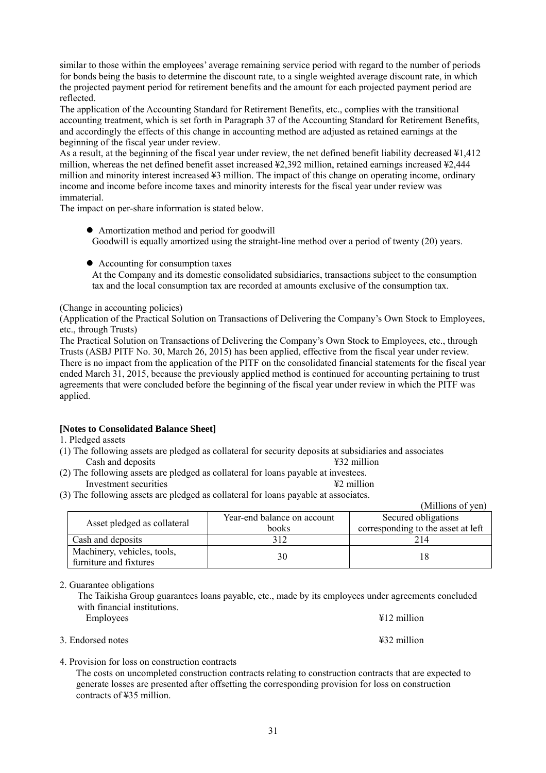similar to those within the employees' average remaining service period with regard to the number of periods for bonds being the basis to determine the discount rate, to a single weighted average discount rate, in which the projected payment period for retirement benefits and the amount for each projected payment period are reflected.

The application of the Accounting Standard for Retirement Benefits, etc., complies with the transitional accounting treatment, which is set forth in Paragraph 37 of the Accounting Standard for Retirement Benefits, and accordingly the effects of this change in accounting method are adjusted as retained earnings at the beginning of the fiscal year under review.

As a result, at the beginning of the fiscal year under review, the net defined benefit liability decreased ¥1,412 million, whereas the net defined benefit asset increased ¥2,392 million, retained earnings increased ¥2,444 million and minority interest increased ¥3 million. The impact of this change on operating income, ordinary income and income before income taxes and minority interests for the fiscal year under review was immaterial.

The impact on per-share information is stated below.

- Amortization method and period for goodwill Goodwill is equally amortized using the straight-line method over a period of twenty (20) years.
- Accounting for consumption taxes At the Company and its domestic consolidated subsidiaries, transactions subject to the consumption tax and the local consumption tax are recorded at amounts exclusive of the consumption tax.

(Change in accounting policies)

(Application of the Practical Solution on Transactions of Delivering the Company's Own Stock to Employees, etc., through Trusts)

The Practical Solution on Transactions of Delivering the Company's Own Stock to Employees, etc., through Trusts (ASBJ PITF No. 30, March 26, 2015) has been applied, effective from the fiscal year under review. There is no impact from the application of the PITF on the consolidated financial statements for the fiscal year ended March 31, 2015, because the previously applied method is continued for accounting pertaining to trust agreements that were concluded before the beginning of the fiscal year under review in which the PITF was applied.

# **[Notes to Consolidated Balance Sheet]**

1. Pledged assets

- (1) The following assets are pledged as collateral for security deposits at subsidiaries and associates Cash and deposits ¥32 million
- (2) The following assets are pledged as collateral for loans payable at investees. Investment securities ¥2 million
- (3) The following assets are pledged as collateral for loans payable at associates.

|                                                       |                             | (MILIIONS OI Ven)                  |
|-------------------------------------------------------|-----------------------------|------------------------------------|
| Asset pledged as collateral                           | Year-end balance on account | Secured obligations                |
|                                                       | <b>books</b>                | corresponding to the asset at left |
| Cash and deposits                                     |                             | 214                                |
| Machinery, vehicles, tools,<br>furniture and fixtures | 30                          |                                    |

 $\alpha$  curve of  $\alpha$ 

2. Guarantee obligations

The Taikisha Group guarantees loans payable, etc., made by its employees under agreements concluded with financial institutions. Employees ¥12 million

| 3. Endorsed notes |  | ¥32 million |
|-------------------|--|-------------|

4. Provision for loss on construction contracts

The costs on uncompleted construction contracts relating to construction contracts that are expected to generate losses are presented after offsetting the corresponding provision for loss on construction contracts of ¥35 million.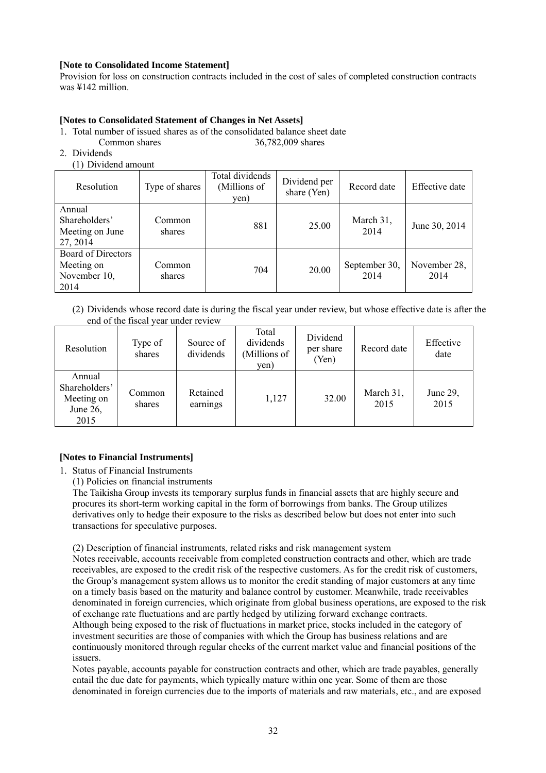# **[Note to Consolidated Income Statement]**

Provision for loss on construction contracts included in the cost of sales of completed construction contracts was ¥142 million.

# **[Notes to Consolidated Statement of Changes in Net Assets]**

1. Total number of issued shares as of the consolidated balance sheet date

Common shares 36,782,009 shares

- 2. Dividends
	- (1) Dividend amount

| Resolution                                                      | Type of shares   | Total dividends<br>(Millions of<br>yen) | Dividend per<br>share (Yen) | Record date           | Effective date       |
|-----------------------------------------------------------------|------------------|-----------------------------------------|-----------------------------|-----------------------|----------------------|
| Annual<br>Shareholders'<br>Meeting on June<br>27, 2014          | Common<br>shares | 881                                     | 25.00                       | March 31,<br>2014     | June 30, 2014        |
| <b>Board of Directors</b><br>Meeting on<br>November 10,<br>2014 | Common<br>shares | 704                                     | 20.00                       | September 30,<br>2014 | November 28,<br>2014 |

(2) Dividends whose record date is during the fiscal year under review, but whose effective date is after the end of the fiscal year under review

| Resolution                                                | Type of<br>shares | Source of<br>dividends | Total<br>dividends<br>(Millions of<br>yen) | Dividend<br>per share<br>(Yen) | Record date       | Effective<br>date |
|-----------------------------------------------------------|-------------------|------------------------|--------------------------------------------|--------------------------------|-------------------|-------------------|
| Annual<br>Shareholders'<br>Meeting on<br>June 26,<br>2015 | Common<br>shares  | Retained<br>earnings   | 1,127                                      | 32.00                          | March 31,<br>2015 | June 29,<br>2015  |

# **[Notes to Financial Instruments]**

1. Status of Financial Instruments

(1) Policies on financial instruments

The Taikisha Group invests its temporary surplus funds in financial assets that are highly secure and procures its short-term working capital in the form of borrowings from banks. The Group utilizes derivatives only to hedge their exposure to the risks as described below but does not enter into such transactions for speculative purposes.

(2) Description of financial instruments, related risks and risk management system

Notes receivable, accounts receivable from completed construction contracts and other, which are trade receivables, are exposed to the credit risk of the respective customers. As for the credit risk of customers, the Group's management system allows us to monitor the credit standing of major customers at any time on a timely basis based on the maturity and balance control by customer. Meanwhile, trade receivables denominated in foreign currencies, which originate from global business operations, are exposed to the risk of exchange rate fluctuations and are partly hedged by utilizing forward exchange contracts. Although being exposed to the risk of fluctuations in market price, stocks included in the category of investment securities are those of companies with which the Group has business relations and are continuously monitored through regular checks of the current market value and financial positions of the issuers.

Notes payable, accounts payable for construction contracts and other, which are trade payables, generally entail the due date for payments, which typically mature within one year. Some of them are those denominated in foreign currencies due to the imports of materials and raw materials, etc., and are exposed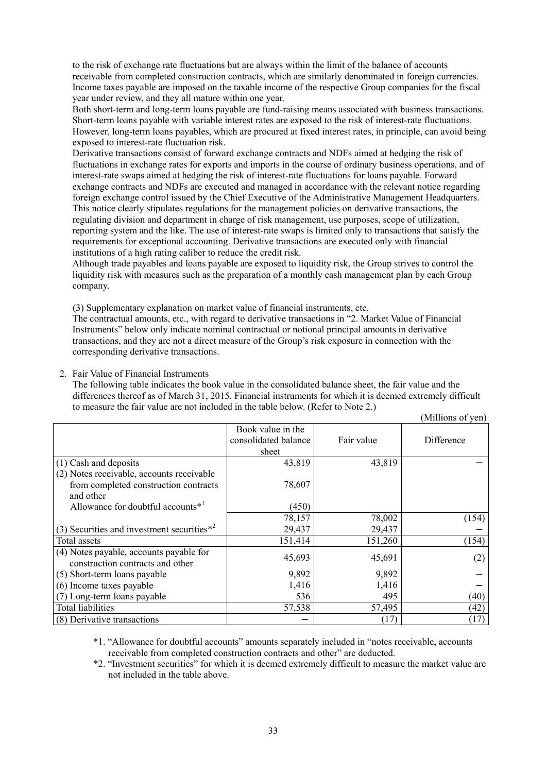to the risk of exchange rate fluctuations but are always within the limit of the balance of accounts receivable from completed construction contracts, which are similarly denominated in foreign currencies. Income taxes payable are imposed on the taxable income of the respective Group companies for the fiscal year under review, and they all mature within one year.

Both short-term and long-term loans payable are fund-raising means associated with business transactions. Short-term loans payable with variable interest rates are exposed to the risk of interest-rate fluctuations. However, long-term loans payables, which are procured at fixed interest rates, in principle, can avoid being exposed to interest-rate fluctuation risk.

Derivative transactions consist of forward exchange contracts and NDFs aimed at hedging the risk of fluctuations in exchange rates for exports and imports in the course of ordinary business operations, and of interest-rate swaps aimed at hedging the risk of interest-rate fluctuations for loans payable. Forward exchange contracts and NDFs are executed and managed in accordance with the relevant notice regarding foreign exchange control issued by the Chief Executive of the Administrative Management Headquarters. This notice clearly stipulates regulations for the management policies on derivative transactions, the regulating division and department in charge of risk management, use purposes, scope of utilization, reporting system and the like. The use of interest-rate swaps is limited only to transactions that satisfy the requirements for exceptional accounting. Derivative transactions are executed only with financial institutions of a high rating caliber to reduce the credit risk.

Although trade payables and loans payable are exposed to liquidity risk, the Group strives to control the liquidity risk with measures such as the preparation of a monthly cash management plan by each Group company.

(3) Supplementary explanation on market value of financial instruments, etc.

The contractual amounts, etc., with regard to derivative transactions in "2. Market Value of Financial Instruments" below only indicate nominal contractual or notional principal amounts in derivative transactions, and they are not a direct measure of the Group's risk exposure in connection with the corresponding derivative transactions.

2. Fair Value of Financial Instruments

The following table indicates the book value in the consolidated balance sheet, the fair value and the differences thereof as of March 31, 2015. Financial instruments for which it is deemed extremely difficult to measure the fair value are not included in the table below. (Refer to Note 2.)  $\alpha$  and

|                                                |                      |            | (IVIIIIIOIIS OL VEIL) |
|------------------------------------------------|----------------------|------------|-----------------------|
|                                                | Book value in the    |            |                       |
|                                                | consolidated balance | Fair value | Difference            |
|                                                | sheet                |            |                       |
| (1) Cash and deposits                          | 43,819               | 43,819     |                       |
| (2) Notes receivable, accounts receivable      |                      |            |                       |
| from completed construction contracts          | 78,607               |            |                       |
| and other                                      |                      |            |                       |
| Allowance for doubtful accounts $*^1$          | (450)                |            |                       |
|                                                | 78,157               | 78,002     | (154)                 |
| (3) Securities and investment securities $*^2$ | 29,437               | 29,437     |                       |
| Total assets                                   | 151,414              | 151,260    | (154)                 |
| (4) Notes payable, accounts payable for        | 45,693               | 45,691     |                       |
| construction contracts and other               |                      |            | (2)                   |
| (5) Short-term loans payable                   | 9,892                | 9,892      |                       |
| (6) Income taxes payable                       | 1,416                | 1,416      |                       |
| (7) Long-term loans payable                    | 536                  | 495        | (40)                  |
| <b>Total liabilities</b>                       | 57,538               | 57,495     | (42)                  |
| (8) Derivative transactions                    |                      | (17)       | (17)                  |

 \*1. "Allowance for doubtful accounts" amounts separately included in "notes receivable, accounts receivable from completed construction contracts and other" are deducted.

 \*2. "Investment securities" for which it is deemed extremely difficult to measure the market value are not included in the table above.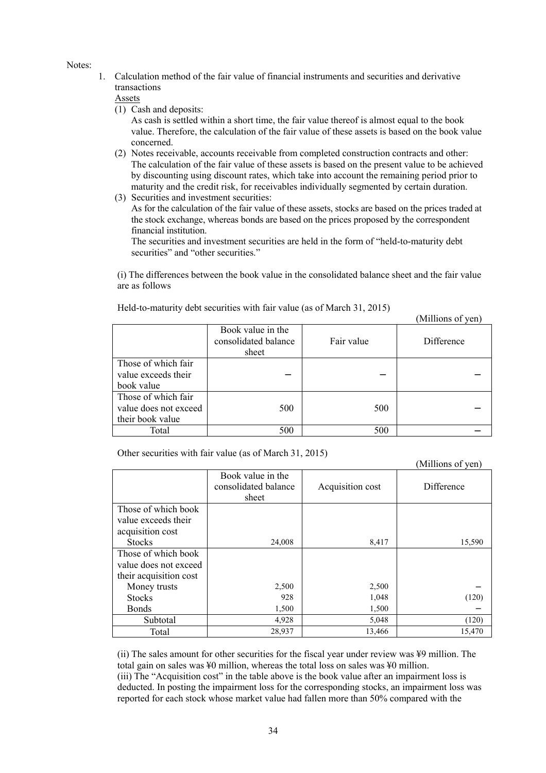Notes:

1. Calculation method of the fair value of financial instruments and securities and derivative transactions

Assets

(1) Cash and deposits:

As cash is settled within a short time, the fair value thereof is almost equal to the book value. Therefore, the calculation of the fair value of these assets is based on the book value concerned.

- (2) Notes receivable, accounts receivable from completed construction contracts and other: The calculation of the fair value of these assets is based on the present value to be achieved by discounting using discount rates, which take into account the remaining period prior to maturity and the credit risk, for receivables individually segmented by certain duration.
- (3) Securities and investment securities:

As for the calculation of the fair value of these assets, stocks are based on the prices traded at the stock exchange, whereas bonds are based on the prices proposed by the correspondent financial institution.

The securities and investment securities are held in the form of "held-to-maturity debt securities" and "other securities."

(i) The differences between the book value in the consolidated balance sheet and the fair value are as follows

 $(11)$   $(2)$ 

(Millions of yen)

|                       |                                                    |            | <b>NIIIIOIIS OL VEILI</b> |
|-----------------------|----------------------------------------------------|------------|---------------------------|
|                       | Book value in the<br>consolidated balance<br>sheet | Fair value | Difference                |
| Those of which fair   |                                                    |            |                           |
| value exceeds their   |                                                    |            |                           |
| book value            |                                                    |            |                           |
| Those of which fair   |                                                    |            |                           |
| value does not exceed | 500                                                | 500        |                           |
| their book value      |                                                    |            |                           |
| Total                 | 500                                                | 500        |                           |

Held-to-maturity debt securities with fair value (as of March 31, 2015)

Other securities with fair value (as of March 31, 2015)

|                        |                                                    |                  | (TVITHIOIIS OF YEIL) |
|------------------------|----------------------------------------------------|------------------|----------------------|
|                        | Book value in the<br>consolidated balance<br>sheet | Acquisition cost | Difference           |
| Those of which book    |                                                    |                  |                      |
| value exceeds their    |                                                    |                  |                      |
| acquisition cost       |                                                    |                  |                      |
| <b>Stocks</b>          | 24,008                                             | 8,417            | 15,590               |
| Those of which book    |                                                    |                  |                      |
| value does not exceed  |                                                    |                  |                      |
| their acquisition cost |                                                    |                  |                      |
| Money trusts           | 2,500                                              | 2,500            |                      |
| <b>Stocks</b>          | 928                                                | 1,048            | (120)                |
| <b>Bonds</b>           | 1,500                                              | 1,500            |                      |
| Subtotal               | 4,928                                              | 5,048            | (120)                |
| Total                  | 28,937                                             | 13,466           | 15,470               |

(ii) The sales amount for other securities for the fiscal year under review was ¥9 million. The total gain on sales was ¥0 million, whereas the total loss on sales was ¥0 million. (iii) The "Acquisition cost" in the table above is the book value after an impairment loss is deducted. In posting the impairment loss for the corresponding stocks, an impairment loss was reported for each stock whose market value had fallen more than 50% compared with the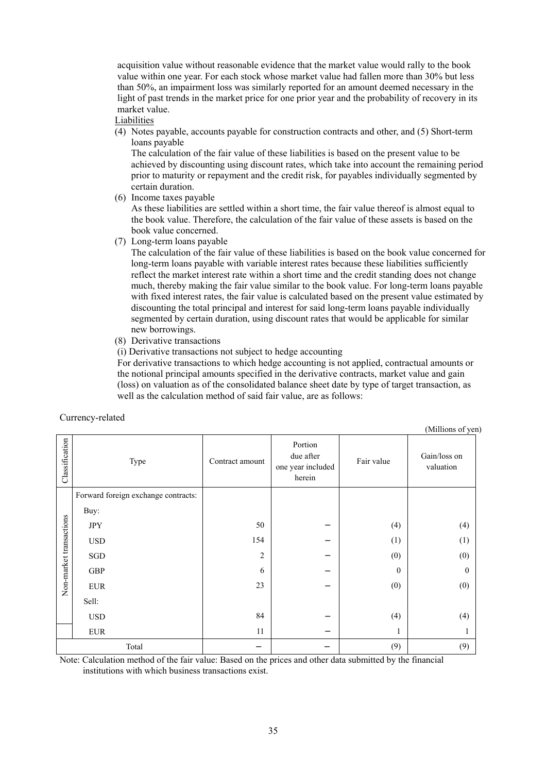acquisition value without reasonable evidence that the market value would rally to the book value within one year. For each stock whose market value had fallen more than 30% but less than 50%, an impairment loss was similarly reported for an amount deemed necessary in the light of past trends in the market price for one prior year and the probability of recovery in its market value.

Liabilities

(4) Notes payable, accounts payable for construction contracts and other, and (5) Short-term loans payable

The calculation of the fair value of these liabilities is based on the present value to be achieved by discounting using discount rates, which take into account the remaining period prior to maturity or repayment and the credit risk, for payables individually segmented by certain duration.

(6) Income taxes payable

As these liabilities are settled within a short time, the fair value thereof is almost equal to the book value. Therefore, the calculation of the fair value of these assets is based on the book value concerned.

(7) Long-term loans payable

The calculation of the fair value of these liabilities is based on the book value concerned for long-term loans payable with variable interest rates because these liabilities sufficiently reflect the market interest rate within a short time and the credit standing does not change much, thereby making the fair value similar to the book value. For long-term loans payable with fixed interest rates, the fair value is calculated based on the present value estimated by discounting the total principal and interest for said long-term loans payable individually segmented by certain duration, using discount rates that would be applicable for similar new borrowings.

(8) Derivative transactions

(i) Derivative transactions not subject to hedge accounting

For derivative transactions to which hedge accounting is not applied, contractual amounts or the notional principal amounts specified in the derivative contracts, market value and gain (loss) on valuation as of the consolidated balance sheet date by type of target transaction, as well as the calculation method of said fair value, are as follows:

|                         | ------- <i>,</i> ----- <i>-</i>     |                 |                                                     |              | (Millions of yen)         |
|-------------------------|-------------------------------------|-----------------|-----------------------------------------------------|--------------|---------------------------|
| Classification          | Type                                | Contract amount | Portion<br>due after<br>one year included<br>herein | Fair value   | Gain/loss on<br>valuation |
|                         | Forward foreign exchange contracts: |                 |                                                     |              |                           |
|                         | Buy:                                |                 |                                                     |              |                           |
| Non-market transactions | JPY                                 | 50              |                                                     | (4)          | (4)                       |
|                         | <b>USD</b>                          | 154             |                                                     | (1)          | (1)                       |
|                         | SGD                                 | 2               |                                                     | (0)          | (0)                       |
|                         | GBP                                 | 6               |                                                     | $\mathbf{0}$ | $\mathbf{0}$              |
|                         | <b>EUR</b>                          | 23              |                                                     | (0)          | (0)                       |
|                         | Sell:                               |                 |                                                     |              |                           |
|                         | <b>USD</b>                          | 84              |                                                     | (4)          | (4)                       |
|                         | ${\rm EUR}$                         | 11              |                                                     | 1            |                           |
|                         | Total                               |                 |                                                     | (9)          | (9)                       |

Currency-related

Note: Calculation method of the fair value: Based on the prices and other data submitted by the financial institutions with which business transactions exist.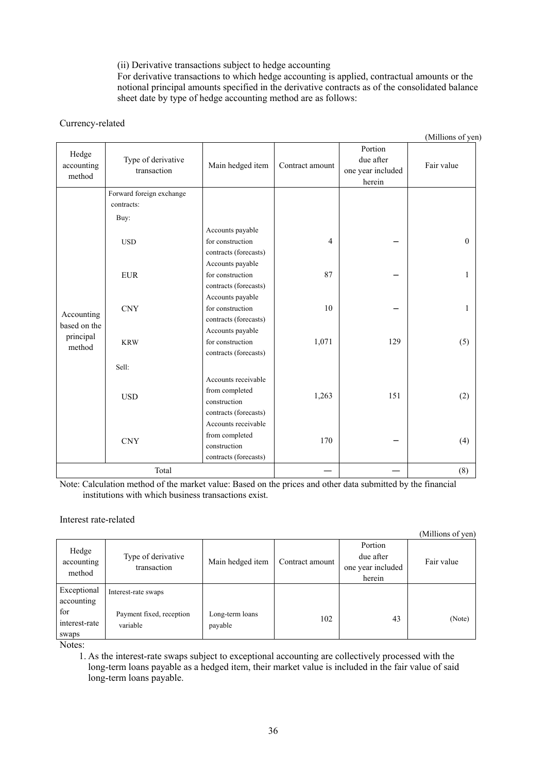(ii) Derivative transactions subject to hedge accounting

For derivative transactions to which hedge accounting is applied, contractual amounts or the notional principal amounts specified in the derivative contracts as of the consolidated balance sheet date by type of hedge accounting method are as follows:

# Currency-related

(Millions of yen)

| Hedge<br>accounting<br>method | Type of derivative<br>transaction | Main hedged item      | Contract amount | Portion<br>due after<br>one year included<br>herein | Fair value |
|-------------------------------|-----------------------------------|-----------------------|-----------------|-----------------------------------------------------|------------|
|                               | Forward foreign exchange          |                       |                 |                                                     |            |
|                               | contracts:                        |                       |                 |                                                     |            |
|                               | Buy:                              |                       |                 |                                                     |            |
|                               |                                   | Accounts payable      |                 |                                                     |            |
|                               | <b>USD</b>                        | for construction      | $\overline{4}$  |                                                     | $\theta$   |
|                               |                                   | contracts (forecasts) |                 |                                                     |            |
|                               |                                   | Accounts payable      |                 |                                                     |            |
|                               | <b>EUR</b>                        | for construction      | 87              |                                                     | 1          |
|                               |                                   | contracts (forecasts) |                 |                                                     |            |
|                               | <b>CNY</b>                        | Accounts payable      |                 |                                                     |            |
| Accounting                    |                                   | for construction      | $10\,$          |                                                     | 1          |
| based on the                  |                                   | contracts (forecasts) |                 |                                                     |            |
| principal                     | <b>KRW</b>                        | Accounts payable      |                 |                                                     |            |
| method                        |                                   | for construction      | 1,071           | 129                                                 | (5)        |
|                               |                                   | contracts (forecasts) |                 |                                                     |            |
|                               | Sell:                             |                       |                 |                                                     |            |
|                               |                                   | Accounts receivable   |                 |                                                     |            |
|                               |                                   | from completed        |                 |                                                     |            |
|                               | <b>USD</b>                        | construction          | 1,263           | 151                                                 | (2)        |
|                               |                                   | contracts (forecasts) |                 |                                                     |            |
|                               |                                   | Accounts receivable   |                 |                                                     |            |
|                               |                                   | from completed        | 170             |                                                     |            |
|                               | $\mbox{CNY}$                      | construction          |                 |                                                     | (4)        |
|                               |                                   | contracts (forecasts) |                 |                                                     |            |
|                               | Total                             |                       |                 |                                                     | (8)        |

Note: Calculation method of the market value: Based on the prices and other data submitted by the financial institutions with which business transactions exist.

Interest rate-related

|                               |                                      |                            |                 |                                                     | (Millions of yen) |
|-------------------------------|--------------------------------------|----------------------------|-----------------|-----------------------------------------------------|-------------------|
| Hedge<br>accounting<br>method | Type of derivative<br>transaction    | Main hedged item           | Contract amount | Portion<br>due after<br>one year included<br>herein | Fair value        |
| Exceptional<br>accounting     | Interest-rate swaps                  |                            |                 |                                                     |                   |
| for<br>interest-rate<br>swaps | Payment fixed, reception<br>variable | Long-term loans<br>payable | 102             | 43                                                  | (Note)            |

Notes:

1. As the interest-rate swaps subject to exceptional accounting are collectively processed with the long-term loans payable as a hedged item, their market value is included in the fair value of said long-term loans payable.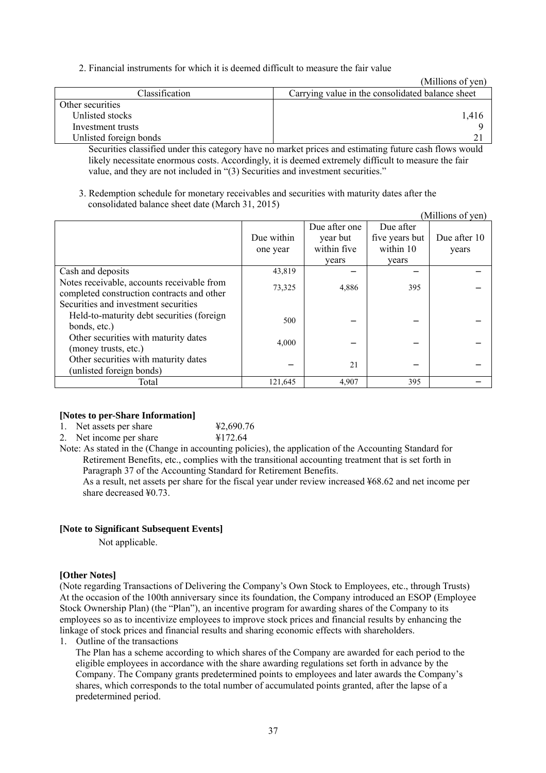2. Financial instruments for which it is deemed difficult to measure the fair value

(Millions of yen)

| Classification         | Carrying value in the consolidated balance sheet                                                      |
|------------------------|-------------------------------------------------------------------------------------------------------|
| Other securities       |                                                                                                       |
| Unlisted stocks        |                                                                                                       |
| Investment trusts      |                                                                                                       |
| Unlisted foreign bonds |                                                                                                       |
|                        | Computing closeified under this extensur have no mortat priors and estimating future sock flows would |

Securities classified under this category have no market prices and estimating future cash flows would likely necessitate enormous costs. Accordingly, it is deemed extremely difficult to measure the fair value, and they are not included in "(3) Securities and investment securities."

3. Redemption schedule for monetary receivables and securities with maturity dates after the consolidated balance sheet date (March 31, 2015)

|                                                                                                   |                        |                                                   |                                                   | (Millions of yen)     |
|---------------------------------------------------------------------------------------------------|------------------------|---------------------------------------------------|---------------------------------------------------|-----------------------|
|                                                                                                   | Due within<br>one year | Due after one<br>year but<br>within five<br>vears | Due after<br>five years but<br>within 10<br>years | Due after 10<br>years |
| Cash and deposits                                                                                 | 43,819                 |                                                   |                                                   |                       |
| Notes receivable, accounts receivable from<br>completed construction contracts and other          | 73,325                 | 4,886                                             | 395                                               |                       |
| Securities and investment securities<br>Held-to-maturity debt securities (foreign<br>bonds, etc.) | 500                    |                                                   |                                                   |                       |
| Other securities with maturity dates<br>(money trusts, etc.)                                      | 4,000                  |                                                   |                                                   |                       |
| Other securities with maturity dates<br>(unlisted foreign bonds)                                  |                        | 21                                                |                                                   |                       |
| Total                                                                                             | 121,645                | 4,907                                             | 395                                               |                       |

#### **[Notes to per-Share Information]**

1. Net assets per share  $\frac{42,690.76}{4}$ <br>2 Net income per share  $\frac{4172,64}{4}$ 

2. Net income per share

Note: As stated in the (Change in accounting policies), the application of the Accounting Standard for Retirement Benefits, etc., complies with the transitional accounting treatment that is set forth in Paragraph 37 of the Accounting Standard for Retirement Benefits.

As a result, net assets per share for the fiscal year under review increased ¥68.62 and net income per share decreased ¥0.73.

#### **[Note to Significant Subsequent Events]**

Not applicable.

#### **[Other Notes]**

(Note regarding Transactions of Delivering the Company's Own Stock to Employees, etc., through Trusts) At the occasion of the 100th anniversary since its foundation, the Company introduced an ESOP (Employee Stock Ownership Plan) (the "Plan"), an incentive program for awarding shares of the Company to its employees so as to incentivize employees to improve stock prices and financial results by enhancing the linkage of stock prices and financial results and sharing economic effects with shareholders.

1. Outline of the transactions

The Plan has a scheme according to which shares of the Company are awarded for each period to the eligible employees in accordance with the share awarding regulations set forth in advance by the Company. The Company grants predetermined points to employees and later awards the Company's shares, which corresponds to the total number of accumulated points granted, after the lapse of a predetermined period.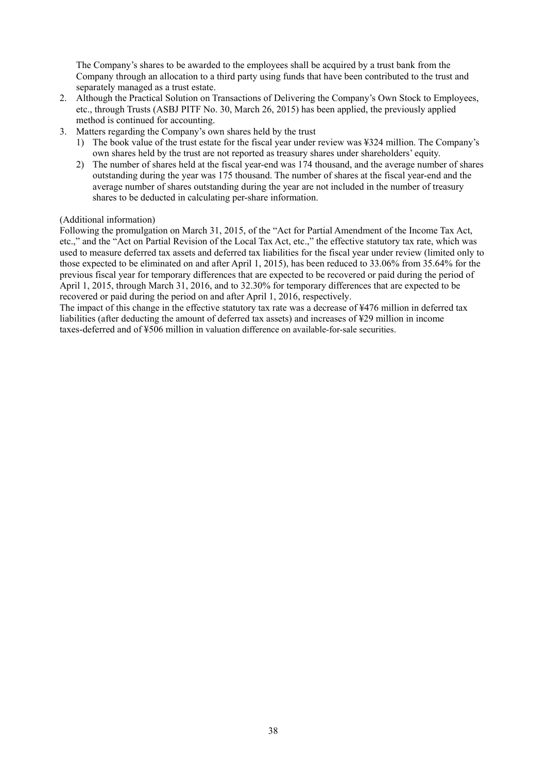The Company's shares to be awarded to the employees shall be acquired by a trust bank from the Company through an allocation to a third party using funds that have been contributed to the trust and separately managed as a trust estate.

- 2. Although the Practical Solution on Transactions of Delivering the Company's Own Stock to Employees, etc., through Trusts (ASBJ PITF No. 30, March 26, 2015) has been applied, the previously applied method is continued for accounting.
- 3. Matters regarding the Company's own shares held by the trust
	- 1) The book value of the trust estate for the fiscal year under review was ¥324 million. The Company's own shares held by the trust are not reported as treasury shares under shareholders' equity.
	- 2) The number of shares held at the fiscal year-end was 174 thousand, and the average number of shares outstanding during the year was 175 thousand. The number of shares at the fiscal year-end and the average number of shares outstanding during the year are not included in the number of treasury shares to be deducted in calculating per-share information.

#### (Additional information)

Following the promulgation on March 31, 2015, of the "Act for Partial Amendment of the Income Tax Act, etc.," and the "Act on Partial Revision of the Local Tax Act, etc.," the effective statutory tax rate, which was used to measure deferred tax assets and deferred tax liabilities for the fiscal year under review (limited only to those expected to be eliminated on and after April 1, 2015), has been reduced to 33.06% from 35.64% for the previous fiscal year for temporary differences that are expected to be recovered or paid during the period of April 1, 2015, through March 31, 2016, and to 32.30% for temporary differences that are expected to be recovered or paid during the period on and after April 1, 2016, respectively.

The impact of this change in the effective statutory tax rate was a decrease of ¥476 million in deferred tax liabilities (after deducting the amount of deferred tax assets) and increases of ¥29 million in income taxes-deferred and of ¥506 million in valuation difference on available-for-sale securities.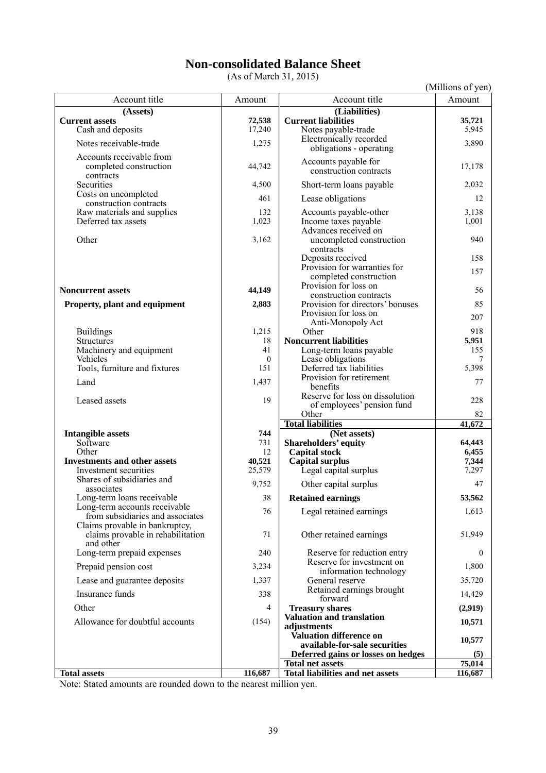# **Non-consolidated Balance Sheet**

(As of March 31, 2015)

(Millions of yen) Account title **Amount Account title** Amount Account title Amount **(Assets) (Liabilities) Current assets**<br>
Cash and deposits<br>
T<sub>17,240</sub> **Current liabilities**<br>
T<sub>17,240</sub> **Current liabilities**<br>
Notes payable-trade<br>
S<sub>5,945</sub> Notes payable-trade Notes receivable-trade 1,275 Electronically recorded 1,275 ectronically recorded<br>obligations - operating 3,890 Accounts receivable from completed construction contracts<br>Securities 44,742 Accounts payable for counts payable for<br>
construction contracts 17,178 4,500 Short-term loans payable 2,032 Costs on uncompleted SSLUS ON UNCOMPIERED ASSES ON UNCOMPIERED ASSESS ON UNCONTRACTED ASSESS ON UNCONTRACTED ASSESS ON MONORATION AND THE MAGNETICS ACCOUNTS ACCOUNTS ACCOUNTS ARE ARRESTED ASSESSMENT AND MAGNETICS AND MAGNETICS AND MAGNETICS AN Raw materials and supplies 132 Accounts payable-other 3,138<br>Deferred tax assets 1,001 1,023 Income taxes payable 1,001 Income taxes payable Other 3,162 Advances received on uncompleted construction contracts 940 Deposits received 158 Provision for warranties for ovision for warranties for<br>
completed construction 157 **Noncurrent assets** 44,149 Provision for loss on Frovision for loss on<br>
construction contracts<br>
Provision for directors' bonuses 85 **Property, plant and equipment** 2,883 Provision for loss on Provision for loss on<br>
Anti-Monopoly Act 207<br>
Other 918 Buildings 1,215 Other 918 Structures 18 **Noncurrent liabilities** 5,951<br>Machinery and equipment 155 Machinery and equipment  $\begin{bmatrix} 41 \\ 9 \end{bmatrix}$ 0 Lease obligations 7<br>151 Deferred tax liabilities 5.398 Tools, furniture and fixtures Land 1,437 Provision for retirement 77 Leased assets 19 Reserve for loss on dissolution eserve for loss on dissolution<br>of employees' pension fund 228 Other 82 Total liabilities **41,672 Intangible assets** 744 **1** *Net assets* Software 731 **Shareholders' equity 64,443** Other 12 **Capital stock** 6,455<br> **12 Capital stock** 6,455<br> **12 Capital stock** 6,455<br> **12 Capital stock** 6,455 **Investments and other assets** 40,521 **Capital surplus** 1,344<br>Investment securities 1,297 Legal capital surplus Shares of subsidiaries and associates and associates and  $\begin{array}{c|c} 9,752 & \text{Other capital surplus} \\ 98 & \text{Retained earnings} \end{array}$  53,562 Long-term loans receivable Long-term accounts receivable from subsidiaries and associates 1.613 Claims provable in bankruptcy, claims provable in rehabilitation and other 71 Other retained earnings 51,949 Long-term prepaid expenses  $\begin{vmatrix} 240 \end{vmatrix}$  Reserve for reduction entry  $\begin{vmatrix} 0 \end{vmatrix}$ Prepaid pension cost 3,234 Reserve for investment on 3,234 Reserve for investment on<br>
information technology<br>
General reserve 35.720 Lease and guarantee deposits 1,337 Insurance funds 14,429<br>  $338$ <br>
Retained earnings brought<br>
forward Other 4 **Treasury shares** (2,919)<br>Allegance for deal to converte (2,618) **Valuation and translation** Allowance for doubtful accounts (154) **adjustments 10,571 Valuation difference on available-for-sale securities 10,577 Deferred gains or losses on hedges** (5)<br> **btal net assets** 75,014 **Total net assets 75,014** Total assets 116,687 **Total liabilities and net assets**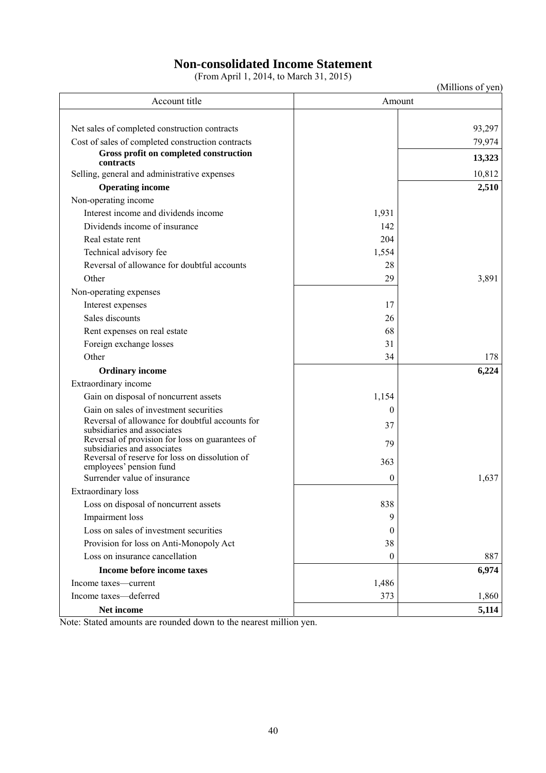# **Non-consolidated Income Statement**

(From April 1, 2014, to March 31, 2015)

|                                                                                |                | (Millions of yen) |
|--------------------------------------------------------------------------------|----------------|-------------------|
| Account title                                                                  |                | Amount            |
|                                                                                |                |                   |
| Net sales of completed construction contracts                                  |                | 93,297            |
| Cost of sales of completed construction contracts                              |                | 79,974            |
| Gross profit on completed construction<br>contracts                            |                | 13,323            |
| Selling, general and administrative expenses                                   |                | 10,812            |
| <b>Operating income</b>                                                        |                | 2,510             |
| Non-operating income                                                           |                |                   |
| Interest income and dividends income                                           | 1,931          |                   |
| Dividends income of insurance                                                  | 142            |                   |
| Real estate rent                                                               | 204            |                   |
| Technical advisory fee                                                         | 1,554          |                   |
| Reversal of allowance for doubtful accounts                                    | 28             |                   |
| Other                                                                          | 29             | 3,891             |
| Non-operating expenses                                                         |                |                   |
| Interest expenses                                                              | 17             |                   |
| Sales discounts                                                                | 26             |                   |
| Rent expenses on real estate                                                   | 68             |                   |
| Foreign exchange losses                                                        | 31             |                   |
| Other                                                                          | 34             | 178               |
| <b>Ordinary income</b>                                                         |                | 6,224             |
| Extraordinary income                                                           |                |                   |
| Gain on disposal of noncurrent assets                                          | 1,154          |                   |
| Gain on sales of investment securities                                         | $\mathbf{0}$   |                   |
| Reversal of allowance for doubtful accounts for<br>subsidiaries and associates | 37             |                   |
| Reversal of provision for loss on guarantees of<br>subsidiaries and associates | 79             |                   |
| Reversal of reserve for loss on dissolution of<br>employees' pension fund      | 363            |                   |
| Surrender value of insurance                                                   | 0              | 1,637             |
| Extraordinary loss                                                             |                |                   |
| Loss on disposal of noncurrent assets                                          | 838            |                   |
| Impairment loss                                                                | 9              |                   |
| Loss on sales of investment securities                                         | $\theta$       |                   |
| Provision for loss on Anti-Monopoly Act                                        | 38             |                   |
| Loss on insurance cancellation                                                 | $\overline{0}$ | 887               |
| Income before income taxes                                                     |                | 6,974             |
| Income taxes-current                                                           | 1,486          |                   |
| Income taxes-deferred                                                          | 373            | 1,860             |
| Net income                                                                     |                | 5,114             |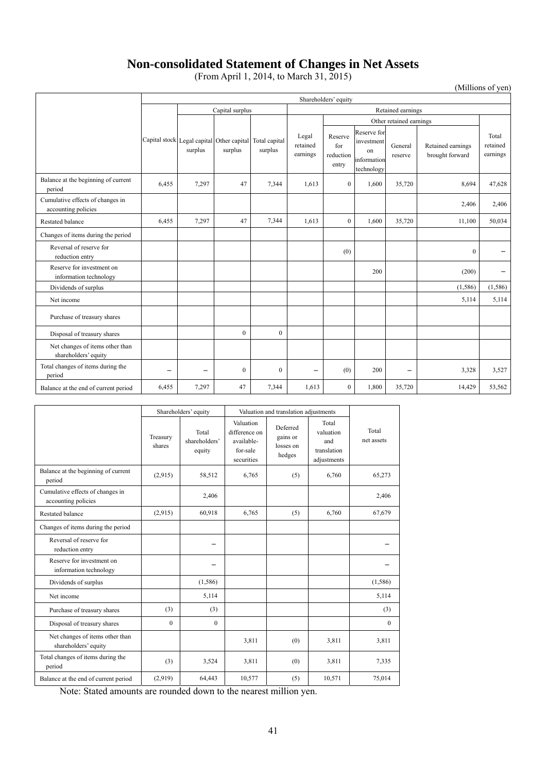# **Non-consolidated Statement of Changes in Net Assets**

(From April 1, 2014, to March 31, 2015)

(Millions of yen)

|                                                         | Shareholders' equity |                                                      |          |                          |                               |                                      |                                                              |                    |                                      |                               |
|---------------------------------------------------------|----------------------|------------------------------------------------------|----------|--------------------------|-------------------------------|--------------------------------------|--------------------------------------------------------------|--------------------|--------------------------------------|-------------------------------|
|                                                         |                      | Capital surplus                                      |          |                          |                               | Retained earnings                    |                                                              |                    |                                      |                               |
|                                                         |                      |                                                      |          |                          | Other retained earnings       |                                      |                                                              |                    |                                      |                               |
|                                                         |                      | Capital stock Legal capital Other capital<br>surplus | surplus  | Total capital<br>surplus | Legal<br>retained<br>earnings | Reserve<br>for<br>reduction<br>entry | Reserve for<br>investment<br>on<br>information<br>technology | General<br>reserve | Retained earnings<br>brought forward | Total<br>retained<br>earnings |
| Balance at the beginning of current<br>period           | 6,455                | 7,297                                                | 47       | 7,344                    | 1,613                         | $\overline{0}$                       | 1,600                                                        | 35,720             | 8,694                                | 47,628                        |
| Cumulative effects of changes in<br>accounting policies |                      |                                                      |          |                          |                               |                                      |                                                              |                    | 2,406                                | 2,406                         |
| <b>Restated balance</b>                                 | 6,455                | 7,297                                                | 47       | 7,344                    | 1,613                         | $\overline{0}$                       | 1,600                                                        | 35,720             | 11,100                               | 50,034                        |
| Changes of items during the period                      |                      |                                                      |          |                          |                               |                                      |                                                              |                    |                                      |                               |
| Reversal of reserve for<br>reduction entry              |                      |                                                      |          |                          |                               | (0)                                  |                                                              |                    | $\mathbf{0}$                         |                               |
| Reserve for investment on<br>information technology     |                      |                                                      |          |                          |                               |                                      | 200                                                          |                    | (200)                                |                               |
| Dividends of surplus                                    |                      |                                                      |          |                          |                               |                                      |                                                              |                    | (1, 586)                             | (1,586)                       |
| Net income                                              |                      |                                                      |          |                          |                               |                                      |                                                              |                    | 5,114                                | 5,114                         |
| Purchase of treasury shares                             |                      |                                                      |          |                          |                               |                                      |                                                              |                    |                                      |                               |
| Disposal of treasury shares                             |                      |                                                      | $\Omega$ | $\mathbf{0}$             |                               |                                      |                                                              |                    |                                      |                               |
| Net changes of items other than<br>shareholders' equity |                      |                                                      |          |                          |                               |                                      |                                                              |                    |                                      |                               |
| Total changes of items during the<br>period             |                      |                                                      | $\theta$ | $\mathbf{0}$             |                               | (0)                                  | 200                                                          |                    | 3,328                                | 3,527                         |
| Balance at the end of current period                    | 6,455                | 7,297                                                | 47       | 7,344                    | 1.613                         | $\mathbf{0}$                         | 1,800                                                        | 35,720             | 14,429                               | 53,562                        |

|                                                         | Shareholders' equity |                                  | Valuation and translation adjustments                              |                                             |                                                         |                     |
|---------------------------------------------------------|----------------------|----------------------------------|--------------------------------------------------------------------|---------------------------------------------|---------------------------------------------------------|---------------------|
|                                                         | Treasury<br>shares   | Total<br>shareholders'<br>equity | Valuation<br>difference on<br>available-<br>for-sale<br>securities | Deferred<br>gains or<br>losses on<br>hedges | Total<br>valuation<br>and<br>translation<br>adjustments | Total<br>net assets |
| Balance at the beginning of current<br>period           | (2,915)              | 58,512                           | 6,765                                                              | (5)                                         | 6,760                                                   | 65,273              |
| Cumulative effects of changes in<br>accounting policies |                      | 2,406                            |                                                                    |                                             |                                                         | 2,406               |
| <b>Restated balance</b>                                 | (2,915)              | 60,918                           | 6,765                                                              | (5)                                         | 6,760                                                   | 67,679              |
| Changes of items during the period                      |                      |                                  |                                                                    |                                             |                                                         |                     |
| Reversal of reserve for<br>reduction entry              |                      |                                  |                                                                    |                                             |                                                         |                     |
| Reserve for investment on<br>information technology     |                      |                                  |                                                                    |                                             |                                                         |                     |
| Dividends of surplus                                    |                      | (1,586)                          |                                                                    |                                             |                                                         | (1,586)             |
| Net income                                              |                      | 5,114                            |                                                                    |                                             |                                                         | 5,114               |
| Purchase of treasury shares                             | (3)                  | (3)                              |                                                                    |                                             |                                                         | (3)                 |
| Disposal of treasury shares                             | $\theta$             | $\theta$                         |                                                                    |                                             |                                                         | $\theta$            |
| Net changes of items other than<br>shareholders' equity |                      |                                  | 3,811                                                              | (0)                                         | 3,811                                                   | 3,811               |
| Total changes of items during the<br>period             | (3)                  | 3,524                            | 3,811                                                              | (0)                                         | 3,811                                                   | 7,335               |
| Balance at the end of current period                    | (2,919)              | 64,443                           | 10,577                                                             | (5)                                         | 10,571                                                  | 75,014              |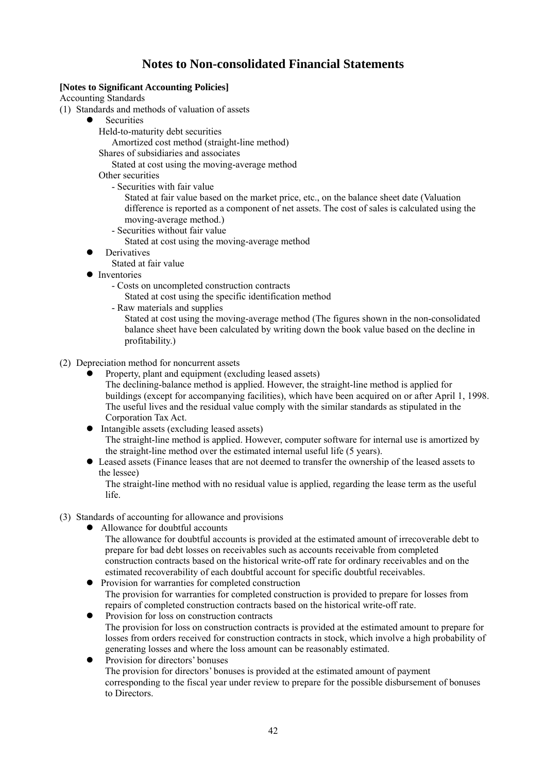# **Notes to Non-consolidated Financial Statements**

# **[Notes to Significant Accounting Policies]**

Accounting Standards

(1) Standards and methods of valuation of assets

- **Securities** 
	- Held-to-maturity debt securities

Amortized cost method (straight-line method)

Shares of subsidiaries and associates

Stated at cost using the moving-average method

Other securities

- Securities with fair value

Stated at fair value based on the market price, etc., on the balance sheet date (Valuation difference is reported as a component of net assets. The cost of sales is calculated using the moving-average method.)

- Securities without fair value
- Stated at cost using the moving-average method
- Derivatives
	- Stated at fair value
- Inventories
	- Costs on uncompleted construction contracts

Stated at cost using the specific identification method

- Raw materials and supplies

Stated at cost using the moving-average method (The figures shown in the non-consolidated balance sheet have been calculated by writing down the book value based on the decline in profitability.)

# (2) Depreciation method for noncurrent assets

- Property, plant and equipment (excluding leased assets) The declining-balance method is applied. However, the straight-line method is applied for buildings (except for accompanying facilities), which have been acquired on or after April 1, 1998. The useful lives and the residual value comply with the similar standards as stipulated in the
- Corporation Tax Act. • Intangible assets (excluding leased assets) The straight-line method is applied. However, computer software for internal use is amortized by

the straight-line method over the estimated internal useful life (5 years).

 Leased assets (Finance leases that are not deemed to transfer the ownership of the leased assets to the lessee)

The straight-line method with no residual value is applied, regarding the lease term as the useful life.

- (3) Standards of accounting for allowance and provisions
	- Allowance for doubtful accounts

The allowance for doubtful accounts is provided at the estimated amount of irrecoverable debt to prepare for bad debt losses on receivables such as accounts receivable from completed construction contracts based on the historical write-off rate for ordinary receivables and on the estimated recoverability of each doubtful account for specific doubtful receivables.

- Provision for warranties for completed construction The provision for warranties for completed construction is provided to prepare for losses from repairs of completed construction contracts based on the historical write-off rate.
- Provision for loss on construction contracts The provision for loss on construction contracts is provided at the estimated amount to prepare for losses from orders received for construction contracts in stock, which involve a high probability of generating losses and where the loss amount can be reasonably estimated.
- Provision for directors' bonuses The provision for directors' bonuses is provided at the estimated amount of payment corresponding to the fiscal year under review to prepare for the possible disbursement of bonuses to Directors.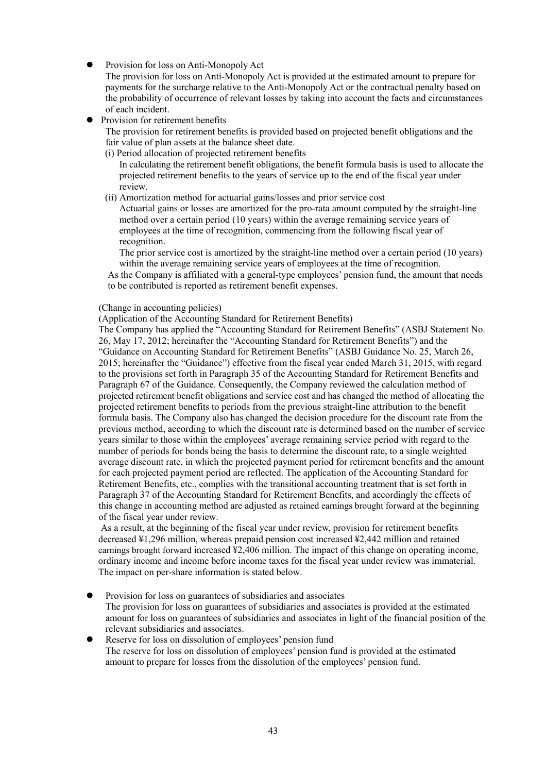Provision for loss on Anti-Monopoly Act

The provision for loss on Anti-Monopoly Act is provided at the estimated amount to prepare for payments for the surcharge relative to the Anti-Monopoly Act or the contractual penalty based on the probability of occurrence of relevant losses by taking into account the facts and circumstances of each incident.

Provision for retirement benefits

The provision for retirement benefits is provided based on projected benefit obligations and the fair value of plan assets at the balance sheet date.

(i) Period allocation of projected retirement benefits

In calculating the retirement benefit obligations, the benefit formula basis is used to allocate the projected retirement benefits to the years of service up to the end of the fiscal year under review.

(ii) Amortization method for actuarial gains/losses and prior service cost

Actuarial gains or losses are amortized for the pro-rata amount computed by the straight-line method over a certain period (10 years) within the average remaining service years of employees at the time of recognition, commencing from the following fiscal year of recognition.

The prior service cost is amortized by the straight-line method over a certain period (10 years) within the average remaining service years of employees at the time of recognition.

 As the Company is affiliated with a general-type employees' pension fund, the amount that needs to be contributed is reported as retirement benefit expenses.

#### (Change in accounting policies)

(Application of the Accounting Standard for Retirement Benefits)

The Company has applied the "Accounting Standard for Retirement Benefits" (ASBJ Statement No. 26, May 17, 2012; hereinafter the "Accounting Standard for Retirement Benefits") and the "Guidance on Accounting Standard for Retirement Benefits" (ASBJ Guidance No. 25, March 26, 2015; hereinafter the "Guidance") effective from the fiscal year ended March 31, 2015, with regard to the provisions set forth in Paragraph 35 of the Accounting Standard for Retirement Benefits and Paragraph 67 of the Guidance. Consequently, the Company reviewed the calculation method of projected retirement benefit obligations and service cost and has changed the method of allocating the projected retirement benefits to periods from the previous straight-line attribution to the benefit formula basis. The Company also has changed the decision procedure for the discount rate from the previous method, according to which the discount rate is determined based on the number of service years similar to those within the employees' average remaining service period with regard to the number of periods for bonds being the basis to determine the discount rate, to a single weighted average discount rate, in which the projected payment period for retirement benefits and the amount for each projected payment period are reflected. The application of the Accounting Standard for Retirement Benefits, etc., complies with the transitional accounting treatment that is set forth in Paragraph 37 of the Accounting Standard for Retirement Benefits, and accordingly the effects of this change in accounting method are adjusted as retained earnings brought forward at the beginning of the fiscal year under review.

 As a result, at the beginning of the fiscal year under review, provision for retirement benefits decreased ¥1,296 million, whereas prepaid pension cost increased ¥2,442 million and retained earnings brought forward increased ¥2,406 million. The impact of this change on operating income, ordinary income and income before income taxes for the fiscal year under review was immaterial. The impact on per-share information is stated below.

- Provision for loss on guarantees of subsidiaries and associates The provision for loss on guarantees of subsidiaries and associates is provided at the estimated amount for loss on guarantees of subsidiaries and associates in light of the financial position of the relevant subsidiaries and associates.
- Reserve for loss on dissolution of employees' pension fund The reserve for loss on dissolution of employees' pension fund is provided at the estimated amount to prepare for losses from the dissolution of the employees' pension fund.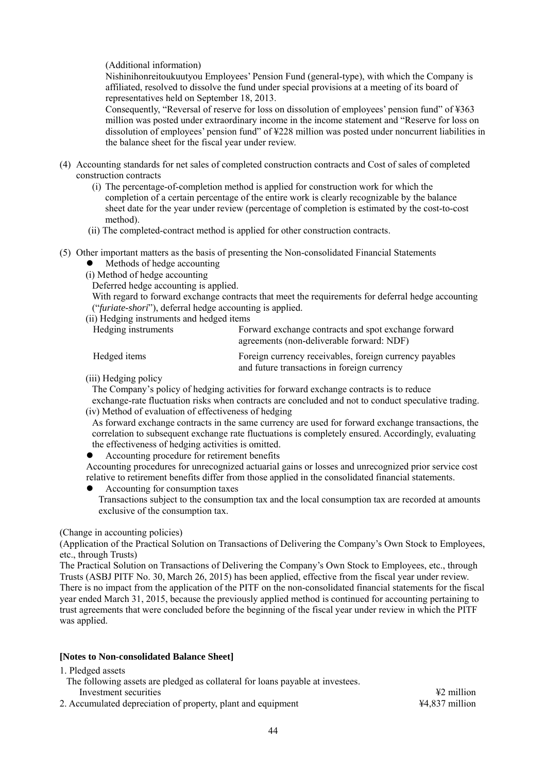# (Additional information)

Nishinihonreitoukuutyou Employees' Pension Fund (general-type), with which the Company is affiliated, resolved to dissolve the fund under special provisions at a meeting of its board of representatives held on September 18, 2013.

Consequently, "Reversal of reserve for loss on dissolution of employees' pension fund" of ¥363 million was posted under extraordinary income in the income statement and "Reserve for loss on dissolution of employees' pension fund" of ¥228 million was posted under noncurrent liabilities in the balance sheet for the fiscal year under review.

- (4) Accounting standards for net sales of completed construction contracts and Cost of sales of completed construction contracts
	- (i) The percentage-of-completion method is applied for construction work for which the completion of a certain percentage of the entire work is clearly recognizable by the balance sheet date for the year under review (percentage of completion is estimated by the cost-to-cost method).
	- (ii) The completed-contract method is applied for other construction contracts.
- (5) Other important matters as the basis of presenting the Non-consolidated Financial Statements
	- Methods of hedge accounting
	- (i) Method of hedge accounting
	- Deferred hedge accounting is applied.

With regard to forward exchange contracts that meet the requirements for deferral hedge accounting ("*furiate-shori*"), deferral hedge accounting is applied.

(ii) Hedging instruments and hedged items

| Hedging instruments | Forward exchange contracts and spot exchange forward<br>agreements (non-deliverable forward: NDF)      |
|---------------------|--------------------------------------------------------------------------------------------------------|
| Hedged items        | Foreign currency receivables, foreign currency payables<br>and future transactions in foreign currency |

(iii) Hedging policy

The Company's policy of hedging activities for forward exchange contracts is to reduce exchange-rate fluctuation risks when contracts are concluded and not to conduct speculative trading.

(iv) Method of evaluation of effectiveness of hedging

As forward exchange contracts in the same currency are used for forward exchange transactions, the correlation to subsequent exchange rate fluctuations is completely ensured. Accordingly, evaluating the effectiveness of hedging activities is omitted.

Accounting procedure for retirement benefits

Accounting procedures for unrecognized actuarial gains or losses and unrecognized prior service cost relative to retirement benefits differ from those applied in the consolidated financial statements.

Accounting for consumption taxes

Transactions subject to the consumption tax and the local consumption tax are recorded at amounts exclusive of the consumption tax.

#### (Change in accounting policies)

(Application of the Practical Solution on Transactions of Delivering the Company's Own Stock to Employees, etc., through Trusts)

The Practical Solution on Transactions of Delivering the Company's Own Stock to Employees, etc., through Trusts (ASBJ PITF No. 30, March 26, 2015) has been applied, effective from the fiscal year under review. There is no impact from the application of the PITF on the non-consolidated financial statements for the fiscal year ended March 31, 2015, because the previously applied method is continued for accounting pertaining to trust agreements that were concluded before the beginning of the fiscal year under review in which the PITF was applied.

# **[Notes to Non-consolidated Balance Sheet]**

1. Pledged assets

- The following assets are pledged as collateral for loans payable at investees.
- 
- 2. Accumulated depreciation of property, plant and equipment  $\frac{44,837 \text{ million}}{44,837 \text{ million}}$

Investment securities ¥2 million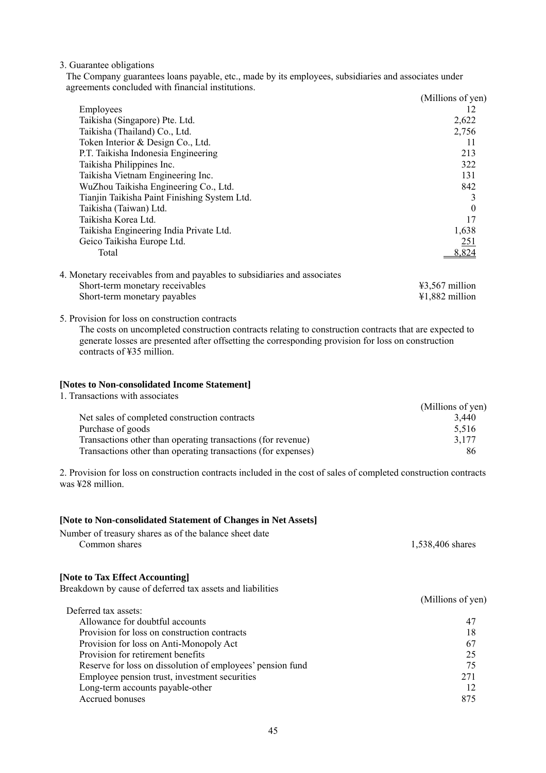3. Guarantee obligations

The Company guarantees loans payable, etc., made by its employees, subsidiaries and associates under agreements concluded with financial institutions.

|                                                                          | (Millions of yen)                                                                 |
|--------------------------------------------------------------------------|-----------------------------------------------------------------------------------|
| Employees                                                                | 12                                                                                |
| Taikisha (Singapore) Pte. Ltd.                                           | 2,622                                                                             |
| Taikisha (Thailand) Co., Ltd.                                            | 2,756                                                                             |
| Token Interior & Design Co., Ltd.                                        | 11                                                                                |
| P.T. Taikisha Indonesia Engineering                                      | 213                                                                               |
| Taikisha Philippines Inc.                                                | 322                                                                               |
| Taikisha Vietnam Engineering Inc.                                        | 131                                                                               |
| WuZhou Taikisha Engineering Co., Ltd.                                    | 842                                                                               |
| Tianjin Taikisha Paint Finishing System Ltd.                             |                                                                                   |
| Taikisha (Taiwan) Ltd.                                                   | $\theta$                                                                          |
| Taikisha Korea Ltd.                                                      | 17                                                                                |
| Taikisha Engineering India Private Ltd.                                  | 1,638                                                                             |
| Geico Taikisha Europe Ltd.                                               | <u>251</u>                                                                        |
| Total                                                                    | 8,824                                                                             |
| 4. Monetary receivables from and payables to subsidiaries and associates |                                                                                   |
|                                                                          | <br>$\mathbf{v}$ $\mathbf{v}$ $\mathbf{v}$ $\mathbf{v}$ $\mathbf{v}$ $\mathbf{v}$ |

| Short-term monetary receivables | $\text{\#3.567}$ million            |
|---------------------------------|-------------------------------------|
| Short-term monetary payables    | $\text{\textsterling}1,882$ million |

5. Provision for loss on construction contracts

The costs on uncompleted construction contracts relating to construction contracts that are expected to generate losses are presented after offsetting the corresponding provision for loss on construction contracts of ¥35 million.

#### **[Notes to Non-consolidated Income Statement]**

1. Transactions with associates

|                                                               | (Millions of yen) |
|---------------------------------------------------------------|-------------------|
| Net sales of completed construction contracts                 | 3.440             |
| Purchase of goods                                             | 5.516             |
| Transactions other than operating transactions (for revenue)  | 3.177             |
| Transactions other than operating transactions (for expenses) | 86                |

2. Provision for loss on construction contracts included in the cost of sales of completed construction contracts was ¥28 million.

# **[Note to Non-consolidated Statement of Changes in Net Assets]**

| Number of treasury shares as of the balance sheet date |                  |
|--------------------------------------------------------|------------------|
| Common shares                                          | 1,538,406 shares |

#### **[Note to Tax Effect Accounting]**

Breakdown by cause of deferred tax assets and liabilities

|                                                            | (Millions of yen) |
|------------------------------------------------------------|-------------------|
| Deferred tax assets:                                       |                   |
| Allowance for doubtful accounts                            | 47                |
| Provision for loss on construction contracts               | 18                |
| Provision for loss on Anti-Monopoly Act                    | 67                |
| Provision for retirement benefits                          | 25                |
| Reserve for loss on dissolution of employees' pension fund | 75                |
| Employee pension trust, investment securities              | 271               |
| Long-term accounts payable-other                           | 12                |
| Accrued bonuses                                            | 875               |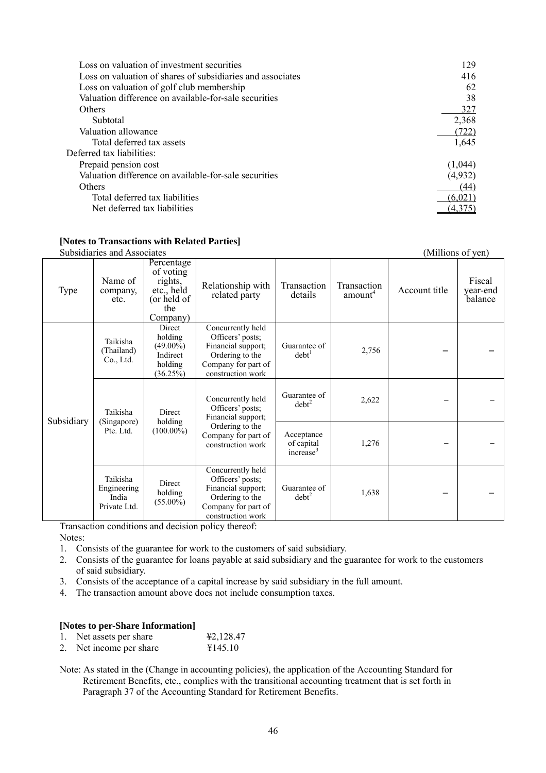| Loss on valuation of investment securities                 | 129.    |
|------------------------------------------------------------|---------|
| Loss on valuation of shares of subsidiaries and associates | 416     |
| Loss on valuation of golf club membership                  | 62      |
| Valuation difference on available-for-sale securities      | 38      |
| Others                                                     | 327     |
| Subtotal                                                   | 2,368   |
| Valuation allowance                                        | (722)   |
| Total deferred tax assets                                  | 1,645   |
| Deferred tax liabilities:                                  |         |
| Prepaid pension cost                                       | (1,044) |
| Valuation difference on available-for-sale securities      | (4,932) |
| Others                                                     | (44)    |
| Total deferred tax liabilities                             | (6.021) |
| Net deferred tax liabilities                               |         |
|                                                            |         |

#### **[Notes to Transactions with Related Parties]**

Subsidiaries and Associates (Millions of yen)

|            | Subsidiatios and Associatos                               |                                                                                    |                                                                                                                            |                                                   |                                    |               | (TALITILUITE OL VUIT)         |
|------------|-----------------------------------------------------------|------------------------------------------------------------------------------------|----------------------------------------------------------------------------------------------------------------------------|---------------------------------------------------|------------------------------------|---------------|-------------------------------|
| Type       | Name of<br>company,<br>etc.                               | Percentage<br>of voting<br>rights,<br>etc., held<br>(or held of<br>the<br>Company) | Relationship with<br>related party                                                                                         | Transaction<br>details                            | Transaction<br>amount <sup>4</sup> | Account title | Fiscal<br>year-end<br>balance |
|            | Taikisha<br>(Thailand)<br>Co., Ltd.                       | Direct<br>holding<br>$(49.00\%)$<br>Indirect<br>holding<br>(36.25%)                | Concurrently held<br>Officers' posts;<br>Financial support;<br>Ordering to the<br>Company for part of<br>construction work | Guarantee of<br>debt <sup>1</sup>                 | 2,756                              |               |                               |
| Subsidiary | Taikisha<br>Direct<br>holding<br>(Singapore)<br>Pte. Ltd. |                                                                                    | Concurrently held<br>Officers' posts;<br>Financial support;<br>Ordering to the<br>Company for part of<br>construction work | Guarantee of<br>$debt^2$                          | 2,622                              |               |                               |
|            |                                                           | $(100.00\%)$                                                                       |                                                                                                                            | Acceptance<br>of capital<br>increase <sup>3</sup> | 1,276                              |               |                               |
|            | Taikisha<br>Engineering<br>India<br>Private Ltd.          | Direct<br>holding<br>$(55.00\%)$                                                   | Concurrently held<br>Officers' posts;<br>Financial support;<br>Ordering to the<br>Company for part of<br>construction work | Guarantee of<br>$debt^2$                          | 1,638                              |               |                               |

Transaction conditions and decision policy thereof:

Notes:

- 1. Consists of the guarantee for work to the customers of said subsidiary.
- 2. Consists of the guarantee for loans payable at said subsidiary and the guarantee for work to the customers of said subsidiary.
- 3. Consists of the acceptance of a capital increase by said subsidiary in the full amount.
- 4. The transaction amount above does not include consumption taxes.

#### **[Notes to per-Share Information]**

- 
- 1. Net assets per share  $\text{\#2,128.47}$ <br>2. Net income per share  $\text{\#145.10}$ 2. Net income per share
- Note: As stated in the (Change in accounting policies), the application of the Accounting Standard for Retirement Benefits, etc., complies with the transitional accounting treatment that is set forth in Paragraph 37 of the Accounting Standard for Retirement Benefits.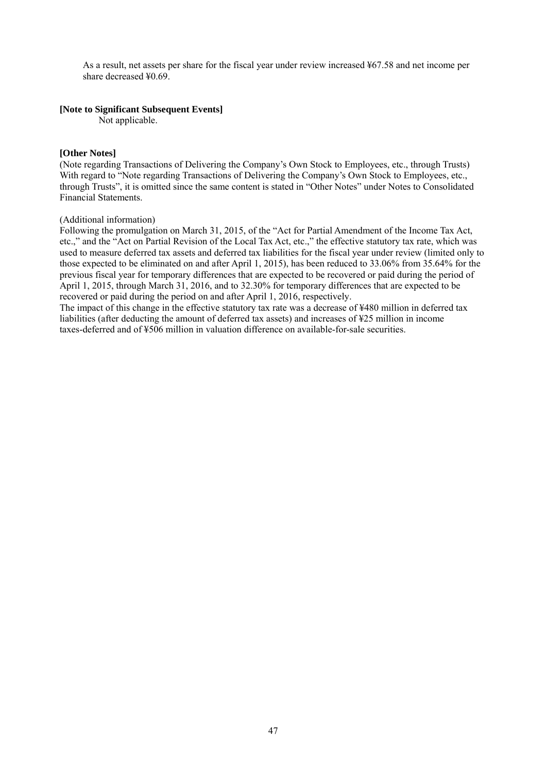As a result, net assets per share for the fiscal year under review increased ¥67.58 and net income per share decreased ¥0.69<sup>.</sup>

#### **[Note to Significant Subsequent Events]**

Not applicable.

## **[Other Notes]**

(Note regarding Transactions of Delivering the Company's Own Stock to Employees, etc., through Trusts) With regard to "Note regarding Transactions of Delivering the Company's Own Stock to Employees, etc., through Trusts", it is omitted since the same content is stated in "Other Notes" under Notes to Consolidated Financial Statements.

#### (Additional information)

Following the promulgation on March 31, 2015, of the "Act for Partial Amendment of the Income Tax Act, etc.," and the "Act on Partial Revision of the Local Tax Act, etc.," the effective statutory tax rate, which was used to measure deferred tax assets and deferred tax liabilities for the fiscal year under review (limited only to those expected to be eliminated on and after April 1, 2015), has been reduced to 33.06% from 35.64% for the previous fiscal year for temporary differences that are expected to be recovered or paid during the period of April 1, 2015, through March 31, 2016, and to 32.30% for temporary differences that are expected to be recovered or paid during the period on and after April 1, 2016, respectively.

The impact of this change in the effective statutory tax rate was a decrease of ¥480 million in deferred tax liabilities (after deducting the amount of deferred tax assets) and increases of ¥25 million in income taxes-deferred and of ¥506 million in valuation difference on available-for-sale securities.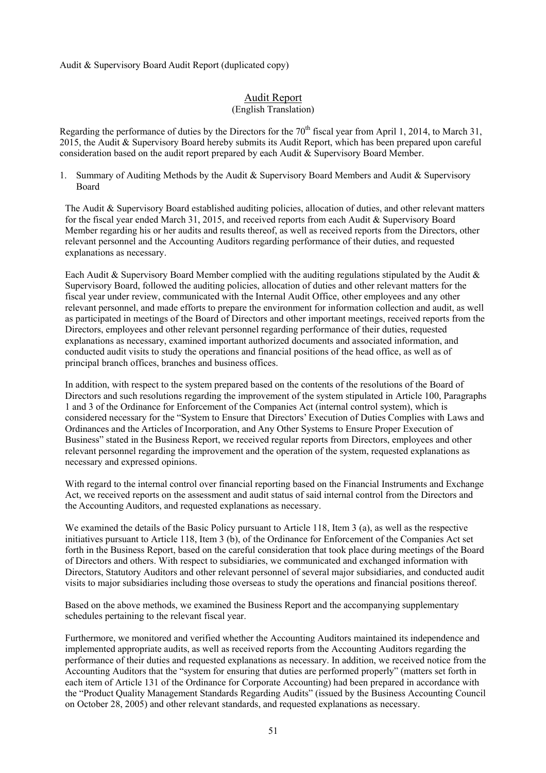Audit & Supervisory Board Audit Report (duplicated copy)

# Audit Report

#### (English Translation)

Regarding the performance of duties by the Directors for the  $70<sup>th</sup>$  fiscal year from April 1, 2014, to March 31, 2015, the Audit & Supervisory Board hereby submits its Audit Report, which has been prepared upon careful consideration based on the audit report prepared by each Audit & Supervisory Board Member.

1. Summary of Auditing Methods by the Audit & Supervisory Board Members and Audit & Supervisory Board

The Audit & Supervisory Board established auditing policies, allocation of duties, and other relevant matters for the fiscal year ended March 31, 2015, and received reports from each Audit & Supervisory Board Member regarding his or her audits and results thereof, as well as received reports from the Directors, other relevant personnel and the Accounting Auditors regarding performance of their duties, and requested explanations as necessary.

Each Audit & Supervisory Board Member complied with the auditing regulations stipulated by the Audit & Supervisory Board, followed the auditing policies, allocation of duties and other relevant matters for the fiscal year under review, communicated with the Internal Audit Office, other employees and any other relevant personnel, and made efforts to prepare the environment for information collection and audit, as well as participated in meetings of the Board of Directors and other important meetings, received reports from the Directors, employees and other relevant personnel regarding performance of their duties, requested explanations as necessary, examined important authorized documents and associated information, and conducted audit visits to study the operations and financial positions of the head office, as well as of principal branch offices, branches and business offices.

In addition, with respect to the system prepared based on the contents of the resolutions of the Board of Directors and such resolutions regarding the improvement of the system stipulated in Article 100, Paragraphs 1 and 3 of the Ordinance for Enforcement of the Companies Act (internal control system), which is considered necessary for the "System to Ensure that Directors' Execution of Duties Complies with Laws and Ordinances and the Articles of Incorporation, and Any Other Systems to Ensure Proper Execution of Business" stated in the Business Report, we received regular reports from Directors, employees and other relevant personnel regarding the improvement and the operation of the system, requested explanations as necessary and expressed opinions.

With regard to the internal control over financial reporting based on the Financial Instruments and Exchange Act, we received reports on the assessment and audit status of said internal control from the Directors and the Accounting Auditors, and requested explanations as necessary.

We examined the details of the Basic Policy pursuant to Article 118, Item 3 (a), as well as the respective initiatives pursuant to Article 118, Item 3 (b), of the Ordinance for Enforcement of the Companies Act set forth in the Business Report, based on the careful consideration that took place during meetings of the Board of Directors and others. With respect to subsidiaries, we communicated and exchanged information with Directors, Statutory Auditors and other relevant personnel of several major subsidiaries, and conducted audit visits to major subsidiaries including those overseas to study the operations and financial positions thereof.

Based on the above methods, we examined the Business Report and the accompanying supplementary schedules pertaining to the relevant fiscal year.

Furthermore, we monitored and verified whether the Accounting Auditors maintained its independence and implemented appropriate audits, as well as received reports from the Accounting Auditors regarding the performance of their duties and requested explanations as necessary. In addition, we received notice from the Accounting Auditors that the "system for ensuring that duties are performed properly" (matters set forth in each item of Article 131 of the Ordinance for Corporate Accounting) had been prepared in accordance with the "Product Quality Management Standards Regarding Audits" (issued by the Business Accounting Council on October 28, 2005) and other relevant standards, and requested explanations as necessary.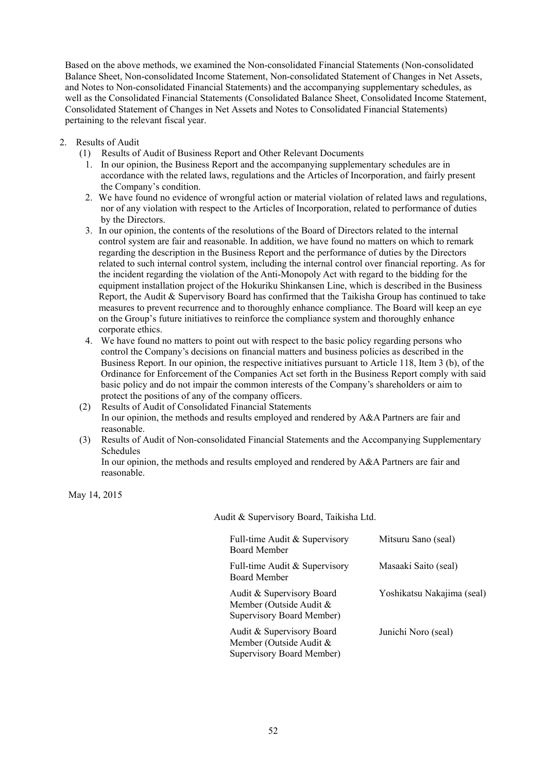Based on the above methods, we examined the Non-consolidated Financial Statements (Non-consolidated Balance Sheet, Non-consolidated Income Statement, Non-consolidated Statement of Changes in Net Assets, and Notes to Non-consolidated Financial Statements) and the accompanying supplementary schedules, as well as the Consolidated Financial Statements (Consolidated Balance Sheet, Consolidated Income Statement, Consolidated Statement of Changes in Net Assets and Notes to Consolidated Financial Statements) pertaining to the relevant fiscal year.

- 2. Results of Audit
	- (1) Results of Audit of Business Report and Other Relevant Documents
		- 1. In our opinion, the Business Report and the accompanying supplementary schedules are in accordance with the related laws, regulations and the Articles of Incorporation, and fairly present the Company's condition.
		- 2. We have found no evidence of wrongful action or material violation of related laws and regulations, nor of any violation with respect to the Articles of Incorporation, related to performance of duties by the Directors.
		- 3. In our opinion, the contents of the resolutions of the Board of Directors related to the internal control system are fair and reasonable. In addition, we have found no matters on which to remark regarding the description in the Business Report and the performance of duties by the Directors related to such internal control system, including the internal control over financial reporting. As for the incident regarding the violation of the Anti-Monopoly Act with regard to the bidding for the equipment installation project of the Hokuriku Shinkansen Line, which is described in the Business Report, the Audit & Supervisory Board has confirmed that the Taikisha Group has continued to take measures to prevent recurrence and to thoroughly enhance compliance. The Board will keep an eye on the Group's future initiatives to reinforce the compliance system and thoroughly enhance corporate ethics.
		- 4. We have found no matters to point out with respect to the basic policy regarding persons who control the Company's decisions on financial matters and business policies as described in the Business Report. In our opinion, the respective initiatives pursuant to Article 118, Item 3 (b), of the Ordinance for Enforcement of the Companies Act set forth in the Business Report comply with said basic policy and do not impair the common interests of the Company's shareholders or aim to protect the positions of any of the company officers.
	- (2) Results of Audit of Consolidated Financial Statements In our opinion, the methods and results employed and rendered by A&A Partners are fair and reasonable.
	- (3) Results of Audit of Non-consolidated Financial Statements and the Accompanying Supplementary Schedules

In our opinion, the methods and results employed and rendered by A&A Partners are fair and reasonable.

May 14, 2015

Audit & Supervisory Board, Taikisha Ltd.

| Full-time Audit & Supervisory<br><b>Board Member</b>                              | Mitsuru Sano (seal)        |
|-----------------------------------------------------------------------------------|----------------------------|
| Full-time Audit & Supervisory<br>Board Member                                     | Masaaki Saito (seal)       |
| Audit & Supervisory Board<br>Member (Outside Audit &<br>Supervisory Board Member) | Yoshikatsu Nakajima (seal) |
| Audit & Supervisory Board<br>Member (Outside Audit &<br>Supervisory Board Member) | Junichi Noro (seal)        |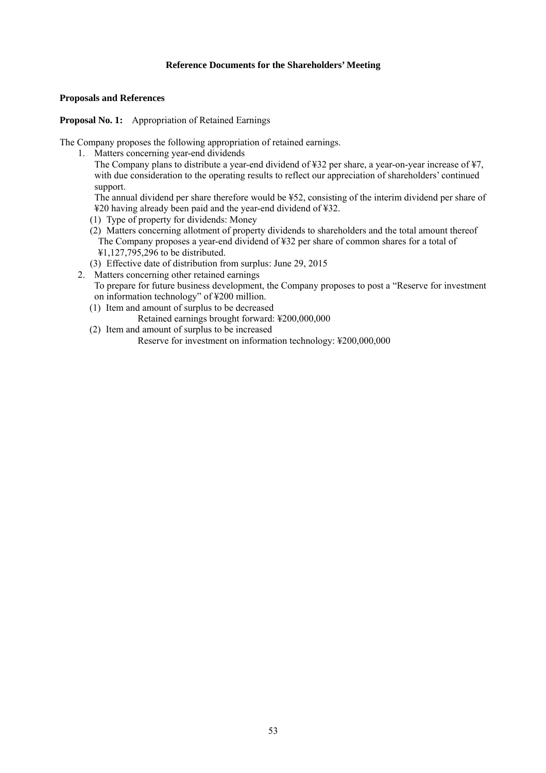# **Reference Documents for the Shareholders' Meeting**

#### **Proposals and References**

**Proposal No. 1:** Appropriation of Retained Earnings

The Company proposes the following appropriation of retained earnings.

1. Matters concerning year-end dividends

The Company plans to distribute a year-end dividend of ¥32 per share, a year-on-year increase of ¥7, with due consideration to the operating results to reflect our appreciation of shareholders' continued support.

The annual dividend per share therefore would be ¥52, consisting of the interim dividend per share of ¥20 having already been paid and the year-end dividend of ¥32.

- (1) Type of property for dividends: Money
- (2) Matters concerning allotment of property dividends to shareholders and the total amount thereof The Company proposes a year-end dividend of ¥32 per share of common shares for a total of ¥1,127,795,296 to be distributed.
- (3) Effective date of distribution from surplus: June 29, 2015
- 2. Matters concerning other retained earnings To prepare for future business development, the Company proposes to post a "Reserve for investment on information technology" of ¥200 million.
	- (1) Item and amount of surplus to be decreased
		- Retained earnings brought forward: ¥200,000,000
	- (2) Item and amount of surplus to be increased

Reserve for investment on information technology: ¥200,000,000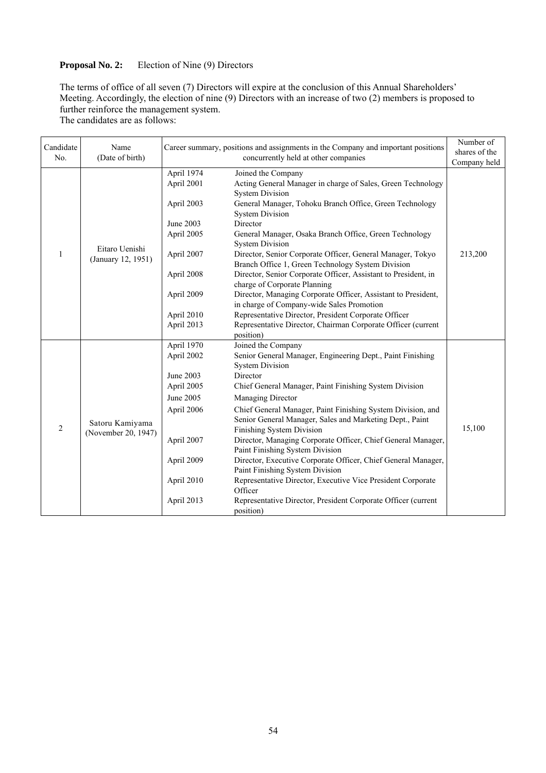# **Proposal No. 2:** Election of Nine (9) Directors

The terms of office of all seven (7) Directors will expire at the conclusion of this Annual Shareholders' Meeting. Accordingly, the election of nine (9) Directors with an increase of two (2) members is proposed to further reinforce the management system.

The candidates are as follows:

| Candidate<br>No. | Name<br>(Date of birth)                |                                                                                                                                         | Career summary, positions and assignments in the Company and important positions<br>concurrently held at other companies                                                                                                                                                                                                                                                                                                                                                                                                                                                                                                                                                                                                                                                 | Number of<br>shares of the<br>Company held |
|------------------|----------------------------------------|-----------------------------------------------------------------------------------------------------------------------------------------|--------------------------------------------------------------------------------------------------------------------------------------------------------------------------------------------------------------------------------------------------------------------------------------------------------------------------------------------------------------------------------------------------------------------------------------------------------------------------------------------------------------------------------------------------------------------------------------------------------------------------------------------------------------------------------------------------------------------------------------------------------------------------|--------------------------------------------|
| 1                | Eitaro Uenishi<br>(January 12, 1951)   | April 1974<br>April 2001<br>April 2003<br>June 2003<br>April 2005<br>April 2007<br>April 2008<br>April 2009<br>April 2010<br>April 2013 | Joined the Company<br>Acting General Manager in charge of Sales, Green Technology<br><b>System Division</b><br>General Manager, Tohoku Branch Office, Green Technology<br><b>System Division</b><br>Director<br>General Manager, Osaka Branch Office, Green Technology<br><b>System Division</b><br>Director, Senior Corporate Officer, General Manager, Tokyo<br>Branch Office 1, Green Technology System Division<br>Director, Senior Corporate Officer, Assistant to President, in<br>charge of Corporate Planning<br>Director, Managing Corporate Officer, Assistant to President,<br>in charge of Company-wide Sales Promotion<br>Representative Director, President Corporate Officer<br>Representative Director, Chairman Corporate Officer (current<br>position) | 213,200                                    |
| $\overline{c}$   | Satoru Kamiyama<br>(November 20, 1947) | April 1970<br>April 2002<br>June 2003<br>April 2005<br>June 2005<br>April 2006<br>April 2007<br>April 2009<br>April 2010<br>April 2013  | Joined the Company<br>Senior General Manager, Engineering Dept., Paint Finishing<br><b>System Division</b><br>Director<br>Chief General Manager, Paint Finishing System Division<br>Managing Director<br>Chief General Manager, Paint Finishing System Division, and<br>Senior General Manager, Sales and Marketing Dept., Paint<br>Finishing System Division<br>Director, Managing Corporate Officer, Chief General Manager,<br>Paint Finishing System Division<br>Director, Executive Corporate Officer, Chief General Manager,<br>Paint Finishing System Division<br>Representative Director, Executive Vice President Corporate<br>Officer<br>Representative Director, President Corporate Officer (current<br>position)                                             | 15,100                                     |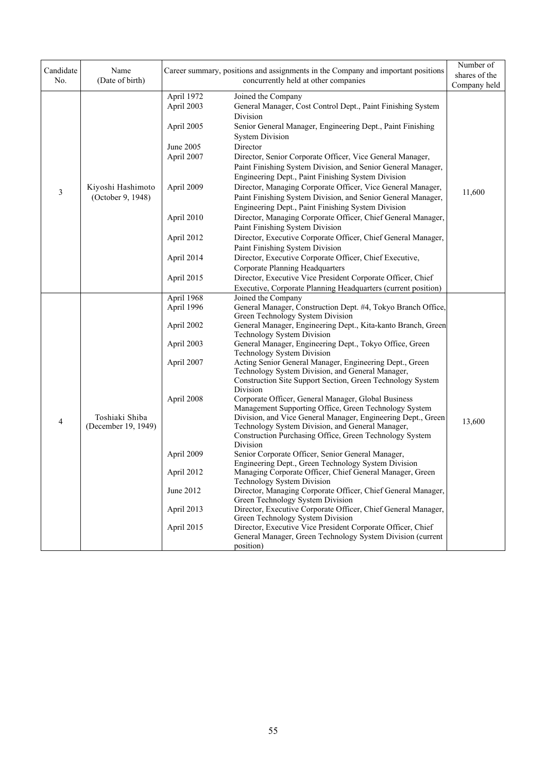| Candidate<br>No. | Name<br>(Date of birth)                |                          | Career summary, positions and assignments in the Company and important positions<br>concurrently held at other companies                                                        | Number of<br>shares of the<br>Company held |
|------------------|----------------------------------------|--------------------------|---------------------------------------------------------------------------------------------------------------------------------------------------------------------------------|--------------------------------------------|
|                  |                                        | April 1972<br>April 2003 | Joined the Company<br>General Manager, Cost Control Dept., Paint Finishing System                                                                                               |                                            |
|                  |                                        | April 2005               | Division<br>Senior General Manager, Engineering Dept., Paint Finishing<br><b>System Division</b>                                                                                |                                            |
|                  |                                        | June 2005                | Director                                                                                                                                                                        |                                            |
|                  |                                        | April 2007               | Director, Senior Corporate Officer, Vice General Manager,<br>Paint Finishing System Division, and Senior General Manager,<br>Engineering Dept., Paint Finishing System Division |                                            |
| $\mathfrak{Z}$   | Kiyoshi Hashimoto<br>(October 9, 1948) | April 2009               | Director, Managing Corporate Officer, Vice General Manager,<br>Paint Finishing System Division, and Senior General Manager,                                                     | 11,600                                     |
|                  |                                        | April 2010               | Engineering Dept., Paint Finishing System Division<br>Director, Managing Corporate Officer, Chief General Manager,                                                              |                                            |
|                  |                                        |                          | Paint Finishing System Division                                                                                                                                                 |                                            |
|                  |                                        | April 2012               | Director, Executive Corporate Officer, Chief General Manager,                                                                                                                   |                                            |
|                  |                                        |                          | Paint Finishing System Division                                                                                                                                                 |                                            |
|                  |                                        | April 2014               | Director, Executive Corporate Officer, Chief Executive,                                                                                                                         |                                            |
|                  |                                        |                          | Corporate Planning Headquarters                                                                                                                                                 |                                            |
|                  |                                        | April 2015               | Director, Executive Vice President Corporate Officer, Chief                                                                                                                     |                                            |
|                  |                                        |                          | Executive, Corporate Planning Headquarters (current position)                                                                                                                   |                                            |
|                  |                                        | April 1968               | Joined the Company                                                                                                                                                              |                                            |
|                  |                                        | April 1996               | General Manager, Construction Dept. #4, Tokyo Branch Office,<br>Green Technology System Division                                                                                |                                            |
|                  |                                        | April 2002               | General Manager, Engineering Dept., Kita-kanto Branch, Green<br>Technology System Division                                                                                      |                                            |
|                  |                                        | April 2003               | General Manager, Engineering Dept., Tokyo Office, Green<br>Technology System Division                                                                                           |                                            |
|                  |                                        | April 2007               | Acting Senior General Manager, Engineering Dept., Green                                                                                                                         |                                            |
|                  |                                        |                          | Technology System Division, and General Manager,                                                                                                                                |                                            |
|                  |                                        |                          | Construction Site Support Section, Green Technology System<br>Division                                                                                                          |                                            |
|                  |                                        | April 2008               | Corporate Officer, General Manager, Global Business                                                                                                                             |                                            |
|                  |                                        |                          | Management Supporting Office, Green Technology System                                                                                                                           |                                            |
| 4                | Toshiaki Shiba                         |                          | Division, and Vice General Manager, Engineering Dept., Green                                                                                                                    | 13,600                                     |
|                  | (December 19, 1949)                    |                          | Technology System Division, and General Manager,<br>Construction Purchasing Office, Green Technology System                                                                     |                                            |
|                  |                                        |                          | Division                                                                                                                                                                        |                                            |
|                  |                                        | April 2009               | Senior Corporate Officer, Senior General Manager,                                                                                                                               |                                            |
|                  |                                        |                          | Engineering Dept., Green Technology System Division                                                                                                                             |                                            |
|                  |                                        | April 2012               | Managing Corporate Officer, Chief General Manager, Green<br>Technology System Division                                                                                          |                                            |
|                  |                                        | June 2012                | Director, Managing Corporate Officer, Chief General Manager,<br>Green Technology System Division                                                                                |                                            |
|                  |                                        | April 2013               | Director, Executive Corporate Officer, Chief General Manager,                                                                                                                   |                                            |
|                  |                                        | April 2015               | Green Technology System Division<br>Director, Executive Vice President Corporate Officer, Chief                                                                                 |                                            |
|                  |                                        |                          | General Manager, Green Technology System Division (current<br>position)                                                                                                         |                                            |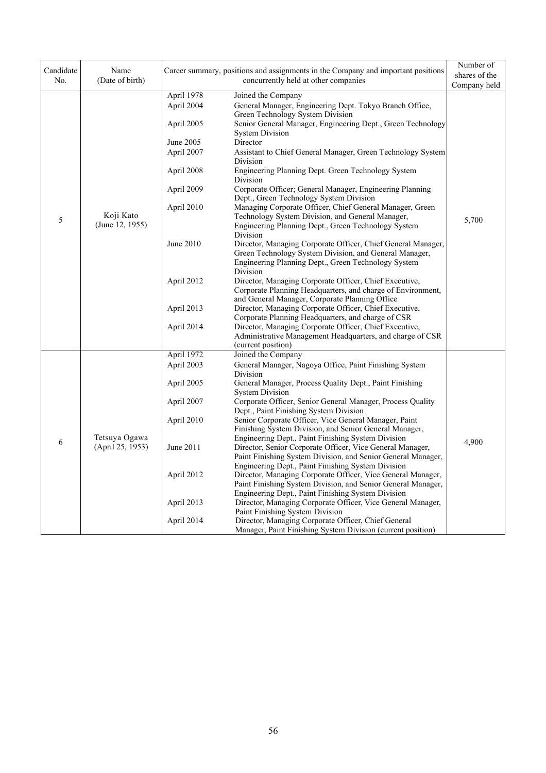| Candidate | Name                              |                                                                                                                          | Career summary, positions and assignments in the Company and important positions                                                                                                                                                                                                                                                                                                                                                                                                                                                                                                                                                                                                                                                                                                                                                               | Number of             |
|-----------|-----------------------------------|--------------------------------------------------------------------------------------------------------------------------|------------------------------------------------------------------------------------------------------------------------------------------------------------------------------------------------------------------------------------------------------------------------------------------------------------------------------------------------------------------------------------------------------------------------------------------------------------------------------------------------------------------------------------------------------------------------------------------------------------------------------------------------------------------------------------------------------------------------------------------------------------------------------------------------------------------------------------------------|-----------------------|
| No.       | (Date of birth)                   |                                                                                                                          | concurrently held at other companies                                                                                                                                                                                                                                                                                                                                                                                                                                                                                                                                                                                                                                                                                                                                                                                                           | shares of the         |
|           |                                   |                                                                                                                          |                                                                                                                                                                                                                                                                                                                                                                                                                                                                                                                                                                                                                                                                                                                                                                                                                                                |                       |
| 5         | Koji Kato<br>(June 12, 1955)      | April 1978<br>April 2004<br>April 2005<br>June 2005<br>April 2007<br>April 2008<br>April 2009<br>April 2010<br>June 2010 | Joined the Company<br>General Manager, Engineering Dept. Tokyo Branch Office,<br>Green Technology System Division<br>Senior General Manager, Engineering Dept., Green Technology<br><b>System Division</b><br>Director<br>Assistant to Chief General Manager, Green Technology System<br>Division<br>Engineering Planning Dept. Green Technology System<br>Division<br>Corporate Officer; General Manager, Engineering Planning<br>Dept., Green Technology System Division<br>Managing Corporate Officer, Chief General Manager, Green<br>Technology System Division, and General Manager,<br>Engineering Planning Dept., Green Technology System<br>Division<br>Director, Managing Corporate Officer, Chief General Manager,<br>Green Technology System Division, and General Manager,<br>Engineering Planning Dept., Green Technology System | 5,700                 |
|           |                                   | April 2012<br>April 2013<br>April 2014                                                                                   | Division<br>Director, Managing Corporate Officer, Chief Executive,<br>Corporate Planning Headquarters, and charge of Environment,<br>and General Manager, Corporate Planning Office<br>Director, Managing Corporate Officer, Chief Executive,<br>Corporate Planning Headquarters, and charge of CSR<br>Director, Managing Corporate Officer, Chief Executive,<br>Administrative Management Headquarters, and charge of CSR<br>(current position)                                                                                                                                                                                                                                                                                                                                                                                               |                       |
|           |                                   | April 1972                                                                                                               | Joined the Company                                                                                                                                                                                                                                                                                                                                                                                                                                                                                                                                                                                                                                                                                                                                                                                                                             |                       |
|           |                                   | April 2003                                                                                                               | General Manager, Nagoya Office, Paint Finishing System                                                                                                                                                                                                                                                                                                                                                                                                                                                                                                                                                                                                                                                                                                                                                                                         |                       |
|           |                                   | April 2005                                                                                                               | Division<br>General Manager, Process Quality Dept., Paint Finishing<br><b>System Division</b>                                                                                                                                                                                                                                                                                                                                                                                                                                                                                                                                                                                                                                                                                                                                                  |                       |
|           |                                   | April 2007                                                                                                               | Corporate Officer, Senior General Manager, Process Quality<br>Dept., Paint Finishing System Division                                                                                                                                                                                                                                                                                                                                                                                                                                                                                                                                                                                                                                                                                                                                           |                       |
|           |                                   | April 2010                                                                                                               | Senior Corporate Officer, Vice General Manager, Paint<br>Finishing System Division, and Senior General Manager,                                                                                                                                                                                                                                                                                                                                                                                                                                                                                                                                                                                                                                                                                                                                | Company held<br>4,900 |
| 6         | Tetsuya Ogawa<br>(April 25, 1953) | June 2011                                                                                                                | Engineering Dept., Paint Finishing System Division<br>Director, Senior Corporate Officer, Vice General Manager,<br>Paint Finishing System Division, and Senior General Manager,<br>Engineering Dept., Paint Finishing System Division                                                                                                                                                                                                                                                                                                                                                                                                                                                                                                                                                                                                          |                       |
|           |                                   | April 2012                                                                                                               | Director, Managing Corporate Officer, Vice General Manager,<br>Paint Finishing System Division, and Senior General Manager,<br>Engineering Dept., Paint Finishing System Division                                                                                                                                                                                                                                                                                                                                                                                                                                                                                                                                                                                                                                                              |                       |
|           |                                   | April 2013                                                                                                               | Director, Managing Corporate Officer, Vice General Manager,<br>Paint Finishing System Division                                                                                                                                                                                                                                                                                                                                                                                                                                                                                                                                                                                                                                                                                                                                                 |                       |
|           |                                   | April 2014                                                                                                               | Director, Managing Corporate Officer, Chief General<br>Manager, Paint Finishing System Division (current position)                                                                                                                                                                                                                                                                                                                                                                                                                                                                                                                                                                                                                                                                                                                             |                       |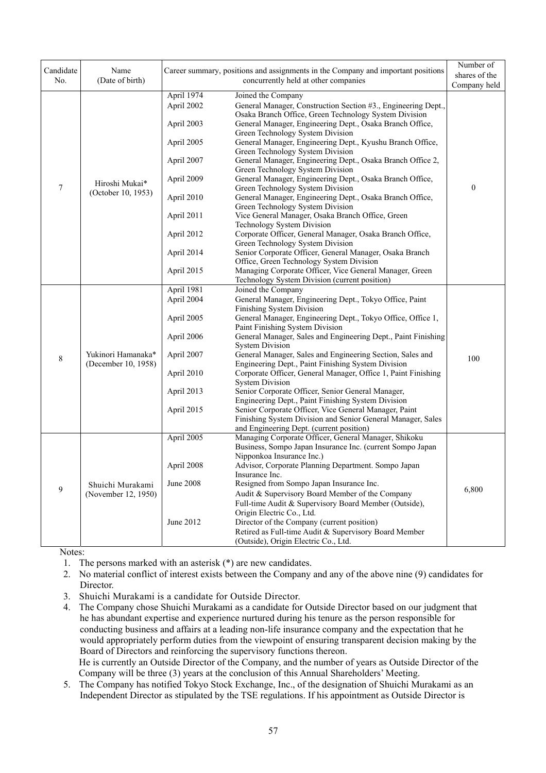| Candidate        | Name                                      |                                        | Career summary, positions and assignments in the Company and important positions                                                                                                                                                             | Number of        |
|------------------|-------------------------------------------|----------------------------------------|----------------------------------------------------------------------------------------------------------------------------------------------------------------------------------------------------------------------------------------------|------------------|
| No.              | (Date of birth)                           |                                        | concurrently held at other companies                                                                                                                                                                                                         | shares of the    |
|                  |                                           |                                        |                                                                                                                                                                                                                                              | Company held     |
|                  |                                           | April 1974<br>April 2002<br>April 2003 | Joined the Company<br>General Manager, Construction Section #3., Engineering Dept.,<br>Osaka Branch Office, Green Technology System Division<br>General Manager, Engineering Dept., Osaka Branch Office,<br>Green Technology System Division |                  |
|                  |                                           | April 2005                             | General Manager, Engineering Dept., Kyushu Branch Office,<br>Green Technology System Division                                                                                                                                                |                  |
|                  |                                           | April 2007                             | General Manager, Engineering Dept., Osaka Branch Office 2,<br>Green Technology System Division                                                                                                                                               |                  |
| $\boldsymbol{7}$ | Hiroshi Mukai*<br>(October 10, 1953)      | April 2009                             | General Manager, Engineering Dept., Osaka Branch Office,<br>Green Technology System Division                                                                                                                                                 | $\boldsymbol{0}$ |
|                  |                                           | April 2010                             | General Manager, Engineering Dept., Osaka Branch Office,<br>Green Technology System Division                                                                                                                                                 |                  |
|                  |                                           | April 2011                             | Vice General Manager, Osaka Branch Office, Green<br>Technology System Division                                                                                                                                                               |                  |
|                  |                                           | April 2012                             | Corporate Officer, General Manager, Osaka Branch Office,<br>Green Technology System Division                                                                                                                                                 |                  |
|                  |                                           | April 2014                             | Senior Corporate Officer, General Manager, Osaka Branch<br>Office, Green Technology System Division                                                                                                                                          |                  |
|                  |                                           | April 2015                             | Managing Corporate Officer, Vice General Manager, Green<br>Technology System Division (current position)                                                                                                                                     |                  |
|                  |                                           | April 1981                             | Joined the Company                                                                                                                                                                                                                           |                  |
|                  | Yukinori Hamanaka*<br>(December 10, 1958) | April 2004                             | General Manager, Engineering Dept., Tokyo Office, Paint<br>Finishing System Division                                                                                                                                                         |                  |
|                  |                                           | April 2005                             | General Manager, Engineering Dept., Tokyo Office, Office 1,<br>Paint Finishing System Division                                                                                                                                               |                  |
|                  |                                           | April 2006                             | General Manager, Sales and Engineering Dept., Paint Finishing<br><b>System Division</b>                                                                                                                                                      |                  |
| $\,8\,$          |                                           | April 2007                             | General Manager, Sales and Engineering Section, Sales and<br>Engineering Dept., Paint Finishing System Division                                                                                                                              | 100              |
|                  |                                           | April 2010                             | Corporate Officer, General Manager, Office 1, Paint Finishing<br><b>System Division</b>                                                                                                                                                      |                  |
|                  |                                           | April 2013                             | Senior Corporate Officer, Senior General Manager,<br>Engineering Dept., Paint Finishing System Division                                                                                                                                      |                  |
|                  |                                           | April 2015                             | Senior Corporate Officer, Vice General Manager, Paint<br>Finishing System Division and Senior General Manager, Sales                                                                                                                         |                  |
|                  |                                           | April 2005                             | and Engineering Dept. (current position)<br>Managing Corporate Officer, General Manager, Shikoku                                                                                                                                             |                  |
|                  |                                           |                                        | Business, Sompo Japan Insurance Inc. (current Sompo Japan<br>Nipponkoa Insurance Inc.)                                                                                                                                                       |                  |
|                  |                                           | April 2008                             | Advisor, Corporate Planning Department. Sompo Japan<br>Insurance Inc.                                                                                                                                                                        |                  |
| 9                | Shuichi Murakami                          | June 2008                              | Resigned from Sompo Japan Insurance Inc.                                                                                                                                                                                                     | 6,800            |
|                  | (November 12, 1950)                       |                                        | Audit & Supervisory Board Member of the Company<br>Full-time Audit & Supervisory Board Member (Outside),                                                                                                                                     |                  |
|                  |                                           |                                        | Origin Electric Co., Ltd.                                                                                                                                                                                                                    |                  |
|                  |                                           | June 2012                              | Director of the Company (current position)                                                                                                                                                                                                   |                  |
|                  |                                           |                                        | Retired as Full-time Audit & Supervisory Board Member                                                                                                                                                                                        |                  |
|                  |                                           |                                        | (Outside), Origin Electric Co., Ltd.                                                                                                                                                                                                         |                  |

Notes:

1. The persons marked with an asterisk (\*) are new candidates.

2. No material conflict of interest exists between the Company and any of the above nine (9) candidates for Director.

3. Shuichi Murakami is a candidate for Outside Director.

4. The Company chose Shuichi Murakami as a candidate for Outside Director based on our judgment that he has abundant expertise and experience nurtured during his tenure as the person responsible for conducting business and affairs at a leading non-life insurance company and the expectation that he would appropriately perform duties from the viewpoint of ensuring transparent decision making by the Board of Directors and reinforcing the supervisory functions thereon. He is currently an Outside Director of the Company, and the number of years as Outside Director of the

Company will be three (3) years at the conclusion of this Annual Shareholders' Meeting.

5. The Company has notified Tokyo Stock Exchange, Inc., of the designation of Shuichi Murakami as an Independent Director as stipulated by the TSE regulations. If his appointment as Outside Director is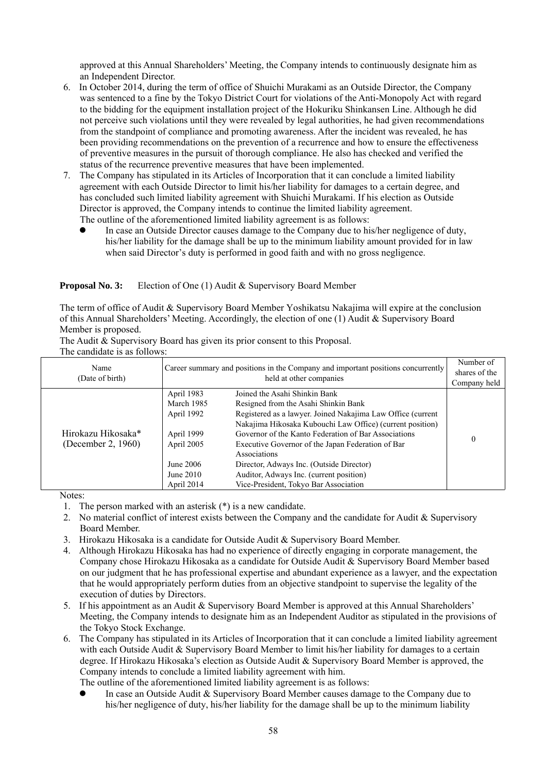approved at this Annual Shareholders' Meeting, the Company intends to continuously designate him as an Independent Director.

- 6. In October 2014, during the term of office of Shuichi Murakami as an Outside Director, the Company was sentenced to a fine by the Tokyo District Court for violations of the Anti-Monopoly Act with regard to the bidding for the equipment installation project of the Hokuriku Shinkansen Line. Although he did not perceive such violations until they were revealed by legal authorities, he had given recommendations from the standpoint of compliance and promoting awareness. After the incident was revealed, he has been providing recommendations on the prevention of a recurrence and how to ensure the effectiveness of preventive measures in the pursuit of thorough compliance. He also has checked and verified the status of the recurrence preventive measures that have been implemented.
- 7. The Company has stipulated in its Articles of Incorporation that it can conclude a limited liability agreement with each Outside Director to limit his/her liability for damages to a certain degree, and has concluded such limited liability agreement with Shuichi Murakami. If his election as Outside Director is approved, the Company intends to continue the limited liability agreement. The outline of the aforementioned limited liability agreement is as follows:
	- In case an Outside Director causes damage to the Company due to his/her negligence of duty, his/her liability for the damage shall be up to the minimum liability amount provided for in law when said Director's duty is performed in good faith and with no gross negligence.

#### **Proposal No. 3:** Election of One (1) Audit & Supervisory Board Member

The term of office of Audit & Supervisory Board Member Yoshikatsu Nakajima will expire at the conclusion of this Annual Shareholders' Meeting. Accordingly, the election of one (1) Audit & Supervisory Board Member is proposed.

The Audit & Supervisory Board has given its prior consent to this Proposal.

The candidate is as follows:

| Name<br>(Date of birth)                  |                                                                                                            | Career summary and positions in the Company and important positions concurrently<br>held at other companies                                                                                                                                                                                                                                                                                                                                                    | Number of<br>shares of the<br>Company held |
|------------------------------------------|------------------------------------------------------------------------------------------------------------|----------------------------------------------------------------------------------------------------------------------------------------------------------------------------------------------------------------------------------------------------------------------------------------------------------------------------------------------------------------------------------------------------------------------------------------------------------------|--------------------------------------------|
| Hirokazu Hikosaka*<br>(December 2, 1960) | April 1983<br>March 1985<br>April 1992<br>April 1999<br>April 2005<br>June 2006<br>June 2010<br>April 2014 | Joined the Asahi Shinkin Bank<br>Resigned from the Asahi Shinkin Bank<br>Registered as a lawyer. Joined Nakajima Law Office (current<br>Nakajima Hikosaka Kubouchi Law Office) (current position)<br>Governor of the Kanto Federation of Bar Associations<br>Executive Governor of the Japan Federation of Bar<br>Associations<br>Director, Adways Inc. (Outside Director)<br>Auditor, Adways Inc. (current position)<br>Vice-President, Tokyo Bar Association | $\theta$                                   |

Notes:

- 1. The person marked with an asterisk (\*) is a new candidate.
- 2. No material conflict of interest exists between the Company and the candidate for Audit & Supervisory Board Member.
- 3. Hirokazu Hikosaka is a candidate for Outside Audit & Supervisory Board Member.
- 4. Although Hirokazu Hikosaka has had no experience of directly engaging in corporate management, the Company chose Hirokazu Hikosaka as a candidate for Outside Audit & Supervisory Board Member based on our judgment that he has professional expertise and abundant experience as a lawyer, and the expectation that he would appropriately perform duties from an objective standpoint to supervise the legality of the execution of duties by Directors.
- 5. If his appointment as an Audit & Supervisory Board Member is approved at this Annual Shareholders' Meeting, the Company intends to designate him as an Independent Auditor as stipulated in the provisions of the Tokyo Stock Exchange.
- 6. The Company has stipulated in its Articles of Incorporation that it can conclude a limited liability agreement with each Outside Audit & Supervisory Board Member to limit his/her liability for damages to a certain degree. If Hirokazu Hikosaka's election as Outside Audit & Supervisory Board Member is approved, the Company intends to conclude a limited liability agreement with him.

The outline of the aforementioned limited liability agreement is as follows:

 In case an Outside Audit & Supervisory Board Member causes damage to the Company due to his/her negligence of duty, his/her liability for the damage shall be up to the minimum liability